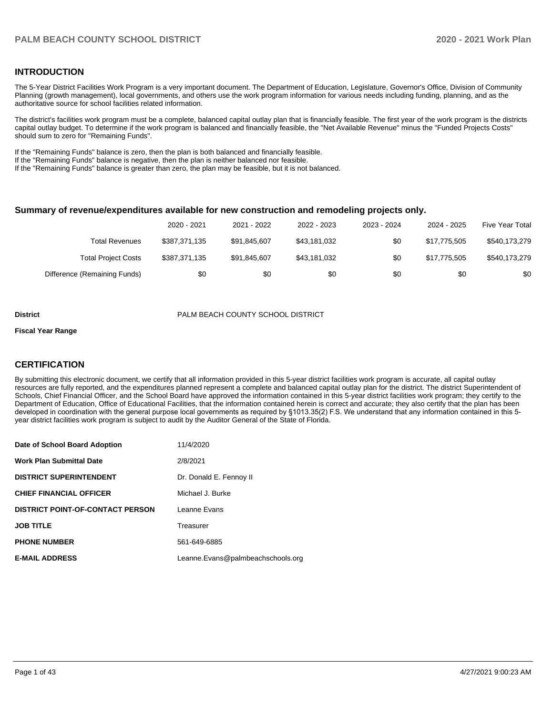#### **INTRODUCTION**

The 5-Year District Facilities Work Program is a very important document. The Department of Education, Legislature, Governor's Office, Division of Community Planning (growth management), local governments, and others use the work program information for various needs including funding, planning, and as the authoritative source for school facilities related information.

The district's facilities work program must be a complete, balanced capital outlay plan that is financially feasible. The first year of the work program is the districts capital outlay budget. To determine if the work program is balanced and financially feasible, the "Net Available Revenue" minus the "Funded Projects Costs" should sum to zero for "Remaining Funds".

If the "Remaining Funds" balance is zero, then the plan is both balanced and financially feasible.

If the "Remaining Funds" balance is negative, then the plan is neither balanced nor feasible.

If the "Remaining Funds" balance is greater than zero, the plan may be feasible, but it is not balanced.

#### **Summary of revenue/expenditures available for new construction and remodeling projects only.**

|                              | 2020 - 2021   | 2021 - 2022  | 2022 - 2023  | 2023 - 2024 | 2024 - 2025  | <b>Five Year Total</b> |
|------------------------------|---------------|--------------|--------------|-------------|--------------|------------------------|
| Total Revenues               | \$387.371.135 | \$91.845.607 | \$43.181.032 | \$0         | \$17.775.505 | \$540,173,279          |
| <b>Total Project Costs</b>   | \$387.371.135 | \$91.845.607 | \$43.181.032 | \$0         | \$17.775.505 | \$540,173,279          |
| Difference (Remaining Funds) | \$0           | \$0          | \$0          | \$0         | \$0          | \$0                    |

#### **District** PALM BEACH COUNTY SCHOOL DISTRICT

#### **Fiscal Year Range**

#### **CERTIFICATION**

By submitting this electronic document, we certify that all information provided in this 5-year district facilities work program is accurate, all capital outlay resources are fully reported, and the expenditures planned represent a complete and balanced capital outlay plan for the district. The district Superintendent of Schools, Chief Financial Officer, and the School Board have approved the information contained in this 5-year district facilities work program; they certify to the Department of Education, Office of Educational Facilities, that the information contained herein is correct and accurate; they also certify that the plan has been developed in coordination with the general purpose local governments as required by §1013.35(2) F.S. We understand that any information contained in this 5 year district facilities work program is subject to audit by the Auditor General of the State of Florida.

| Date of School Board Adoption           | 11/4/2020                         |
|-----------------------------------------|-----------------------------------|
| <b>Work Plan Submittal Date</b>         | 2/8/2021                          |
| <b>DISTRICT SUPERINTENDENT</b>          | Dr. Donald E. Fennoy II           |
| <b>CHIEF FINANCIAL OFFICER</b>          | Michael J. Burke                  |
| <b>DISTRICT POINT-OF-CONTACT PERSON</b> | Leanne Evans                      |
| <b>JOB TITLE</b>                        | Treasurer                         |
| <b>PHONE NUMBER</b>                     | 561-649-6885                      |
| <b>E-MAIL ADDRESS</b>                   | Leanne.Evans@palmbeachschools.org |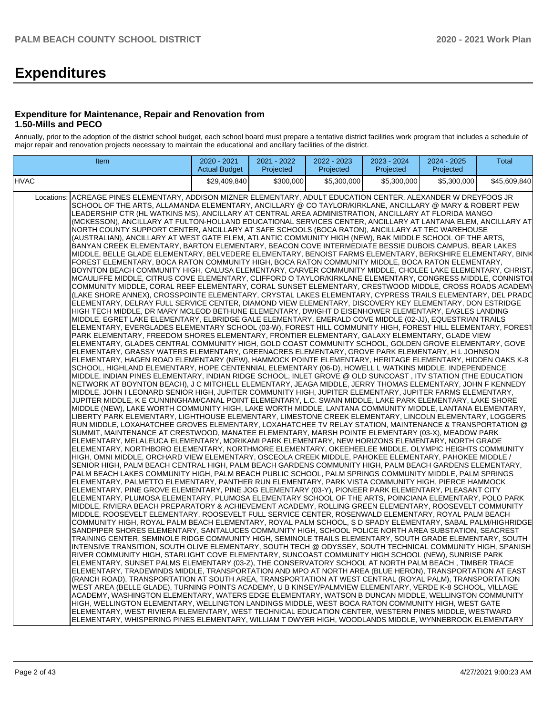# **Expenditures**

#### **Expenditure for Maintenance, Repair and Renovation from 1.50-Mills and PECO**

Annually, prior to the adoption of the district school budget, each school board must prepare a tentative district facilities work program that includes a schedule of major repair and renovation projects necessary to maintain the educational and ancillary facilities of the district.

| Item                                                                                                                                                                                                                                                                                                                                                                                                                                                                                                                                                                                                                                                                                                                                                                                                                                                                                                                                                                                                                                                                                                                                                                                                                                                                                                                                                                                                                                                                                                                                                                                                                                                                                                                                                                                                                                                                                                                                                                                                                                                                                                                                                                                                                                                                                                                                                                                                                                                                                                                                                                                                                                                                                                                                                                                                                                                                                                                                                                                                                                                                                                                                                                                                                                                                                                                                                                                                                                                                                                                                                                                                                                                                                                                                                                                                                                                                                                                                                                                                                                                                                                                                                                                                                                                                                                                                                                                                                                                                                                                                                                                                                                                                                                                                                                                                                                                                                                                                                                                                                                                                                                                                                                                                                                                                                                                                                                                                                                                                                                                                                                                                                                                                                                                                                 | 2020 - 2021<br><b>Actual Budget</b> | 2021 - 2022<br>Projected | 2022 - 2023<br>Projected | 2023 - 2024<br>Projected | 2024 - 2025<br>Projected | Total        |
|------------------------------------------------------------------------------------------------------------------------------------------------------------------------------------------------------------------------------------------------------------------------------------------------------------------------------------------------------------------------------------------------------------------------------------------------------------------------------------------------------------------------------------------------------------------------------------------------------------------------------------------------------------------------------------------------------------------------------------------------------------------------------------------------------------------------------------------------------------------------------------------------------------------------------------------------------------------------------------------------------------------------------------------------------------------------------------------------------------------------------------------------------------------------------------------------------------------------------------------------------------------------------------------------------------------------------------------------------------------------------------------------------------------------------------------------------------------------------------------------------------------------------------------------------------------------------------------------------------------------------------------------------------------------------------------------------------------------------------------------------------------------------------------------------------------------------------------------------------------------------------------------------------------------------------------------------------------------------------------------------------------------------------------------------------------------------------------------------------------------------------------------------------------------------------------------------------------------------------------------------------------------------------------------------------------------------------------------------------------------------------------------------------------------------------------------------------------------------------------------------------------------------------------------------------------------------------------------------------------------------------------------------------------------------------------------------------------------------------------------------------------------------------------------------------------------------------------------------------------------------------------------------------------------------------------------------------------------------------------------------------------------------------------------------------------------------------------------------------------------------------------------------------------------------------------------------------------------------------------------------------------------------------------------------------------------------------------------------------------------------------------------------------------------------------------------------------------------------------------------------------------------------------------------------------------------------------------------------------------------------------------------------------------------------------------------------------------------------------------------------------------------------------------------------------------------------------------------------------------------------------------------------------------------------------------------------------------------------------------------------------------------------------------------------------------------------------------------------------------------------------------------------------------------------------------------------------------------------------------------------------------------------------------------------------------------------------------------------------------------------------------------------------------------------------------------------------------------------------------------------------------------------------------------------------------------------------------------------------------------------------------------------------------------------------------------------------------------------------------------------------------------------------------------------------------------------------------------------------------------------------------------------------------------------------------------------------------------------------------------------------------------------------------------------------------------------------------------------------------------------------------------------------------------------------------------------------------------------------------------------------------------------------------------------------------------------------------------------------------------------------------------------------------------------------------------------------------------------------------------------------------------------------------------------------------------------------------------------------------------------------------------------------------------------------------------------------------------------------------------------|-------------------------------------|--------------------------|--------------------------|--------------------------|--------------------------|--------------|
| HVAC                                                                                                                                                                                                                                                                                                                                                                                                                                                                                                                                                                                                                                                                                                                                                                                                                                                                                                                                                                                                                                                                                                                                                                                                                                                                                                                                                                                                                                                                                                                                                                                                                                                                                                                                                                                                                                                                                                                                                                                                                                                                                                                                                                                                                                                                                                                                                                                                                                                                                                                                                                                                                                                                                                                                                                                                                                                                                                                                                                                                                                                                                                                                                                                                                                                                                                                                                                                                                                                                                                                                                                                                                                                                                                                                                                                                                                                                                                                                                                                                                                                                                                                                                                                                                                                                                                                                                                                                                                                                                                                                                                                                                                                                                                                                                                                                                                                                                                                                                                                                                                                                                                                                                                                                                                                                                                                                                                                                                                                                                                                                                                                                                                                                                                                                                 | \$29,409,840                        | \$300,000                | \$5,300,000              | \$5,300,000              | \$5,300,000              | \$45,609,840 |
| Locations: ACREAGE PINES ELEMENTARY, ADDISON MIZNER ELEMENTARY, ADULT EDUCATION CENTER, ALEXANDER W DREYFOOS JR<br>SCHOOL OF THE ARTS, ALLAMANDA ELEMENTARY, ANCILLARY @ CO TAYLOR/KIRKLANE, ANCILLARY @ MARY & ROBERT PEW<br>LEADERSHIP CTR (HL WATKINS MS), ANCILLARY AT CENTRAL AREA ADMINISTRATION, ANCILLARY AT FLORIDA MANGO<br>(MCKESSON), ANCILLARY AT FULTON-HOLLAND EDUCATIONAL SERVICES CENTER, ANCILLARY AT LANTANA ELEM, ANCILLARY AT<br>NORTH COUNTY SUPPORT CENTER, ANCILLARY AT SAFE SCHOOLS (BOCA RATON), ANCILLARY AT TEC WAREHOUSE<br>(AUSTRALIAN), ANCILLARY AT WEST GATE ELEM, ATLANTIC COMMUNITY HIGH (NEW), BAK MIDDLE SCHOOL OF THE ARTS,<br>BANYAN CREEK ELEMENTARY, BARTON ELEMENTARY, BEACON COVE INTERMEDIATE BESSIE DUBOIS CAMPUS, BEAR LAKES<br>MIDDLE, BELLE GLADE ELEMENTARY, BELVEDERE ELEMENTARY, BENOIST FARMS ELEMENTARY, BERKSHIRE ELEMENTARY, BINK<br>FOREST ELEMENTARY, BOCA RATON COMMUNITY HIGH, BOCA RATON COMMUNITY MIDDLE, BOCA RATON ELEMENTARY,<br>BOYNTON BEACH COMMUNITY HIGH, CALUSA ELEMENTARY, CARVER COMMUNITY MIDDLE, CHOLEE LAKE ELEMENTARY, CHRIST.<br>MCAULIFFE MIDDLE, CITRUS COVE ELEMENTARY, CLIFFORD O TAYLOR/KIRKLANE ELEMENTARY, CONGRESS MIDDLE, CONNISTOI<br>COMMUNITY MIDDLE, CORAL REEF ELEMENTARY, CORAL SUNSET ELEMENTARY, CRESTWOOD MIDDLE, CROSS ROADS ACADEMY<br>(LAKE SHORE ANNEX), CROSSPOINTE ELEMENTARY, CRYSTAL LAKES ELEMENTARY, CYPRESS TRAILS ELEMENTARY, DEL PRADC<br>ELEMENTARY, DELRAY FULL SERVICE CENTER, DIAMOND VIEW ELEMENTARY, DISCOVERY KEY ELEMENTARY, DON ESTRIDGE<br>HIGH TECH MIDDLE, DR MARY MCLEOD BETHUNE ELEMENTARY, DWIGHT D EISENHOWER ELEMENTARY, EAGLES LANDING<br>MIDDLE, EGRET LAKE ELEMENTARY, ELBRIDGE GALE ELEMENTARY, EMERALD COVE MIDDLE (02-JJ), EQUESTRIAN TRAILS<br>ELEMENTARY, EVERGLADES ELEMENTARY SCHOOL (03-W), FOREST HILL COMMUNITY HIGH, FOREST HILL ELEMENTARY, FOREST<br>PARK ELEMENTARY, FREEDOM SHORES ELEMENTARY, FRONTIER ELEMENTARY, GALAXY ELEMENTARY, GLADE VIEW<br>ELEMENTARY, GLADES CENTRAL COMMUNITY HIGH, GOLD COAST COMMUNITY SCHOOL, GOLDEN GROVE ELEMENTARY, GOVE<br>ELEMENTARY, GRASSY WATERS ELEMENTARY, GREENACRES ELEMENTARY, GROVE PARK ELEMENTARY, H L JOHNSON<br>ELEMENTARY, HAGEN ROAD ELEMENTARY (NEW), HAMMOCK POINTE ELEMENTARY, HERITAGE ELEMENTARY, HIDDEN OAKS K-8<br>SCHOOL, HIGHLAND ELEMENTARY, HOPE CENTENNIAL ELEMENTARY (06-D), HOWELL L WATKINS MIDDLE, INDEPENDENCE<br>MIDDLE, INDIAN PINES ELEMENTARY, INDIAN RIDGE SCHOOL, INLET GROVE @ OLD SUNCOAST, ITV STATION (THE EDUCATION<br>NETWORK AT BOYNTON BEACH), J C MITCHELL ELEMENTARY, JEAGA MIDDLE, JERRY THOMAS ELEMENTARY, JOHN F KENNEDY<br>MIDDLE, JOHN I LEONARD SENIOR HIGH, JUPITER COMMUNITY HIGH, JUPITER ELEMENTARY, JUPITER FARMS ELEMENTARY,<br>JUPITER MIDDLE, K E CUNNINGHAM/CANAL POINT ELEMENTARY, L.C. SWAIN MIDDLE, LAKE PARK ELEMENTARY, LAKE SHORE<br>MIDDLE (NEW), LAKE WORTH COMMUNITY HIGH, LAKE WORTH MIDDLE, LANTANA COMMUNITY MIDDLE, LANTANA ELEMENTARY,<br>LIBERTY PARK ELEMENTARY, LIGHTHOUSE ELEMENTARY, LIMESTONE CREEK ELEMENTARY, LINCOLN ELEMENTARY, LOGGERS<br>RUN MIDDLE, LOXAHATCHEE GROVES ELEMENTARY, LOXAHATCHEE TV RELAY STATION, MAINTENANCE & TRANSPORTATION @<br>SUMMIT, MAINTENANCE AT CRESTWOOD, MANATEE ELEMENTARY, MARSH POINTE ELEMENTARY (03-X), MEADOW PARK<br>ELEMENTARY, MELALEUCA ELEMENTARY, MORIKAMI PARK ELEMENTARY, NEW HORIZONS ELEMENTARY, NORTH GRADE<br>ELEMENTARY, NORTHBORO ELEMENTARY, NORTHMORE ELEMENTARY, OKEEHEELEE MIDDLE, OLYMPIC HEIGHTS COMMUNITY<br>HIGH, OMNI MIDDLE, ORCHARD VIEW ELEMENTARY, OSCEOLA CREEK MIDDLE, PAHOKEE ELEMENTARY, PAHOKEE MIDDLE /<br>SENIOR HIGH, PALM BEACH CENTRAL HIGH, PALM BEACH GARDENS COMMUNITY HIGH, PALM BEACH GARDENS ELEMENTARY,<br>PALM BEACH LAKES COMMUNITY HIGH, PALM BEACH PUBLIC SCHOOL, PALM SPRINGS COMMUNITY MIDDLE, PALM SPRINGS<br>ELEMENTARY, PALMETTO ELEMENTARY, PANTHER RUN ELEMENTARY, PARK VISTA COMMUNITY HIGH, PIERCE HAMMOCK<br>ELEMENTARY, PINE GROVE ELEMENTARY, PINE JOG ELEMENTARY (03-Y), PIONEER PARK ELEMENTARY, PLEASANT CITY<br>ELEMENTARY, PLUMOSA ELEMENTARY, PLUMOSA ELEMENTARY SCHOOL OF THE ARTS, POINCIANA ELEMENTARY, POLO PARK<br>MIDDLE, RIVIERA BEACH PREPARATORY & ACHIEVEMENT ACADEMY, ROLLING GREEN ELEMENTARY, ROOSEVELT COMMUNITY<br>MIDDLE, ROOSEVELT ELEMENTARY, ROOSEVELT FULL SERVICE CENTER, ROSENWALD ELEMENTARY, ROYAL PALM BEACH<br>COMMUNITY HIGH, ROYAL PALM BEACH ELEMENTARY, ROYAL PALM SCHOOL, S D SPADY ELEMENTARY, SABAL PALM/HIGHRIDGE<br>SANDPIPER SHORES ELEMENTARY, SANTALUCES COMMUNITY HIGH, SCHOOL POLICE NORTH AREA SUBSTATION, SEACREST<br>TRAINING CENTER, SEMINOLE RIDGE COMMUNITY HIGH, SEMINOLE TRAILS ELEMENTARY, SOUTH GRADE ELEMENTARY, SOUTH<br>INTENSIVE TRANSITION, SOUTH OLIVE ELEMENTARY, SOUTH TECH @ ODYSSEY, SOUTH TECHNICAL COMMUNITY HIGH, SPANISH<br>RIVER COMMUNITY HIGH, STARLIGHT COVE ELEMENTARY, SUNCOAST COMMUNITY HIGH SCHOOL (NEW), SUNRISE PARK<br>ELEMENTARY, SUNSET PALMS ELEMENTARY (03-Z), THE CONSERVATORY SCHOOL AT NORTH PALM BEACH, TIMBER TRACE<br>ELEMENTARY, TRADEWINDS MIDDLE, TRANSPORTATION AND MPO AT NORTH AREA (BLUE HERON), TRANSPORTATION AT EAST<br>(RANCH ROAD), TRANSPORTATION AT SOUTH AREA, TRANSPORTATION AT WEST CENTRAL (ROYAL PALM), TRANSPORTATION<br>WEST AREA (BELLE GLADE), TURNING POINTS ACADEMY, U B KINSEY/PALMVIEW ELEMENTARY, VERDE K-8 SCHOOL, VILLAGE<br>ACADEMY, WASHINGTON ELEMENTARY, WATERS EDGE ELEMENTARY, WATSON B DUNCAN MIDDLE, WELLINGTON COMMUNITY<br>HIGH, WELLINGTON ELEMENTARY, WELLINGTON LANDINGS MIDDLE, WEST BOCA RATON COMMUNITY HIGH, WEST GATE<br>ELEMENTARY, WEST RIVIERA ELEMENTARY, WEST TECHNICAL EDUCATION CENTER, WESTERN PINES MIDDLE, WESTWARD |                                     |                          |                          |                          |                          |              |
| ELEMENTARY, WHISPERING PINES ELEMENTARY, WILLIAM T DWYER HIGH, WOODLANDS MIDDLE, WYNNEBROOK ELEMENTARY                                                                                                                                                                                                                                                                                                                                                                                                                                                                                                                                                                                                                                                                                                                                                                                                                                                                                                                                                                                                                                                                                                                                                                                                                                                                                                                                                                                                                                                                                                                                                                                                                                                                                                                                                                                                                                                                                                                                                                                                                                                                                                                                                                                                                                                                                                                                                                                                                                                                                                                                                                                                                                                                                                                                                                                                                                                                                                                                                                                                                                                                                                                                                                                                                                                                                                                                                                                                                                                                                                                                                                                                                                                                                                                                                                                                                                                                                                                                                                                                                                                                                                                                                                                                                                                                                                                                                                                                                                                                                                                                                                                                                                                                                                                                                                                                                                                                                                                                                                                                                                                                                                                                                                                                                                                                                                                                                                                                                                                                                                                                                                                                                                               |                                     |                          |                          |                          |                          |              |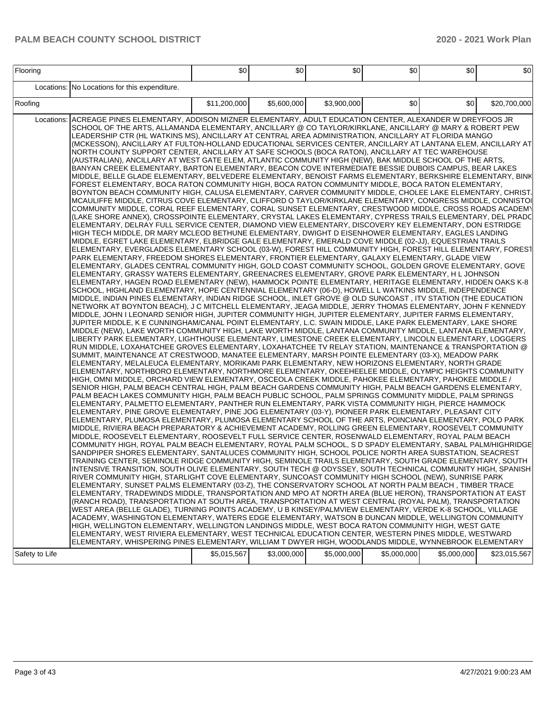| Flooring       |                                                                                                                                                                                                                                                                                                                                                                                                                                                                                                                                                                                                                                                                                                                                                                                                                                                                                                                                                                                                                                                                                                                                                                                                                                                                                                                                                                                                                                                                                                                                                                                                                                                                                                                                                                                                                                                                                                                                                                                                                                                                                                                                                                                                                                                                                                                                                                                                                                                                                                                                                                                                                                                                                                                                                                                                                                                                                                                                                                                                                                                                                                                                                                                                                                                                                                                                                                                                                                                                                                                                                                                                                                                                                                                                                                                                                                                                                                                                                                                                                                                                                                                                                                                                                                                                                                                                                                                                                                                                                                                                                                                                                                                                                                                                                                                                                                                                                                                                                                                                                                                                                                                                                                                                                                                                                                                                                                                                                                                                                                                                                                                                                                                                                                                                                                                                                                                                 | \$0          | \$0         | \$0         | \$0         | \$0         | \$0          |
|----------------|-----------------------------------------------------------------------------------------------------------------------------------------------------------------------------------------------------------------------------------------------------------------------------------------------------------------------------------------------------------------------------------------------------------------------------------------------------------------------------------------------------------------------------------------------------------------------------------------------------------------------------------------------------------------------------------------------------------------------------------------------------------------------------------------------------------------------------------------------------------------------------------------------------------------------------------------------------------------------------------------------------------------------------------------------------------------------------------------------------------------------------------------------------------------------------------------------------------------------------------------------------------------------------------------------------------------------------------------------------------------------------------------------------------------------------------------------------------------------------------------------------------------------------------------------------------------------------------------------------------------------------------------------------------------------------------------------------------------------------------------------------------------------------------------------------------------------------------------------------------------------------------------------------------------------------------------------------------------------------------------------------------------------------------------------------------------------------------------------------------------------------------------------------------------------------------------------------------------------------------------------------------------------------------------------------------------------------------------------------------------------------------------------------------------------------------------------------------------------------------------------------------------------------------------------------------------------------------------------------------------------------------------------------------------------------------------------------------------------------------------------------------------------------------------------------------------------------------------------------------------------------------------------------------------------------------------------------------------------------------------------------------------------------------------------------------------------------------------------------------------------------------------------------------------------------------------------------------------------------------------------------------------------------------------------------------------------------------------------------------------------------------------------------------------------------------------------------------------------------------------------------------------------------------------------------------------------------------------------------------------------------------------------------------------------------------------------------------------------------------------------------------------------------------------------------------------------------------------------------------------------------------------------------------------------------------------------------------------------------------------------------------------------------------------------------------------------------------------------------------------------------------------------------------------------------------------------------------------------------------------------------------------------------------------------------------------------------------------------------------------------------------------------------------------------------------------------------------------------------------------------------------------------------------------------------------------------------------------------------------------------------------------------------------------------------------------------------------------------------------------------------------------------------------------------------------------------------------------------------------------------------------------------------------------------------------------------------------------------------------------------------------------------------------------------------------------------------------------------------------------------------------------------------------------------------------------------------------------------------------------------------------------------------------------------------------------------------------------------------------------------------------------------------------------------------------------------------------------------------------------------------------------------------------------------------------------------------------------------------------------------------------------------------------------------------------------------------------------------------------------------------------------------------------------------------------------------------------------------------------------|--------------|-------------|-------------|-------------|-------------|--------------|
|                | Locations: No Locations for this expenditure.                                                                                                                                                                                                                                                                                                                                                                                                                                                                                                                                                                                                                                                                                                                                                                                                                                                                                                                                                                                                                                                                                                                                                                                                                                                                                                                                                                                                                                                                                                                                                                                                                                                                                                                                                                                                                                                                                                                                                                                                                                                                                                                                                                                                                                                                                                                                                                                                                                                                                                                                                                                                                                                                                                                                                                                                                                                                                                                                                                                                                                                                                                                                                                                                                                                                                                                                                                                                                                                                                                                                                                                                                                                                                                                                                                                                                                                                                                                                                                                                                                                                                                                                                                                                                                                                                                                                                                                                                                                                                                                                                                                                                                                                                                                                                                                                                                                                                                                                                                                                                                                                                                                                                                                                                                                                                                                                                                                                                                                                                                                                                                                                                                                                                                                                                                                                                   |              |             |             |             |             |              |
| Roofing        |                                                                                                                                                                                                                                                                                                                                                                                                                                                                                                                                                                                                                                                                                                                                                                                                                                                                                                                                                                                                                                                                                                                                                                                                                                                                                                                                                                                                                                                                                                                                                                                                                                                                                                                                                                                                                                                                                                                                                                                                                                                                                                                                                                                                                                                                                                                                                                                                                                                                                                                                                                                                                                                                                                                                                                                                                                                                                                                                                                                                                                                                                                                                                                                                                                                                                                                                                                                                                                                                                                                                                                                                                                                                                                                                                                                                                                                                                                                                                                                                                                                                                                                                                                                                                                                                                                                                                                                                                                                                                                                                                                                                                                                                                                                                                                                                                                                                                                                                                                                                                                                                                                                                                                                                                                                                                                                                                                                                                                                                                                                                                                                                                                                                                                                                                                                                                                                                 | \$11,200,000 | \$5,600,000 | \$3,900,000 | \$0         | \$0         | \$20,700,000 |
|                | Locations: ACREAGE PINES ELEMENTARY, ADDISON MIZNER ELEMENTARY, ADULT EDUCATION CENTER, ALEXANDER W DREYFOOS JR<br>SCHOOL OF THE ARTS, ALLAMANDA ELEMENTARY, ANCILLARY @ CO TAYLOR/KIRKLANE, ANCILLARY @ MARY & ROBERT PEW<br>LEADERSHIP CTR (HL WATKINS MS), ANCILLARY AT CENTRAL AREA ADMINISTRATION, ANCILLARY AT FLORIDA MANGO<br>(MCKESSON), ANCILLARY AT FULTON-HOLLAND EDUCATIONAL SERVICES CENTER, ANCILLARY AT LANTANA ELEM, ANCILLARY AT<br>NORTH COUNTY SUPPORT CENTER, ANCILLARY AT SAFE SCHOOLS (BOCA RATON), ANCILLARY AT TEC WAREHOUSE<br>(AUSTRALIAN), ANCILLARY AT WEST GATE ELEM, ATLANTIC COMMUNITY HIGH (NEW), BAK MIDDLE SCHOOL OF THE ARTS,<br>BANYAN CREEK ELEMENTARY, BARTON ELEMENTARY, BEACON COVE INTERMEDIATE BESSIE DUBOIS CAMPUS, BEAR LAKES<br>MIDDLE, BELLE GLADE ELEMENTARY, BELVEDERE ELEMENTARY, BENOIST FARMS ELEMENTARY, BERKSHIRE ELEMENTARY, BINK<br>FOREST ELEMENTARY, BOCA RATON COMMUNITY HIGH, BOCA RATON COMMUNITY MIDDLE, BOCA RATON ELEMENTARY,<br>BOYNTON BEACH COMMUNITY HIGH, CALUSA ELEMENTARY, CARVER COMMUNITY MIDDLE, CHOLEE LAKE ELEMENTARY, CHRIST.<br>MCAULIFFE MIDDLE, CITRUS COVE ELEMENTARY, CLIFFORD O TAYLOR/KIRKLANE ELEMENTARY, CONGRESS MIDDLE, CONNISTOI<br>COMMUNITY MIDDLE, CORAL REEF ELEMENTARY, CORAL SUNSET ELEMENTARY, CRESTWOOD MIDDLE, CROSS ROADS ACADEMY<br>(LAKE SHORE ANNEX), CROSSPOINTE ELEMENTARY, CRYSTAL LAKES ELEMENTARY, CYPRESS TRAILS ELEMENTARY, DEL PRADC<br>ELEMENTARY, DELRAY FULL SERVICE CENTER, DIAMOND VIEW ELEMENTARY, DISCOVERY KEY ELEMENTARY, DON ESTRIDGE<br>HIGH TECH MIDDLE, DR MARY MCLEOD BETHUNE ELEMENTARY, DWIGHT D EISENHOWER ELEMENTARY, EAGLES LANDING<br>MIDDLE, EGRET LAKE ELEMENTARY, ELBRIDGE GALE ELEMENTARY, EMERALD COVE MIDDLE (02-JJ), EQUESTRIAN TRAILS<br>ELEMENTARY, EVERGLADES ELEMENTARY SCHOOL (03-W), FOREST HILL COMMUNITY HIGH, FOREST HILL ELEMENTARY, FOREST<br>PARK ELEMENTARY, FREEDOM SHORES ELEMENTARY, FRONTIER ELEMENTARY, GALAXY ELEMENTARY, GLADE VIEW<br>ELEMENTARY, GLADES CENTRAL COMMUNITY HIGH, GOLD COAST COMMUNITY SCHOOL, GOLDEN GROVE ELEMENTARY, GOVE<br>ELEMENTARY, GRASSY WATERS ELEMENTARY, GREENACRES ELEMENTARY, GROVE PARK ELEMENTARY, H L JOHNSON<br>ELEMENTARY, HAGEN ROAD ELEMENTARY (NEW), HAMMOCK POINTE ELEMENTARY, HERITAGE ELEMENTARY, HIDDEN OAKS K-8<br>SCHOOL, HIGHLAND ELEMENTARY, HOPE CENTENNIAL ELEMENTARY (06-D), HOWELL L WATKINS MIDDLE, INDEPENDENCE<br>MIDDLE, INDIAN PINES ELEMENTARY, INDIAN RIDGE SCHOOL, INLET GROVE @ OLD SUNCOAST , ITV STATION (THE EDUCATION<br>NETWORK AT BOYNTON BEACH), J C MITCHELL ELEMENTARY, JEAGA MIDDLE, JERRY THOMAS ELEMENTARY, JOHN F KENNEDY<br>MIDDLE, JOHN I LEONARD SENIOR HIGH, JUPITER COMMUNITY HIGH, JUPITER ELEMENTARY, JUPITER FARMS ELEMENTARY,<br>JUPITER MIDDLE, K E CUNNINGHAM/CANAL POINT ELEMENTARY, L.C. SWAIN MIDDLE, LAKE PARK ELEMENTARY, LAKE SHORE<br>MIDDLE (NEW), LAKE WORTH COMMUNITY HIGH, LAKE WORTH MIDDLE, LANTANA COMMUNITY MIDDLE, LANTANA ELEMENTARY,<br>LIBERTY PARK ELEMENTARY, LIGHTHOUSE ELEMENTARY, LIMESTONE CREEK ELEMENTARY, LINCOLN ELEMENTARY, LOGGERS<br>RUN MIDDLE, LOXAHATCHEE GROVES ELEMENTARY, LOXAHATCHEE TV RELAY STATION, MAINTENANCE & TRANSPORTATION @<br>SUMMIT, MAINTENANCE AT CRESTWOOD, MANATEE ELEMENTARY, MARSH POINTE ELEMENTARY (03-X), MEADOW PARK<br>ELEMENTARY, MELALEUCA ELEMENTARY, MORIKAMI PARK ELEMENTARY, NEW HORIZONS ELEMENTARY, NORTH GRADE<br>ELEMENTARY, NORTHBORO ELEMENTARY, NORTHMORE ELEMENTARY, OKEEHEELEE MIDDLE, OLYMPIC HEIGHTS COMMUNITY<br>HIGH, OMNI MIDDLE, ORCHARD VIEW ELEMENTARY, OSCEOLA CREEK MIDDLE, PAHOKEE ELEMENTARY, PAHOKEE MIDDLE /<br>SENIOR HIGH, PALM BEACH CENTRAL HIGH, PALM BEACH GARDENS COMMUNITY HIGH, PALM BEACH GARDENS ELEMENTARY,<br>PALM BEACH LAKES COMMUNITY HIGH, PALM BEACH PUBLIC SCHOOL, PALM SPRINGS COMMUNITY MIDDLE, PALM SPRINGS<br>ELEMENTARY, PALMETTO ELEMENTARY, PANTHER RUN ELEMENTARY, PARK VISTA COMMUNITY HIGH, PIERCE HAMMOCK<br>ELEMENTARY, PINE GROVE ELEMENTARY, PINE JOG ELEMENTARY (03-Y), PIONEER PARK ELEMENTARY, PLEASANT CITY<br>ELEMENTARY, PLUMOSA ELEMENTARY, PLUMOSA ELEMENTARY SCHOOL OF THE ARTS, POINCIANA ELEMENTARY, POLO PARK<br>MIDDLE, RIVIERA BEACH PREPARATORY & ACHIEVEMENT ACADEMY, ROLLING GREEN ELEMENTARY, ROOSEVELT COMMUNITY<br>MIDDLE, ROOSEVELT ELEMENTARY, ROOSEVELT FULL SERVICE CENTER, ROSENWALD ELEMENTARY, ROYAL PALM BEACH<br>COMMUNITY HIGH, ROYAL PALM BEACH ELEMENTARY, ROYAL PALM SCHOOL, S D SPADY ELEMENTARY, SABAL PALM/HIGHRIDGE<br>SANDPIPER SHORES ELEMENTARY, SANTALUCES COMMUNITY HIGH, SCHOOL POLICE NORTH AREA SUBSTATION, SEACREST<br>TRAINING CENTER, SEMINOLE RIDGE COMMUNITY HIGH, SEMINOLE TRAILS ELEMENTARY, SOUTH GRADE ELEMENTARY, SOUTH<br>INTENSIVE TRANSITION, SOUTH OLIVE ELEMENTARY, SOUTH TECH @ ODYSSEY, SOUTH TECHNICAL COMMUNITY HIGH, SPANISH<br>RIVER COMMUNITY HIGH, STARLIGHT COVE ELEMENTARY, SUNCOAST COMMUNITY HIGH SCHOOL (NEW), SUNRISE PARK<br>ELEMENTARY, SUNSET PALMS ELEMENTARY (03-Z), THE CONSERVATORY SCHOOL AT NORTH PALM BEACH, TIMBER TRACE<br>ELEMENTARY, TRADEWINDS MIDDLE, TRANSPORTATION AND MPO AT NORTH AREA (BLUE HERON), TRANSPORTATION AT EAST<br>(RANCH ROAD), TRANSPORTATION AT SOUTH AREA, TRANSPORTATION AT WEST CENTRAL (ROYAL PALM), TRANSPORTATION<br>WEST AREA (BELLE GLADE), TURNING POINTS ACADEMY, U B KINSEY/PALMVIEW ELEMENTARY, VERDE K-8 SCHOOL, VILLAGE<br>ACADEMY, WASHINGTON ELEMENTARY, WATERS EDGE ELEMENTARY, WATSON B DUNCAN MIDDLE, WELLINGTON COMMUNITY<br>HIGH, WELLINGTON ELEMENTARY, WELLINGTON LANDINGS MIDDLE, WEST BOCA RATON COMMUNITY HIGH, WEST GATE<br>ELEMENTARY, WEST RIVIERA ELEMENTARY, WEST TECHNICAL EDUCATION CENTER, WESTERN PINES MIDDLE, WESTWARD<br>ELEMENTARY, WHISPERING PINES ELEMENTARY, WILLIAM T DWYER HIGH, WOODLANDS MIDDLE, WYNNEBROOK ELEMENTARY |              |             |             |             |             |              |
| Safety to Life |                                                                                                                                                                                                                                                                                                                                                                                                                                                                                                                                                                                                                                                                                                                                                                                                                                                                                                                                                                                                                                                                                                                                                                                                                                                                                                                                                                                                                                                                                                                                                                                                                                                                                                                                                                                                                                                                                                                                                                                                                                                                                                                                                                                                                                                                                                                                                                                                                                                                                                                                                                                                                                                                                                                                                                                                                                                                                                                                                                                                                                                                                                                                                                                                                                                                                                                                                                                                                                                                                                                                                                                                                                                                                                                                                                                                                                                                                                                                                                                                                                                                                                                                                                                                                                                                                                                                                                                                                                                                                                                                                                                                                                                                                                                                                                                                                                                                                                                                                                                                                                                                                                                                                                                                                                                                                                                                                                                                                                                                                                                                                                                                                                                                                                                                                                                                                                                                 | \$5,015,567  | \$3,000,000 | \$5,000,000 | \$5,000,000 | \$5,000,000 | \$23,015,567 |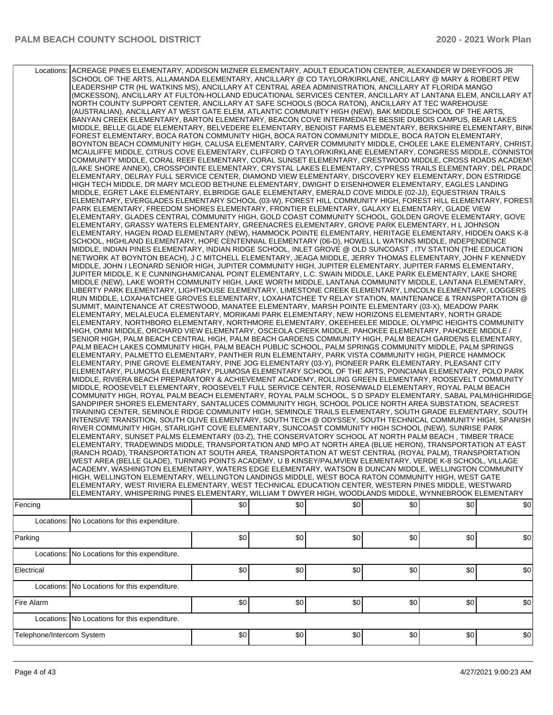| Fencing                   | Locations: ACREAGE PINES ELEMENTARY, ADDISON MIZNER ELEMENTARY, ADULT EDUCATION CENTER, ALEXANDER W DREYFOOS JR<br>SCHOOL OF THE ARTS, ALLAMANDA ELEMENTARY, ANCILLARY @ CO TAYLOR/KIRKLANE, ANCILLARY @ MARY & ROBERT PEW<br>LEADERSHIP CTR (HL WATKINS MS), ANCILLARY AT CENTRAL AREA ADMINISTRATION, ANCILLARY AT FLORIDA MANGO<br>(MCKESSON), ANCILLARY AT FULTON-HOLLAND EDUCATIONAL SERVICES CENTER, ANCILLARY AT LANTANA ELEM, ANCILLARY AT<br>NORTH COUNTY SUPPORT CENTER, ANCILLARY AT SAFE SCHOOLS (BOCA RATON), ANCILLARY AT TEC WAREHOUSE<br>(AUSTRALIAN), ANCILLARY AT WEST GATE ELEM, ATLANTIC COMMUNITY HIGH (NEW), BAK MIDDLE SCHOOL OF THE ARTS,<br>BANYAN CREEK ELEMENTARY, BARTON ELEMENTARY, BEACON COVE INTERMEDIATE BESSIE DUBOIS CAMPUS, BEAR LAKES<br>MIDDLE, BELLE GLADE ELEMENTARY, BELVEDERE ELEMENTARY, BENOIST FARMS ELEMENTARY, BERKSHIRE ELEMENTARY, BINK<br>FOREST ELEMENTARY, BOCA RATON COMMUNITY HIGH, BOCA RATON COMMUNITY MIDDLE, BOCA RATON ELEMENTARY,<br>BOYNTON BEACH COMMUNITY HIGH, CALUSA ELEMENTARY, CARVER COMMUNITY MIDDLE, CHOLEE LAKE ELEMENTARY, CHRIST.<br>MCAULIFFE MIDDLE, CITRUS COVE ELEMENTARY, CLIFFORD O TAYLOR/KIRKLANE ELEMENTARY, CONGRESS MIDDLE, CONNISTOI<br>COMMUNITY MIDDLE, CORAL REEF ELEMENTARY, CORAL SUNSET ELEMENTARY, CRESTWOOD MIDDLE, CROSS ROADS ACADEMY<br>(LAKE SHORE ANNEX), CROSSPOINTE ELEMENTARY, CRYSTAL LAKES ELEMENTARY, CYPRESS TRAILS ELEMENTARY, DEL PRADC<br>ELEMENTARY, DELRAY FULL SERVICE CENTER, DIAMOND VIEW ELEMENTARY, DISCOVERY KEY ELEMENTARY, DON ESTRIDGE<br>HIGH TECH MIDDLE, DR MARY MCLEOD BETHUNE ELEMENTARY, DWIGHT D EISENHOWER ELEMENTARY, EAGLES LANDING<br>MIDDLE, EGRET LAKE ELEMENTARY, ELBRIDGE GALE ELEMENTARY, EMERALD COVE MIDDLE (02-JJ), EQUESTRIAN TRAILS<br>ELEMENTARY, EVERGLADES ELEMENTARY SCHOOL (03-W), FOREST HILL COMMUNITY HIGH, FOREST HILL ELEMENTARY, FOREST<br>PARK ELEMENTARY, FREEDOM SHORES ELEMENTARY, FRONTIER ELEMENTARY, GALAXY ELEMENTARY, GLADE VIEW<br>ELEMENTARY, GLADES CENTRAL COMMUNITY HIGH, GOLD COAST COMMUNITY SCHOOL, GOLDEN GROVE ELEMENTARY, GOVE<br>ELEMENTARY, GRASSY WATERS ELEMENTARY, GREENACRES ELEMENTARY, GROVE PARK ELEMENTARY, H L JOHNSON<br>ELEMENTARY, HAGEN ROAD ELEMENTARY (NEW), HAMMOCK POINTE ELEMENTARY, HERITAGE ELEMENTARY, HIDDEN OAKS K-8<br>SCHOOL, HIGHLAND ELEMENTARY, HOPE CENTENNIAL ELEMENTARY (06-D), HOWELL L WATKINS MIDDLE, INDEPENDENCE<br>MIDDLE, INDIAN PINES ELEMENTARY, INDIAN RIDGE SCHOOL, INLET GROVE @ OLD SUNCOAST, ITV STATION (THE EDUCATION<br>NETWORK AT BOYNTON BEACH), J C MITCHELL ELEMENTARY, JEAGA MIDDLE, JERRY THOMAS ELEMENTARY, JOHN F KENNEDY<br>MIDDLE, JOHN I LEONARD SENIOR HIGH, JUPITER COMMUNITY HIGH, JUPITER ELEMENTARY, JUPITER FARMS ELEMENTARY,<br>JUPITER MIDDLE, K E CUNNINGHAM/CANAL POINT ELEMENTARY, L.C. SWAIN MIDDLE, LAKE PARK ELEMENTARY, LAKE SHORE<br>MIDDLE (NEW), LAKE WORTH COMMUNITY HIGH, LAKE WORTH MIDDLE, LANTANA COMMUNITY MIDDLE, LANTANA ELEMENTARY,<br>LIBERTY PARK ELEMENTARY, LIGHTHOUSE ELEMENTARY, LIMESTONE CREEK ELEMENTARY, LINCOLN ELEMENTARY, LOGGERS<br>RUN MIDDLE, LOXAHATCHEE GROVES ELEMENTARY, LOXAHATCHEE TV RELAY STATION, MAINTENANCE & TRANSPORTATION @<br>SUMMIT, MAINTENANCE AT CRESTWOOD, MANATEE ELEMENTARY, MARSH POINTE ELEMENTARY (03-X), MEADOW PARK<br>ELEMENTARY, MELALEUCA ELEMENTARY, MORIKAMI PARK ELEMENTARY, NEW HORIZONS ELEMENTARY, NORTH GRADE<br>ELEMENTARY, NORTHBORO ELEMENTARY, NORTHMORE ELEMENTARY, OKEEHEELEE MIDDLE, OLYMPIC HEIGHTS COMMUNITY<br>HIGH, OMNI MIDDLE, ORCHARD VIEW ELEMENTARY, OSCEOLA CREEK MIDDLE, PAHOKEE ELEMENTARY, PAHOKEE MIDDLE /<br>SENIOR HIGH, PALM BEACH CENTRAL HIGH, PALM BEACH GARDENS COMMUNITY HIGH, PALM BEACH GARDENS ELEMENTARY,<br>PALM BEACH LAKES COMMUNITY HIGH, PALM BEACH PUBLIC SCHOOL, PALM SPRINGS COMMUNITY MIDDLE, PALM SPRINGS<br>ELEMENTARY, PALMETTO ELEMENTARY, PANTHER RUN ELEMENTARY, PARK VISTA COMMUNITY HIGH, PIERCE HAMMOCK<br>ELEMENTARY, PINE GROVE ELEMENTARY, PINE JOG ELEMENTARY (03-Y), PIONEER PARK ELEMENTARY, PLEASANT CITY<br>ELEMENTARY, PLUMOSA ELEMENTARY, PLUMOSA ELEMENTARY SCHOOL OF THE ARTS, POINCIANA ELEMENTARY, POLO PARK<br>MIDDLE, RIVIERA BEACH PREPARATORY & ACHIEVEMENT ACADEMY, ROLLING GREEN ELEMENTARY, ROOSEVELT COMMUNITY<br>MIDDLE, ROOSEVELT ELEMENTARY, ROOSEVELT FULL SERVICE CENTER, ROSENWALD ELEMENTARY, ROYAL PALM BEACH<br>COMMUNITY HIGH, ROYAL PALM BEACH ELEMENTARY, ROYAL PALM SCHOOL, S D SPADY ELEMENTARY, SABAL PALM/HIGHRIDGE<br>SANDPIPER SHORES ELEMENTARY, SANTALUCES COMMUNITY HIGH, SCHOOL POLICE NORTH AREA SUBSTATION, SEACREST<br>TRAINING CENTER, SEMINOLE RIDGE COMMUNITY HIGH, SEMINOLE TRAILS ELEMENTARY, SOUTH GRADE ELEMENTARY, SOUTH<br>INTENSIVE TRANSITION, SOUTH OLIVE ELEMENTARY, SOUTH TECH @ ODYSSEY, SOUTH TECHNICAL COMMUNITY HIGH, SPANISH<br>RIVER COMMUNITY HIGH, STARLIGHT COVE ELEMENTARY, SUNCOAST COMMUNITY HIGH SCHOOL (NEW), SUNRISE PARK<br>ELEMENTARY, SUNSET PALMS ELEMENTARY (03-Z), THE CONSERVATORY SCHOOL AT NORTH PALM BEACH, TIMBER TRACE<br>ELEMENTARY, TRADEWINDS MIDDLE, TRANSPORTATION AND MPO AT NORTH AREA (BLUE HERON), TRANSPORTATION AT EAST<br>(RANCH ROAD), TRANSPORTATION AT SOUTH AREA, TRANSPORTATION AT WEST CENTRAL (ROYAL PALM), TRANSPORTATION<br>WEST AREA (BELLE GLADE), TURNING POINTS ACADEMY, U B KINSEY/PALMVIEW ELEMENTARY, VERDE K-8 SCHOOL, VILLAGE<br>ACADEMY, WASHINGTON ELEMENTARY, WATERS EDGE ELEMENTARY, WATSON B DUNCAN MIDDLE, WELLINGTON COMMUNITY<br>HIGH, WELLINGTON ELEMENTARY, WELLINGTON LANDINGS MIDDLE, WEST BOCA RATON COMMUNITY HIGH, WEST GATE<br>ELEMENTARY, WEST RIVIERA ELEMENTARY, WEST TECHNICAL EDUCATION CENTER, WESTERN PINES MIDDLE, WESTWARD<br>ELEMENTARY, WHISPERING PINES ELEMENTARY, WILLIAM T DWYER HIGH, WOODLANDS MIDDLE, WYNNEBROOK ELEMENTARY | \$0 | \$0 | \$0 | \$0 | \$0 | \$0 |
|---------------------------|----------------------------------------------------------------------------------------------------------------------------------------------------------------------------------------------------------------------------------------------------------------------------------------------------------------------------------------------------------------------------------------------------------------------------------------------------------------------------------------------------------------------------------------------------------------------------------------------------------------------------------------------------------------------------------------------------------------------------------------------------------------------------------------------------------------------------------------------------------------------------------------------------------------------------------------------------------------------------------------------------------------------------------------------------------------------------------------------------------------------------------------------------------------------------------------------------------------------------------------------------------------------------------------------------------------------------------------------------------------------------------------------------------------------------------------------------------------------------------------------------------------------------------------------------------------------------------------------------------------------------------------------------------------------------------------------------------------------------------------------------------------------------------------------------------------------------------------------------------------------------------------------------------------------------------------------------------------------------------------------------------------------------------------------------------------------------------------------------------------------------------------------------------------------------------------------------------------------------------------------------------------------------------------------------------------------------------------------------------------------------------------------------------------------------------------------------------------------------------------------------------------------------------------------------------------------------------------------------------------------------------------------------------------------------------------------------------------------------------------------------------------------------------------------------------------------------------------------------------------------------------------------------------------------------------------------------------------------------------------------------------------------------------------------------------------------------------------------------------------------------------------------------------------------------------------------------------------------------------------------------------------------------------------------------------------------------------------------------------------------------------------------------------------------------------------------------------------------------------------------------------------------------------------------------------------------------------------------------------------------------------------------------------------------------------------------------------------------------------------------------------------------------------------------------------------------------------------------------------------------------------------------------------------------------------------------------------------------------------------------------------------------------------------------------------------------------------------------------------------------------------------------------------------------------------------------------------------------------------------------------------------------------------------------------------------------------------------------------------------------------------------------------------------------------------------------------------------------------------------------------------------------------------------------------------------------------------------------------------------------------------------------------------------------------------------------------------------------------------------------------------------------------------------------------------------------------------------------------------------------------------------------------------------------------------------------------------------------------------------------------------------------------------------------------------------------------------------------------------------------------------------------------------------------------------------------------------------------------------------------------------------------------------------------------------------------------------------------------------------------------------------------------------------------------------------------------------------------------------------------------------------------------------------------------------------------------------------------------------------------------------------------------------------------------------------------------------------------------------------------------------------------------------------------------------------------------------------------------------------|-----|-----|-----|-----|-----|-----|
|                           | Locations: No Locations for this expenditure.                                                                                                                                                                                                                                                                                                                                                                                                                                                                                                                                                                                                                                                                                                                                                                                                                                                                                                                                                                                                                                                                                                                                                                                                                                                                                                                                                                                                                                                                                                                                                                                                                                                                                                                                                                                                                                                                                                                                                                                                                                                                                                                                                                                                                                                                                                                                                                                                                                                                                                                                                                                                                                                                                                                                                                                                                                                                                                                                                                                                                                                                                                                                                                                                                                                                                                                                                                                                                                                                                                                                                                                                                                                                                                                                                                                                                                                                                                                                                                                                                                                                                                                                                                                                                                                                                                                                                                                                                                                                                                                                                                                                                                                                                                                                                                                                                                                                                                                                                                                                                                                                                                                                                                                                                                                                                                                                                                                                                                                                                                                                                                                                                                                                                                                                                                                                                  |     |     |     |     |     |     |
| Parking                   |                                                                                                                                                                                                                                                                                                                                                                                                                                                                                                                                                                                                                                                                                                                                                                                                                                                                                                                                                                                                                                                                                                                                                                                                                                                                                                                                                                                                                                                                                                                                                                                                                                                                                                                                                                                                                                                                                                                                                                                                                                                                                                                                                                                                                                                                                                                                                                                                                                                                                                                                                                                                                                                                                                                                                                                                                                                                                                                                                                                                                                                                                                                                                                                                                                                                                                                                                                                                                                                                                                                                                                                                                                                                                                                                                                                                                                                                                                                                                                                                                                                                                                                                                                                                                                                                                                                                                                                                                                                                                                                                                                                                                                                                                                                                                                                                                                                                                                                                                                                                                                                                                                                                                                                                                                                                                                                                                                                                                                                                                                                                                                                                                                                                                                                                                                                                                                                                | \$0 | \$0 | \$0 | \$0 | \$0 | \$0 |
|                           | Locations: No Locations for this expenditure.                                                                                                                                                                                                                                                                                                                                                                                                                                                                                                                                                                                                                                                                                                                                                                                                                                                                                                                                                                                                                                                                                                                                                                                                                                                                                                                                                                                                                                                                                                                                                                                                                                                                                                                                                                                                                                                                                                                                                                                                                                                                                                                                                                                                                                                                                                                                                                                                                                                                                                                                                                                                                                                                                                                                                                                                                                                                                                                                                                                                                                                                                                                                                                                                                                                                                                                                                                                                                                                                                                                                                                                                                                                                                                                                                                                                                                                                                                                                                                                                                                                                                                                                                                                                                                                                                                                                                                                                                                                                                                                                                                                                                                                                                                                                                                                                                                                                                                                                                                                                                                                                                                                                                                                                                                                                                                                                                                                                                                                                                                                                                                                                                                                                                                                                                                                                                  |     |     |     |     |     |     |
| Electrical                |                                                                                                                                                                                                                                                                                                                                                                                                                                                                                                                                                                                                                                                                                                                                                                                                                                                                                                                                                                                                                                                                                                                                                                                                                                                                                                                                                                                                                                                                                                                                                                                                                                                                                                                                                                                                                                                                                                                                                                                                                                                                                                                                                                                                                                                                                                                                                                                                                                                                                                                                                                                                                                                                                                                                                                                                                                                                                                                                                                                                                                                                                                                                                                                                                                                                                                                                                                                                                                                                                                                                                                                                                                                                                                                                                                                                                                                                                                                                                                                                                                                                                                                                                                                                                                                                                                                                                                                                                                                                                                                                                                                                                                                                                                                                                                                                                                                                                                                                                                                                                                                                                                                                                                                                                                                                                                                                                                                                                                                                                                                                                                                                                                                                                                                                                                                                                                                                | \$0 | \$0 | \$0 | \$0 | \$0 | \$0 |
|                           | Locations: No Locations for this expenditure.                                                                                                                                                                                                                                                                                                                                                                                                                                                                                                                                                                                                                                                                                                                                                                                                                                                                                                                                                                                                                                                                                                                                                                                                                                                                                                                                                                                                                                                                                                                                                                                                                                                                                                                                                                                                                                                                                                                                                                                                                                                                                                                                                                                                                                                                                                                                                                                                                                                                                                                                                                                                                                                                                                                                                                                                                                                                                                                                                                                                                                                                                                                                                                                                                                                                                                                                                                                                                                                                                                                                                                                                                                                                                                                                                                                                                                                                                                                                                                                                                                                                                                                                                                                                                                                                                                                                                                                                                                                                                                                                                                                                                                                                                                                                                                                                                                                                                                                                                                                                                                                                                                                                                                                                                                                                                                                                                                                                                                                                                                                                                                                                                                                                                                                                                                                                                  |     |     |     |     |     |     |
| Fire Alarm                |                                                                                                                                                                                                                                                                                                                                                                                                                                                                                                                                                                                                                                                                                                                                                                                                                                                                                                                                                                                                                                                                                                                                                                                                                                                                                                                                                                                                                                                                                                                                                                                                                                                                                                                                                                                                                                                                                                                                                                                                                                                                                                                                                                                                                                                                                                                                                                                                                                                                                                                                                                                                                                                                                                                                                                                                                                                                                                                                                                                                                                                                                                                                                                                                                                                                                                                                                                                                                                                                                                                                                                                                                                                                                                                                                                                                                                                                                                                                                                                                                                                                                                                                                                                                                                                                                                                                                                                                                                                                                                                                                                                                                                                                                                                                                                                                                                                                                                                                                                                                                                                                                                                                                                                                                                                                                                                                                                                                                                                                                                                                                                                                                                                                                                                                                                                                                                                                | \$0 | \$0 | \$0 | \$0 | \$0 | \$0 |
|                           | Locations: No Locations for this expenditure.                                                                                                                                                                                                                                                                                                                                                                                                                                                                                                                                                                                                                                                                                                                                                                                                                                                                                                                                                                                                                                                                                                                                                                                                                                                                                                                                                                                                                                                                                                                                                                                                                                                                                                                                                                                                                                                                                                                                                                                                                                                                                                                                                                                                                                                                                                                                                                                                                                                                                                                                                                                                                                                                                                                                                                                                                                                                                                                                                                                                                                                                                                                                                                                                                                                                                                                                                                                                                                                                                                                                                                                                                                                                                                                                                                                                                                                                                                                                                                                                                                                                                                                                                                                                                                                                                                                                                                                                                                                                                                                                                                                                                                                                                                                                                                                                                                                                                                                                                                                                                                                                                                                                                                                                                                                                                                                                                                                                                                                                                                                                                                                                                                                                                                                                                                                                                  |     |     |     |     |     |     |
| Telephone/Intercom System |                                                                                                                                                                                                                                                                                                                                                                                                                                                                                                                                                                                                                                                                                                                                                                                                                                                                                                                                                                                                                                                                                                                                                                                                                                                                                                                                                                                                                                                                                                                                                                                                                                                                                                                                                                                                                                                                                                                                                                                                                                                                                                                                                                                                                                                                                                                                                                                                                                                                                                                                                                                                                                                                                                                                                                                                                                                                                                                                                                                                                                                                                                                                                                                                                                                                                                                                                                                                                                                                                                                                                                                                                                                                                                                                                                                                                                                                                                                                                                                                                                                                                                                                                                                                                                                                                                                                                                                                                                                                                                                                                                                                                                                                                                                                                                                                                                                                                                                                                                                                                                                                                                                                                                                                                                                                                                                                                                                                                                                                                                                                                                                                                                                                                                                                                                                                                                                                | \$0 | \$0 | \$0 | \$0 | \$0 | \$0 |
|                           |                                                                                                                                                                                                                                                                                                                                                                                                                                                                                                                                                                                                                                                                                                                                                                                                                                                                                                                                                                                                                                                                                                                                                                                                                                                                                                                                                                                                                                                                                                                                                                                                                                                                                                                                                                                                                                                                                                                                                                                                                                                                                                                                                                                                                                                                                                                                                                                                                                                                                                                                                                                                                                                                                                                                                                                                                                                                                                                                                                                                                                                                                                                                                                                                                                                                                                                                                                                                                                                                                                                                                                                                                                                                                                                                                                                                                                                                                                                                                                                                                                                                                                                                                                                                                                                                                                                                                                                                                                                                                                                                                                                                                                                                                                                                                                                                                                                                                                                                                                                                                                                                                                                                                                                                                                                                                                                                                                                                                                                                                                                                                                                                                                                                                                                                                                                                                                                                |     |     |     |     |     |     |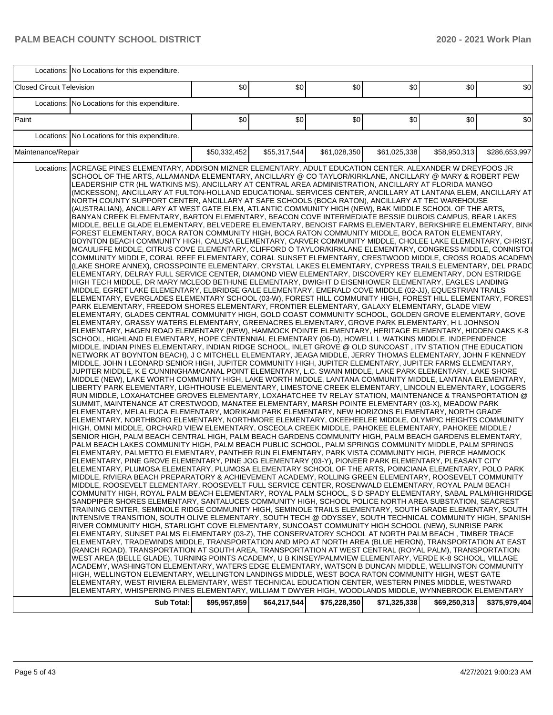|                                  | Locations: No Locations for this expenditure.                                                                                                                                                                                                                                                                                                                                                                                                                                                                                                                                                                                                                                                                                                                                                                                                                                                                                                                                                                                                                                                                                                                                                                                                                                                                                                                                                                                                                                                                                                                                                                                                                                                                                                                                                                                                                                                                                                                                                                                                                                                                                                                                                                                                                                                                                                                                                                                                                                                                                                                                                                                                                                                                                                                                                                                                                                                                                                                                                                                                                                                                                                                                                                                                                                                                                                                                                                                                                                                                                                                                                                                                                                                                                                                                                                                                                                                                                                                                                                                                                                                                                                                                                                                                                                                                                                                                                                                                                                                                                                                                                                                                                                                                                                                                                                                                                                                                                                                                                                                                                                                                                                                                                                                                                                                                                                                                                                                                                                                                                                                                                                                                                                                                                                                                                                                                                     |              |              |              |              |              |               |
|----------------------------------|-------------------------------------------------------------------------------------------------------------------------------------------------------------------------------------------------------------------------------------------------------------------------------------------------------------------------------------------------------------------------------------------------------------------------------------------------------------------------------------------------------------------------------------------------------------------------------------------------------------------------------------------------------------------------------------------------------------------------------------------------------------------------------------------------------------------------------------------------------------------------------------------------------------------------------------------------------------------------------------------------------------------------------------------------------------------------------------------------------------------------------------------------------------------------------------------------------------------------------------------------------------------------------------------------------------------------------------------------------------------------------------------------------------------------------------------------------------------------------------------------------------------------------------------------------------------------------------------------------------------------------------------------------------------------------------------------------------------------------------------------------------------------------------------------------------------------------------------------------------------------------------------------------------------------------------------------------------------------------------------------------------------------------------------------------------------------------------------------------------------------------------------------------------------------------------------------------------------------------------------------------------------------------------------------------------------------------------------------------------------------------------------------------------------------------------------------------------------------------------------------------------------------------------------------------------------------------------------------------------------------------------------------------------------------------------------------------------------------------------------------------------------------------------------------------------------------------------------------------------------------------------------------------------------------------------------------------------------------------------------------------------------------------------------------------------------------------------------------------------------------------------------------------------------------------------------------------------------------------------------------------------------------------------------------------------------------------------------------------------------------------------------------------------------------------------------------------------------------------------------------------------------------------------------------------------------------------------------------------------------------------------------------------------------------------------------------------------------------------------------------------------------------------------------------------------------------------------------------------------------------------------------------------------------------------------------------------------------------------------------------------------------------------------------------------------------------------------------------------------------------------------------------------------------------------------------------------------------------------------------------------------------------------------------------------------------------------------------------------------------------------------------------------------------------------------------------------------------------------------------------------------------------------------------------------------------------------------------------------------------------------------------------------------------------------------------------------------------------------------------------------------------------------------------------------------------------------------------------------------------------------------------------------------------------------------------------------------------------------------------------------------------------------------------------------------------------------------------------------------------------------------------------------------------------------------------------------------------------------------------------------------------------------------------------------------------------------------------------------------------------------------------------------------------------------------------------------------------------------------------------------------------------------------------------------------------------------------------------------------------------------------------------------------------------------------------------------------------------------------------------------------------------------------------------------------------------------------------------------------------|--------------|--------------|--------------|--------------|--------------|---------------|
| <b>Closed Circuit Television</b> |                                                                                                                                                                                                                                                                                                                                                                                                                                                                                                                                                                                                                                                                                                                                                                                                                                                                                                                                                                                                                                                                                                                                                                                                                                                                                                                                                                                                                                                                                                                                                                                                                                                                                                                                                                                                                                                                                                                                                                                                                                                                                                                                                                                                                                                                                                                                                                                                                                                                                                                                                                                                                                                                                                                                                                                                                                                                                                                                                                                                                                                                                                                                                                                                                                                                                                                                                                                                                                                                                                                                                                                                                                                                                                                                                                                                                                                                                                                                                                                                                                                                                                                                                                                                                                                                                                                                                                                                                                                                                                                                                                                                                                                                                                                                                                                                                                                                                                                                                                                                                                                                                                                                                                                                                                                                                                                                                                                                                                                                                                                                                                                                                                                                                                                                                                                                                                                                   | \$0          | \$0          | \$0          | \$0          | \$0          | \$0           |
|                                  | Locations: No Locations for this expenditure.                                                                                                                                                                                                                                                                                                                                                                                                                                                                                                                                                                                                                                                                                                                                                                                                                                                                                                                                                                                                                                                                                                                                                                                                                                                                                                                                                                                                                                                                                                                                                                                                                                                                                                                                                                                                                                                                                                                                                                                                                                                                                                                                                                                                                                                                                                                                                                                                                                                                                                                                                                                                                                                                                                                                                                                                                                                                                                                                                                                                                                                                                                                                                                                                                                                                                                                                                                                                                                                                                                                                                                                                                                                                                                                                                                                                                                                                                                                                                                                                                                                                                                                                                                                                                                                                                                                                                                                                                                                                                                                                                                                                                                                                                                                                                                                                                                                                                                                                                                                                                                                                                                                                                                                                                                                                                                                                                                                                                                                                                                                                                                                                                                                                                                                                                                                                                     |              |              |              |              |              |               |
| Paint                            |                                                                                                                                                                                                                                                                                                                                                                                                                                                                                                                                                                                                                                                                                                                                                                                                                                                                                                                                                                                                                                                                                                                                                                                                                                                                                                                                                                                                                                                                                                                                                                                                                                                                                                                                                                                                                                                                                                                                                                                                                                                                                                                                                                                                                                                                                                                                                                                                                                                                                                                                                                                                                                                                                                                                                                                                                                                                                                                                                                                                                                                                                                                                                                                                                                                                                                                                                                                                                                                                                                                                                                                                                                                                                                                                                                                                                                                                                                                                                                                                                                                                                                                                                                                                                                                                                                                                                                                                                                                                                                                                                                                                                                                                                                                                                                                                                                                                                                                                                                                                                                                                                                                                                                                                                                                                                                                                                                                                                                                                                                                                                                                                                                                                                                                                                                                                                                                                   | \$0          | \$0          | \$0          | \$0          | \$0          | \$0           |
|                                  | Locations: No Locations for this expenditure.                                                                                                                                                                                                                                                                                                                                                                                                                                                                                                                                                                                                                                                                                                                                                                                                                                                                                                                                                                                                                                                                                                                                                                                                                                                                                                                                                                                                                                                                                                                                                                                                                                                                                                                                                                                                                                                                                                                                                                                                                                                                                                                                                                                                                                                                                                                                                                                                                                                                                                                                                                                                                                                                                                                                                                                                                                                                                                                                                                                                                                                                                                                                                                                                                                                                                                                                                                                                                                                                                                                                                                                                                                                                                                                                                                                                                                                                                                                                                                                                                                                                                                                                                                                                                                                                                                                                                                                                                                                                                                                                                                                                                                                                                                                                                                                                                                                                                                                                                                                                                                                                                                                                                                                                                                                                                                                                                                                                                                                                                                                                                                                                                                                                                                                                                                                                                     |              |              |              |              |              |               |
| Maintenance/Repair               |                                                                                                                                                                                                                                                                                                                                                                                                                                                                                                                                                                                                                                                                                                                                                                                                                                                                                                                                                                                                                                                                                                                                                                                                                                                                                                                                                                                                                                                                                                                                                                                                                                                                                                                                                                                                                                                                                                                                                                                                                                                                                                                                                                                                                                                                                                                                                                                                                                                                                                                                                                                                                                                                                                                                                                                                                                                                                                                                                                                                                                                                                                                                                                                                                                                                                                                                                                                                                                                                                                                                                                                                                                                                                                                                                                                                                                                                                                                                                                                                                                                                                                                                                                                                                                                                                                                                                                                                                                                                                                                                                                                                                                                                                                                                                                                                                                                                                                                                                                                                                                                                                                                                                                                                                                                                                                                                                                                                                                                                                                                                                                                                                                                                                                                                                                                                                                                                   | \$50,332,452 | \$55,317,544 | \$61,028,350 | \$61,025,338 | \$58,950,313 | \$286,653,997 |
| Locations:                       | ACREAGE PINES ELEMENTARY, ADDISON MIZNER ELEMENTARY, ADULT EDUCATION CENTER, ALEXANDER W DREYFOOS JR<br>SCHOOL OF THE ARTS, ALLAMANDA ELEMENTARY, ANCILLARY @ CO TAYLOR/KIRKLANE, ANCILLARY @ MARY & ROBERT PEW<br>LEADERSHIP CTR (HL WATKINS MS), ANCILLARY AT CENTRAL AREA ADMINISTRATION, ANCILLARY AT FLORIDA MANGO<br>(MCKESSON), ANCILLARY AT FULTON-HOLLAND EDUCATIONAL SERVICES CENTER, ANCILLARY AT LANTANA ELEM, ANCILLARY AT<br>NORTH COUNTY SUPPORT CENTER, ANCILLARY AT SAFE SCHOOLS (BOCA RATON), ANCILLARY AT TEC WAREHOUSE<br>(AUSTRALIAN), ANCILLARY AT WEST GATE ELEM, ATLANTIC COMMUNITY HIGH (NEW), BAK MIDDLE SCHOOL OF THE ARTS,<br>BANYAN CREEK ELEMENTARY, BARTON ELEMENTARY, BEACON COVE INTERMEDIATE BESSIE DUBOIS CAMPUS, BEAR LAKES<br>MIDDLE, BELLE GLADE ELEMENTARY, BELVEDERE ELEMENTARY, BENOIST FARMS ELEMENTARY, BERKSHIRE ELEMENTARY, BINK<br>FOREST ELEMENTARY, BOCA RATON COMMUNITY HIGH, BOCA RATON COMMUNITY MIDDLE, BOCA RATON ELEMENTARY,<br>BOYNTON BEACH COMMUNITY HIGH, CALUSA ELEMENTARY, CARVER COMMUNITY MIDDLE, CHOLEE LAKE ELEMENTARY, CHRIST.<br>MCAULIFFE MIDDLE, CITRUS COVE ELEMENTARY, CLIFFORD O TAYLOR/KIRKLANE ELEMENTARY, CONGRESS MIDDLE, CONNISTOI<br>COMMUNITY MIDDLE, CORAL REEF ELEMENTARY, CORAL SUNSET ELEMENTARY, CRESTWOOD MIDDLE, CROSS ROADS ACADEMY<br>(LAKE SHORE ANNEX), CROSSPOINTE ELEMENTARY, CRYSTAL LAKES ELEMENTARY, CYPRESS TRAILS ELEMENTARY, DEL PRADC<br>ELEMENTARY, DELRAY FULL SERVICE CENTER, DIAMOND VIEW ELEMENTARY, DISCOVERY KEY ELEMENTARY, DON ESTRIDGE<br>HIGH TECH MIDDLE, DR MARY MCLEOD BETHUNE ELEMENTARY, DWIGHT D EISENHOWER ELEMENTARY, EAGLES LANDING<br>MIDDLE, EGRET LAKE ELEMENTARY, ELBRIDGE GALE ELEMENTARY, EMERALD COVE MIDDLE (02-JJ), EQUESTRIAN TRAILS<br>ELEMENTARY, EVERGLADES ELEMENTARY SCHOOL (03-W), FOREST HILL COMMUNITY HIGH, FOREST HILL ELEMENTARY, FOREST<br>PARK ELEMENTARY, FREEDOM SHORES ELEMENTARY, FRONTIER ELEMENTARY, GALAXY ELEMENTARY, GLADE VIEW<br>ELEMENTARY, GLADES CENTRAL COMMUNITY HIGH, GOLD COAST COMMUNITY SCHOOL, GOLDEN GROVE ELEMENTARY, GOVE<br>ELEMENTARY, GRASSY WATERS ELEMENTARY, GREENACRES ELEMENTARY, GROVE PARK ELEMENTARY, H L JOHNSON<br>ELEMENTARY, HAGEN ROAD ELEMENTARY (NEW), HAMMOCK POINTE ELEMENTARY, HERITAGE ELEMENTARY, HIDDEN OAKS K-8<br>SCHOOL, HIGHLAND ELEMENTARY, HOPE CENTENNIAL ELEMENTARY (06-D), HOWELL L WATKINS MIDDLE, INDEPENDENCE<br>MIDDLE, INDIAN PINES ELEMENTARY, INDIAN RIDGE SCHOOL, INLET GROVE @ OLD SUNCOAST, ITV STATION (THE EDUCATION<br>NETWORK AT BOYNTON BEACH), J C MITCHELL ELEMENTARY, JEAGA MIDDLE, JERRY THOMAS ELEMENTARY, JOHN F KENNEDY<br>MIDDLE, JOHN I LEONARD SENIOR HIGH, JUPITER COMMUNITY HIGH, JUPITER ELEMENTARY, JUPITER FARMS ELEMENTARY,<br>JUPITER MIDDLE, K E CUNNINGHAM/CANAL POINT ELEMENTARY, L.C. SWAIN MIDDLE, LAKE PARK ELEMENTARY, LAKE SHORE<br>MIDDLE (NEW), LAKE WORTH COMMUNITY HIGH, LAKE WORTH MIDDLE, LANTANA COMMUNITY MIDDLE, LANTANA ELEMENTARY,<br>LIBERTY PARK ELEMENTARY, LIGHTHOUSE ELEMENTARY, LIMESTONE CREEK ELEMENTARY, LINCOLN ELEMENTARY, LOGGERS<br>RUN MIDDLE, LOXAHATCHEE GROVES ELEMENTARY, LOXAHATCHEE TV RELAY STATION, MAINTENANCE & TRANSPORTATION @<br>SUMMIT, MAINTENANCE AT CRESTWOOD, MANATEE ELEMENTARY, MARSH POINTE ELEMENTARY (03-X), MEADOW PARK<br>ELEMENTARY, MELALEUCA ELEMENTARY, MORIKAMI PARK ELEMENTARY, NEW HORIZONS ELEMENTARY, NORTH GRADE<br>ELEMENTARY, NORTHBORO ELEMENTARY, NORTHMORE ELEMENTARY, OKEEHEELEE MIDDLE, OLYMPIC HEIGHTS COMMUNITY<br>HIGH, OMNI MIDDLE, ORCHARD VIEW ELEMENTARY, OSCEOLA CREEK MIDDLE, PAHOKEE ELEMENTARY, PAHOKEE MIDDLE /<br>SENIOR HIGH, PALM BEACH CENTRAL HIGH, PALM BEACH GARDENS COMMUNITY HIGH, PALM BEACH GARDENS ELEMENTARY,<br>PALM BEACH LAKES COMMUNITY HIGH, PALM BEACH PUBLIC SCHOOL, PALM SPRINGS COMMUNITY MIDDLE, PALM SPRINGS<br>ELEMENTARY, PALMETTO ELEMENTARY, PANTHER RUN ELEMENTARY, PARK VISTA COMMUNITY HIGH, PIERCE HAMMOCK<br>ELEMENTARY, PINE GROVE ELEMENTARY, PINE JOG ELEMENTARY (03-Y), PIONEER PARK ELEMENTARY, PLEASANT CITY<br>ELEMENTARY, PLUMOSA ELEMENTARY, PLUMOSA ELEMENTARY SCHOOL OF THE ARTS, POINCIANA ELEMENTARY, POLO PARK<br>MIDDLE, RIVIERA BEACH PREPARATORY & ACHIEVEMENT ACADEMY, ROLLING GREEN ELEMENTARY, ROOSEVELT COMMUNITY<br>MIDDLE, ROOSEVELT ELEMENTARY, ROOSEVELT FULL SERVICE CENTER, ROSENWALD ELEMENTARY, ROYAL PALM BEACH<br>COMMUNITY HIGH, ROYAL PALM BEACH ELEMENTARY, ROYAL PALM SCHOOL, S D SPADY ELEMENTARY, SABAL PALM/HIGHRIDGE<br>SANDPIPER SHORES ELEMENTARY, SANTALUCES COMMUNITY HIGH, SCHOOL POLICE NORTH AREA SUBSTATION, SEACREST<br>TRAINING CENTER, SEMINOLE RIDGE COMMUNITY HIGH, SEMINOLE TRAILS ELEMENTARY, SOUTH GRADE ELEMENTARY, SOUTH<br>INTENSIVE TRANSITION, SOUTH OLIVE ELEMENTARY, SOUTH TECH @ ODYSSEY, SOUTH TECHNICAL COMMUNITY HIGH, SPANISH<br>RIVER COMMUNITY HIGH, STARLIGHT COVE ELEMENTARY, SUNCOAST COMMUNITY HIGH SCHOOL (NEW), SUNRISE PARK<br>ELEMENTARY, SUNSET PALMS ELEMENTARY (03-Z), THE CONSERVATORY SCHOOL AT NORTH PALM BEACH, TIMBER TRACE<br>ELEMENTARY, TRADEWINDS MIDDLE, TRANSPORTATION AND MPO AT NORTH AREA (BLUE HERON), TRANSPORTATION AT EAST<br>(RANCH ROAD), TRANSPORTATION AT SOUTH AREA, TRANSPORTATION AT WEST CENTRAL (ROYAL PALM), TRANSPORTATION<br>WEST AREA (BELLE GLADE), TURNING POINTS ACADEMY, U B KINSEY/PALMVIEW ELEMENTARY, VERDE K-8 SCHOOL, VILLAGE<br>ACADEMY, WASHINGTON ELEMENTARY, WATERS EDGE ELEMENTARY, WATSON B DUNCAN MIDDLE, WELLINGTON COMMUNITY<br>HIGH, WELLINGTON ELEMENTARY, WELLINGTON LANDINGS MIDDLE, WEST BOCA RATON COMMUNITY HIGH, WEST GATE<br>ELEMENTARY, WEST RIVIERA ELEMENTARY, WEST TECHNICAL EDUCATION CENTER, WESTERN PINES MIDDLE, WESTWARD<br>ELEMENTARY, WHISPERING PINES ELEMENTARY, WILLIAM T DWYER HIGH, WOODLANDS MIDDLE, WYNNEBROOK ELEMENTARY<br>Sub Total: | \$95,957,859 | \$64,217,544 | \$75,228,350 | \$71,325,338 | \$69,250,313 | \$375,979,404 |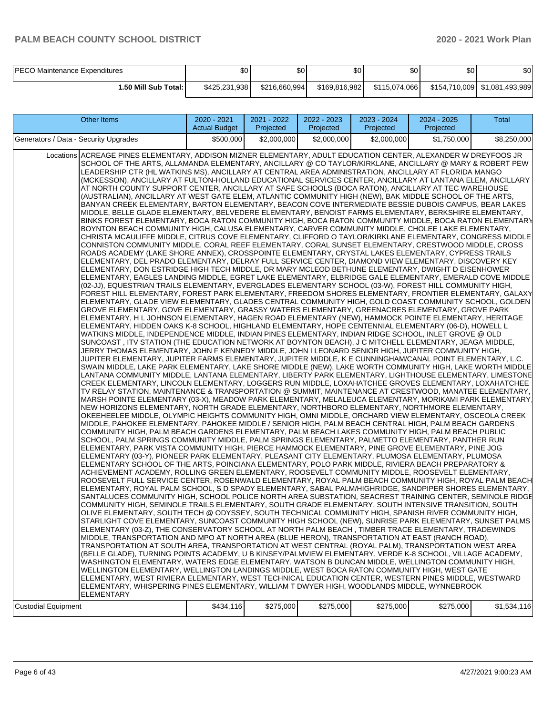| <b>IPECO Maintenance Expenditures</b> | \$0           | ا 30          | ሶሳ<br>w       | ¢∩<br>υU      | \$0 <sub>1</sub> | \$0 |
|---------------------------------------|---------------|---------------|---------------|---------------|------------------|-----|
| <b>∣.50 Mill Sub Total:</b> I         | \$425,231,938 | \$216.660.994 | \$169,816,982 | \$115,074,066 |                  |     |

| <b>Other Items</b>                                                                                                                                                                                                                                                                                                                                                                                                                                                                                                                                                                                                                                                                                                                                                                                                                                                                                                                                                                                                                                                                                                                                                                                                                                                                                                                                                                                                                                                                                                                                                                                                                                                                                                                                                                                                                                                                                                                                                                                                                                                                                                                                                                                                                                                                                                                                                                                                                                                                                                                                                                                                                                                                                                                                                                                                                                                                                                                                                                                                                                                                                                                                                                                                                                                                                                                                                                                                                                                                                                                                                                                                                                                                                                                                                                                                                                                                                                                                                                                                                                                                                                                                                                                                                                                                                                                                                                                                                                                                                                                                                                                                                                                                                                                                                                                                                                                                                                                                                                                                                                                                                                                                                                                                                                                                                                                                                                                                                                                                                                                                                                                                                                                                                                                                                                                                                                                           | 2020 - 2021<br><b>Actual Budget</b> | 2021 - 2022<br>Projected | 2022 - 2023<br>Projected | 2023 - 2024<br>Projected | 2024 - 2025<br>Projected | Total       |
|------------------------------------------------------------------------------------------------------------------------------------------------------------------------------------------------------------------------------------------------------------------------------------------------------------------------------------------------------------------------------------------------------------------------------------------------------------------------------------------------------------------------------------------------------------------------------------------------------------------------------------------------------------------------------------------------------------------------------------------------------------------------------------------------------------------------------------------------------------------------------------------------------------------------------------------------------------------------------------------------------------------------------------------------------------------------------------------------------------------------------------------------------------------------------------------------------------------------------------------------------------------------------------------------------------------------------------------------------------------------------------------------------------------------------------------------------------------------------------------------------------------------------------------------------------------------------------------------------------------------------------------------------------------------------------------------------------------------------------------------------------------------------------------------------------------------------------------------------------------------------------------------------------------------------------------------------------------------------------------------------------------------------------------------------------------------------------------------------------------------------------------------------------------------------------------------------------------------------------------------------------------------------------------------------------------------------------------------------------------------------------------------------------------------------------------------------------------------------------------------------------------------------------------------------------------------------------------------------------------------------------------------------------------------------------------------------------------------------------------------------------------------------------------------------------------------------------------------------------------------------------------------------------------------------------------------------------------------------------------------------------------------------------------------------------------------------------------------------------------------------------------------------------------------------------------------------------------------------------------------------------------------------------------------------------------------------------------------------------------------------------------------------------------------------------------------------------------------------------------------------------------------------------------------------------------------------------------------------------------------------------------------------------------------------------------------------------------------------------------------------------------------------------------------------------------------------------------------------------------------------------------------------------------------------------------------------------------------------------------------------------------------------------------------------------------------------------------------------------------------------------------------------------------------------------------------------------------------------------------------------------------------------------------------------------------------------------------------------------------------------------------------------------------------------------------------------------------------------------------------------------------------------------------------------------------------------------------------------------------------------------------------------------------------------------------------------------------------------------------------------------------------------------------------------------------------------------------------------------------------------------------------------------------------------------------------------------------------------------------------------------------------------------------------------------------------------------------------------------------------------------------------------------------------------------------------------------------------------------------------------------------------------------------------------------------------------------------------------------------------------------------------------------------------------------------------------------------------------------------------------------------------------------------------------------------------------------------------------------------------------------------------------------------------------------------------------------------------------------------------------------------------------------------------------------------------------------------------------------------------------|-------------------------------------|--------------------------|--------------------------|--------------------------|--------------------------|-------------|
| Generators / Data - Security Upgrades                                                                                                                                                                                                                                                                                                                                                                                                                                                                                                                                                                                                                                                                                                                                                                                                                                                                                                                                                                                                                                                                                                                                                                                                                                                                                                                                                                                                                                                                                                                                                                                                                                                                                                                                                                                                                                                                                                                                                                                                                                                                                                                                                                                                                                                                                                                                                                                                                                                                                                                                                                                                                                                                                                                                                                                                                                                                                                                                                                                                                                                                                                                                                                                                                                                                                                                                                                                                                                                                                                                                                                                                                                                                                                                                                                                                                                                                                                                                                                                                                                                                                                                                                                                                                                                                                                                                                                                                                                                                                                                                                                                                                                                                                                                                                                                                                                                                                                                                                                                                                                                                                                                                                                                                                                                                                                                                                                                                                                                                                                                                                                                                                                                                                                                                                                                                                                        | \$500,000                           | \$2,000,000              | \$2,000,000              | \$2,000,000              | \$1,750,000              | \$8,250,000 |
| Locations ACREAGE PINES ELEMENTARY, ADDISON MIZNER ELEMENTARY, ADULT EDUCATION CENTER, ALEXANDER W DREYFOOS JR<br>SCHOOL OF THE ARTS, ALLAMANDA ELEMENTARY, ANCILLARY @ CO TAYLOR/KIRKLANE, ANCILLARY @ MARY & ROBERT PEW<br>LEADERSHIP CTR (HL WATKINS MS), ANCILLARY AT CENTRAL AREA ADMINISTRATION, ANCILLARY AT FLORIDA MANGO<br>(MCKESSON), ANCILLARY AT FULTON-HOLLAND EDUCATIONAL SERVICES CENTER, ANCILLARY AT LANTANA ELEM, ANCILLARY<br>AT NORTH COUNTY SUPPORT CENTER, ANCILLARY AT SAFE SCHOOLS (BOCA RATON), ANCILLARY AT TEC WAREHOUSE<br>(AUSTRALIAN), ANCILLARY AT WEST GATE ELEM, ATLANTIC COMMUNITY HIGH (NEW), BAK MIDDLE SCHOOL OF THE ARTS,<br>BANYAN CREEK ELEMENTARY, BARTON ELEMENTARY, BEACON COVE INTERMEDIATE BESSIE DUBOIS CAMPUS, BEAR LAKES<br>MIDDLE, BELLE GLADE ELEMENTARY, BELVEDERE ELEMENTARY, BENOIST FARMS ELEMENTARY, BERKSHIRE ELEMENTARY,<br>BINKS FOREST ELEMENTARY, BOCA RATON COMMUNITY HIGH, BOCA RATON COMMUNITY MIDDLE, BOCA RATON ELEMENTARY<br>BOYNTON BEACH COMMUNITY HIGH, CALUSA ELEMENTARY, CARVER COMMUNITY MIDDLE, CHOLEE LAKE ELEMENTARY,<br>CHRISTA MCAULIFFE MIDDLE, CITRUS COVE ELEMENTARY, CLIFFORD O TAYLOR/KIRKLANE ELEMENTARY, CONGRESS MIDDLE<br>CONNISTON COMMUNITY MIDDLE, CORAL REEF ELEMENTARY, CORAL SUNSET ELEMENTARY, CRESTWOOD MIDDLE, CROSS<br>ROADS ACADEMY (LAKE SHORE ANNEX), CROSSPOINTE ELEMENTARY, CRYSTAL LAKES ELEMENTARY, CYPRESS TRAILS<br>ELEMENTARY, DEL PRADO ELEMENTARY, DELRAY FULL SERVICE CENTER, DIAMOND VIEW ELEMENTARY, DISCOVERY KEY<br>ELEMENTARY, DON ESTRIDGE HIGH TECH MIDDLE, DR MARY MCLEOD BETHUNE ELEMENTARY, DWIGHT D EISENHOWER<br>ELEMENTARY, EAGLES LANDING MIDDLE, EGRET LAKE ELEMENTARY, ELBRIDGE GALE ELEMENTARY, EMERALD COVE MIDDLE <br>(02-JJ), EQUESTRIAN TRAILS ELEMENTARY, EVERGLADES ELEMENTARY SCHOOL (03-W), FOREST HILL COMMUNITY HIGH,<br>FOREST HILL ELEMENTARY, FOREST PARK ELEMENTARY, FREEDOM SHORES ELEMENTARY, FRONTIER ELEMENTARY, GALAXY<br>ELEMENTARY, GLADE VIEW ELEMENTARY, GLADES CENTRAL COMMUNITY HIGH, GOLD COAST COMMUNITY SCHOOL, GOLDEN<br>GROVE ELEMENTARY, GOVE ELEMENTARY, GRASSY WATERS ELEMENTARY, GREENACRES ELEMENTARY, GROVE PARK<br>ELEMENTARY, H L JOHNSON ELEMENTARY, HAGEN ROAD ELEMENTARY (NEW), HAMMOCK POINTE ELEMENTARY, HERITAGE<br>ELEMENTARY, HIDDEN OAKS K-8 SCHOOL, HIGHLAND ELEMENTARY, HOPE CENTENNIAL ELEMENTARY (06-D), HOWELL L<br>WATKINS MIDDLE, INDEPENDENCE MIDDLE, INDIAN PINES ELEMENTARY, INDIAN RIDGE SCHOOL, INLET GROVE @ OLD<br>SUNCOAST , ITV STATION (THE EDUCATION NETWORK AT BOYNTON BEACH), J C MITCHELL ELEMENTARY, JEAGA MIDDLE,<br>JERRY THOMAS ELEMENTARY, JOHN F KENNEDY MIDDLE, JOHN I LEONARD SENIOR HIGH, JUPITER COMMUNITY HIGH,<br>JUPITER ELEMENTARY, JUPITER FARMS ELEMENTARY, JUPITER MIDDLE, K E CUNNINGHAM/CANAL POINT ELEMENTARY, L.C.<br>SWAIN MIDDLE, LAKE PARK ELEMENTARY, LAKE SHORE MIDDLE (NEW), LAKE WORTH COMMUNITY HIGH, LAKE WORTH MIDDLE<br>LANTANA COMMUNITY MIDDLE, LANTANA ELEMENTARY, LIBERTY PARK ELEMENTARY, LIGHTHOUSE ELEMENTARY, LIMESTONE<br>CREEK ELEMENTARY, LINCOLN ELEMENTARY, LOGGERS RUN MIDDLE, LOXAHATCHEE GROVES ELEMENTARY, LOXAHATCHEE<br>TV RELAY STATION, MAINTENANCE & TRANSPORTATION @ SUMMIT, MAINTENANCE AT CRESTWOOD, MANATEE ELEMENTARY,<br>MARSH POINTE ELEMENTARY (03-X), MEADOW PARK ELEMENTARY, MELALEUCA ELEMENTARY, MORIKAMI PARK ELEMENTARY.<br>NEW HORIZONS ELEMENTARY, NORTH GRADE ELEMENTARY, NORTHBORO ELEMENTARY, NORTHMORE ELEMENTARY,<br>OKEEHEELEE MIDDLE, OLYMPIC HEIGHTS COMMUNITY HIGH, OMNI MIDDLE, ORCHARD VIEW ELEMENTARY, OSCEOLA CREEK<br>MIDDLE, PAHOKEE ELEMENTARY, PAHOKEE MIDDLE / SENIOR HIGH, PALM BEACH CENTRAL HIGH, PALM BEACH GARDENS<br>COMMUNITY HIGH, PALM BEACH GARDENS ELEMENTARY, PALM BEACH LAKES COMMUNITY HIGH, PALM BEACH PUBLIC<br>SCHOOL, PALM SPRINGS COMMUNITY MIDDLE, PALM SPRINGS ELEMENTARY, PALMETTO ELEMENTARY, PANTHER RUN<br>ELEMENTARY, PARK VISTA COMMUNITY HIGH, PIERCE HAMMOCK ELEMENTARY, PINE GROVE ELEMENTARY, PINE JOG<br>ELEMENTARY (03-Y), PIONEER PARK ELEMENTARY, PLEASANT CITY ELEMENTARY, PLUMOSA ELEMENTARY, PLUMOSA<br>ELEMENTARY SCHOOL OF THE ARTS, POINCIANA ELEMENTARY, POLO PARK MIDDLE, RIVIERA BEACH PREPARATORY &<br>ACHIEVEMENT ACADEMY, ROLLING GREEN ELEMENTARY, ROOSEVELT COMMUNITY MIDDLE, ROOSEVELT ELEMENTARY,<br>ROOSEVELT FULL SERVICE CENTER, ROSENWALD ELEMENTARY, ROYAL PALM BEACH COMMUNITY HIGH, ROYAL PALM BEACH<br>ELEMENTARY, ROYAL PALM SCHOOL, S D SPADY ELEMENTARY, SABAL PALM/HIGHRIDGE, SANDPIPER SHORES ELEMENTARY,<br>SANTALUCES COMMUNITY HIGH, SCHOOL POLICE NORTH AREA SUBSTATION, SEACREST TRAINING CENTER, SEMINOLE RIDGE<br>COMMUNITY HIGH, SEMINOLE TRAILS ELEMENTARY, SOUTH GRADE ELEMENTARY, SOUTH INTENSIVE TRANSITION, SOUTH<br>OLIVE ELEMENTARY, SOUTH TECH @ ODYSSEY, SOUTH TECHNICAL COMMUNITY HIGH, SPANISH RIVER COMMUNITY HIGH,<br>STARLIGHT COVE ELEMENTARY, SUNCOAST COMMUNITY HIGH SCHOOL (NEW), SUNRISE PARK ELEMENTARY, SUNSET PALMS<br>ELEMENTARY (03-Z), THE CONSERVATORY SCHOOL AT NORTH PALM BEACH , TIMBER TRACE ELEMENTARY, TRADEWINDS<br>MIDDLE, TRANSPORTATION AND MPO AT NORTH AREA (BLUE HERON), TRANSPORTATION AT EAST (RANCH ROAD),<br>TRANSPORTATION AT SOUTH AREA, TRANSPORTATION AT WEST CENTRAL (ROYAL PALM), TRANSPORTATION WEST AREA<br>(BELLE GLADE), TURNING POINTS ACADEMY, U B KINSEY/PALMVIEW ELEMENTARY, VERDE K-8 SCHOOL, VILLAGE ACADEMY,<br>WASHINGTON ELEMENTARY, WATERS EDGE ELEMENTARY, WATSON B DUNCAN MIDDLE, WELLINGTON COMMUNITY HIGH,<br>WELLINGTON ELEMENTARY, WELLINGTON LANDINGS MIDDLE, WEST BOCA RATON COMMUNITY HIGH, WEST GATE<br>ELEMENTARY, WEST RIVIERA ELEMENTARY, WEST TECHNICAL EDUCATION CENTER, WESTERN PINES MIDDLE, WESTWARD<br>ELEMENTARY, WHISPERING PINES ELEMENTARY, WILLIAM T DWYER HIGH, WOODLANDS MIDDLE, WYNNEBROOK<br><b>ELEMENTARY</b> |                                     |                          |                          |                          |                          |             |
| <b>Custodial Equipment</b>                                                                                                                                                                                                                                                                                                                                                                                                                                                                                                                                                                                                                                                                                                                                                                                                                                                                                                                                                                                                                                                                                                                                                                                                                                                                                                                                                                                                                                                                                                                                                                                                                                                                                                                                                                                                                                                                                                                                                                                                                                                                                                                                                                                                                                                                                                                                                                                                                                                                                                                                                                                                                                                                                                                                                                                                                                                                                                                                                                                                                                                                                                                                                                                                                                                                                                                                                                                                                                                                                                                                                                                                                                                                                                                                                                                                                                                                                                                                                                                                                                                                                                                                                                                                                                                                                                                                                                                                                                                                                                                                                                                                                                                                                                                                                                                                                                                                                                                                                                                                                                                                                                                                                                                                                                                                                                                                                                                                                                                                                                                                                                                                                                                                                                                                                                                                                                                   | \$434,116                           | \$275,000                | \$275,000                | \$275,000                | \$275,000                | \$1,534,116 |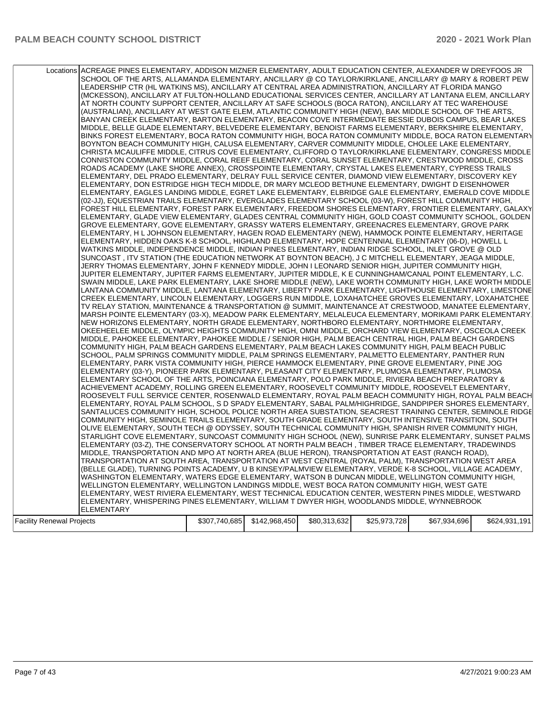|                                  | Locations ACREAGE PINES ELEMENTARY, ADDISON MIZNER ELEMENTARY, ADULT EDUCATION CENTER, ALEXANDER W DREYFOOS JR<br>SCHOOL OF THE ARTS, ALLAMANDA ELEMENTARY, ANCILLARY @ CO TAYLOR/KIRKLANE, ANCILLARY @ MARY & ROBERT PEW<br>LEADERSHIP CTR (HL WATKINS MS), ANCILLARY AT CENTRAL AREA ADMINISTRATION, ANCILLARY AT FLORIDA MANGO<br>(MCKESSON), ANCILLARY AT FULTON-HOLLAND EDUCATIONAL SERVICES CENTER, ANCILLARY AT LANTANA ELEM, ANCILLARY<br>AT NORTH COUNTY SUPPORT CENTER, ANCILLARY AT SAFE SCHOOLS (BOCA RATON), ANCILLARY AT TEC WAREHOUSE<br>(AUSTRALIAN), ANCILLARY AT WEST GATE ELEM, ATLANTIC COMMUNITY HIGH (NEW), BAK MIDDLE SCHOOL OF THE ARTS,<br>BANYAN CREEK ELEMENTARY, BARTON ELEMENTARY, BEACON COVE INTERMEDIATE BESSIE DUBOIS CAMPUS, BEAR LAKES<br>MIDDLE, BELLE GLADE ELEMENTARY, BELVEDERE ELEMENTARY, BENOIST FARMS ELEMENTARY, BERKSHIRE ELEMENTARY,<br>BINKS FOREST ELEMENTARY, BOCA RATON COMMUNITY HIGH, BOCA RATON COMMUNITY MIDDLE, BOCA RATON ELEMENTARY<br>BOYNTON BEACH COMMUNITY HIGH, CALUSA ELEMENTARY, CARVER COMMUNITY MIDDLE, CHOLEE LAKE ELEMENTARY,<br>CHRISTA MCAULIFFE MIDDLE, CITRUS COVE ELEMENTARY, CLIFFORD O TAYLOR/KIRKLANE ELEMENTARY, CONGRESS MIDDLE<br>CONNISTON COMMUNITY MIDDLE, CORAL REEF ELEMENTARY, CORAL SUNSET ELEMENTARY, CRESTWOOD MIDDLE, CROSS<br>ROADS ACADEMY (LAKE SHORE ANNEX), CROSSPOINTE ELEMENTARY, CRYSTAL LAKES ELEMENTARY, CYPRESS TRAILS<br>ELEMENTARY, DEL PRADO ELEMENTARY, DELRAY FULL SERVICE CENTER, DIAMOND VIEW ELEMENTARY, DISCOVERY KEY<br>ELEMENTARY, DON ESTRIDGE HIGH TECH MIDDLE, DR MARY MCLEOD BETHUNE ELEMENTARY, DWIGHT D EISENHOWER<br>ELEMENTARY, EAGLES LANDING MIDDLE, EGRET LAKE ELEMENTARY, ELBRIDGE GALE ELEMENTARY, EMERALD COVE MIDDLE<br>(02-JJ), EQUESTRIAN TRAILS ELEMENTARY, EVERGLADES ELEMENTARY SCHOOL (03-W), FOREST HILL COMMUNITY HIGH,<br>FOREST HILL ELEMENTARY, FOREST PARK ELEMENTARY, FREEDOM SHORES ELEMENTARY, FRONTIER ELEMENTARY, GALAXY<br>ELEMENTARY, GLADE VIEW ELEMENTARY, GLADES CENTRAL COMMUNITY HIGH, GOLD COAST COMMUNITY SCHOOL, GOLDEN<br>GROVE ELEMENTARY, GOVE ELEMENTARY, GRASSY WATERS ELEMENTARY, GREENACRES ELEMENTARY, GROVE PARK<br>ELEMENTARY, H L JOHNSON ELEMENTARY, HAGEN ROAD ELEMENTARY (NEW), HAMMOCK POINTE ELEMENTARY, HERITAGE<br>ELEMENTARY, HIDDEN OAKS K-8 SCHOOL, HIGHLAND ELEMENTARY, HOPE CENTENNIAL ELEMENTARY (06-D), HOWELL L<br>WATKINS MIDDLE, INDEPENDENCE MIDDLE, INDIAN PINES ELEMENTARY, INDIAN RIDGE SCHOOL, INLET GROVE @ OLD<br>SUNCOAST, ITV STATION (THE EDUCATION NETWORK AT BOYNTON BEACH), J C MITCHELL ELEMENTARY, JEAGA MIDDLE,<br>JERRY THOMAS ELEMENTARY, JOHN F KENNEDY MIDDLE, JOHN I LEONARD SENIOR HIGH, JUPITER COMMUNITY HIGH,<br>JUPITER ELEMENTARY, JUPITER FARMS ELEMENTARY, JUPITER MIDDLE, K E CUNNINGHAM/CANAL POINT ELEMENTARY, L.C.<br>SWAIN MIDDLE, LAKE PARK ELEMENTARY, LAKE SHORE MIDDLE (NEW), LAKE WORTH COMMUNITY HIGH, LAKE WORTH MIDDLE<br>LANTANA COMMUNITY MIDDLE, LANTANA ELEMENTARY, LIBERTY PARK ELEMENTARY, LIGHTHOUSE ELEMENTARY, LIMESTONE<br>CREEK ELEMENTARY, LINCOLN ELEMENTARY, LOGGERS RUN MIDDLE, LOXAHATCHEE GROVES ELEMENTARY, LOXAHATCHEE<br>TV RELAY STATION, MAINTENANCE & TRANSPORTATION @ SUMMIT, MAINTENANCE AT CRESTWOOD, MANATEE ELEMENTARY,<br>MARSH POINTE ELEMENTARY (03-X), MEADOW PARK ELEMENTARY, MELALEUCA ELEMENTARY, MORIKAMI PARK ELEMENTARY,<br>NEW HORIZONS ELEMENTARY, NORTH GRADE ELEMENTARY, NORTHBORO ELEMENTARY, NORTHMORE ELEMENTARY,<br>OKEEHEELEE MIDDLE, OLYMPIC HEIGHTS COMMUNITY HIGH, OMNI MIDDLE, ORCHARD VIEW ELEMENTARY, OSCEOLA CREEK<br>MIDDLE, PAHOKEE ELEMENTARY, PAHOKEE MIDDLE / SENIOR HIGH, PALM BEACH CENTRAL HIGH, PALM BEACH GARDENS<br>COMMUNITY HIGH, PALM BEACH GARDENS ELEMENTARY, PALM BEACH LAKES COMMUNITY HIGH, PALM BEACH PUBLIC<br>SCHOOL, PALM SPRINGS COMMUNITY MIDDLE, PALM SPRINGS ELEMENTARY, PALMETTO ELEMENTARY, PANTHER RUN<br>ELEMENTARY, PARK VISTA COMMUNITY HIGH, PIERCE HAMMOCK ELEMENTARY, PINE GROVE ELEMENTARY, PINE JOG<br>ELEMENTARY (03-Y), PIONEER PARK ELEMENTARY, PLEASANT CITY ELEMENTARY, PLUMOSA ELEMENTARY, PLUMOSA<br>ELEMENTARY SCHOOL OF THE ARTS, POINCIANA ELEMENTARY, POLO PARK MIDDLE, RIVIERA BEACH PREPARATORY &<br>ACHIEVEMENT ACADEMY, ROLLING GREEN ELEMENTARY, ROOSEVELT COMMUNITY MIDDLE, ROOSEVELT ELEMENTARY,<br>ROOSEVELT FULL SERVICE CENTER, ROSENWALD ELEMENTARY, ROYAL PALM BEACH COMMUNITY HIGH, ROYAL PALM BEACH<br>ELEMENTARY, ROYAL PALM SCHOOL, S D SPADY ELEMENTARY, SABAL PALM/HIGHRIDGE, SANDPIPER SHORES ELEMENTARY,<br>SANTALUCES COMMUNITY HIGH, SCHOOL POLICE NORTH AREA SUBSTATION, SEACREST TRAINING CENTER, SEMINOLE RIDGE<br>COMMUNITY HIGH, SEMINOLE TRAILS ELEMENTARY, SOUTH GRADE ELEMENTARY, SOUTH INTENSIVE TRANSITION, SOUTH<br>OLIVE ELEMENTARY, SOUTH TECH @ ODYSSEY, SOUTH TECHNICAL COMMUNITY HIGH, SPANISH RIVER COMMUNITY HIGH,<br>STARLIGHT COVE ELEMENTARY, SUNCOAST COMMUNITY HIGH SCHOOL (NEW), SUNRISE PARK ELEMENTARY, SUNSET PALMS<br>ELEMENTARY (03-Z), THE CONSERVATORY SCHOOL AT NORTH PALM BEACH, TIMBER TRACE ELEMENTARY, TRADEWINDS<br>MIDDLE, TRANSPORTATION AND MPO AT NORTH AREA (BLUE HERON), TRANSPORTATION AT EAST (RANCH ROAD),<br>TRANSPORTATION AT SOUTH AREA, TRANSPORTATION AT WEST CENTRAL (ROYAL PALM), TRANSPORTATION WEST AREA<br>(BELLE GLADE), TURNING POINTS ACADEMY, U B KINSEY/PALMVIEW ELEMENTARY, VERDE K-8 SCHOOL, VILLAGE ACADEMY,<br>WASHINGTON ELEMENTARY, WATERS EDGE ELEMENTARY, WATSON B DUNCAN MIDDLE, WELLINGTON COMMUNITY HIGH, |               |               |              |              |              |               |
|----------------------------------|-----------------------------------------------------------------------------------------------------------------------------------------------------------------------------------------------------------------------------------------------------------------------------------------------------------------------------------------------------------------------------------------------------------------------------------------------------------------------------------------------------------------------------------------------------------------------------------------------------------------------------------------------------------------------------------------------------------------------------------------------------------------------------------------------------------------------------------------------------------------------------------------------------------------------------------------------------------------------------------------------------------------------------------------------------------------------------------------------------------------------------------------------------------------------------------------------------------------------------------------------------------------------------------------------------------------------------------------------------------------------------------------------------------------------------------------------------------------------------------------------------------------------------------------------------------------------------------------------------------------------------------------------------------------------------------------------------------------------------------------------------------------------------------------------------------------------------------------------------------------------------------------------------------------------------------------------------------------------------------------------------------------------------------------------------------------------------------------------------------------------------------------------------------------------------------------------------------------------------------------------------------------------------------------------------------------------------------------------------------------------------------------------------------------------------------------------------------------------------------------------------------------------------------------------------------------------------------------------------------------------------------------------------------------------------------------------------------------------------------------------------------------------------------------------------------------------------------------------------------------------------------------------------------------------------------------------------------------------------------------------------------------------------------------------------------------------------------------------------------------------------------------------------------------------------------------------------------------------------------------------------------------------------------------------------------------------------------------------------------------------------------------------------------------------------------------------------------------------------------------------------------------------------------------------------------------------------------------------------------------------------------------------------------------------------------------------------------------------------------------------------------------------------------------------------------------------------------------------------------------------------------------------------------------------------------------------------------------------------------------------------------------------------------------------------------------------------------------------------------------------------------------------------------------------------------------------------------------------------------------------------------------------------------------------------------------------------------------------------------------------------------------------------------------------------------------------------------------------------------------------------------------------------------------------------------------------------------------------------------------------------------------------------------------------------------------------------------------------------------------------------------------------------------------------------------------------------------------------------------------------------------------------------------------------------------------------------------------------------------------------------------------------------------------------------------------------------------------------------------------------------------------------------------------------------------------------------------------------------------------------------------------------------------------------------------------------------------------------------------------------------------------------------------------------------------------------------------------------------------------------------------------------------------------------|---------------|---------------|--------------|--------------|--------------|---------------|
|                                  |                                                                                                                                                                                                                                                                                                                                                                                                                                                                                                                                                                                                                                                                                                                                                                                                                                                                                                                                                                                                                                                                                                                                                                                                                                                                                                                                                                                                                                                                                                                                                                                                                                                                                                                                                                                                                                                                                                                                                                                                                                                                                                                                                                                                                                                                                                                                                                                                                                                                                                                                                                                                                                                                                                                                                                                                                                                                                                                                                                                                                                                                                                                                                                                                                                                                                                                                                                                                                                                                                                                                                                                                                                                                                                                                                                                                                                                                                                                                                                                                                                                                                                                                                                                                                                                                                                                                                                                                                                                                                                                                                                                                                                                                                                                                                                                                                                                                                                                                                                                                                                                                                                                                                                                                                                                                                                                                                                                                                                                                                                                                               |               |               |              |              |              |               |
|                                  |                                                                                                                                                                                                                                                                                                                                                                                                                                                                                                                                                                                                                                                                                                                                                                                                                                                                                                                                                                                                                                                                                                                                                                                                                                                                                                                                                                                                                                                                                                                                                                                                                                                                                                                                                                                                                                                                                                                                                                                                                                                                                                                                                                                                                                                                                                                                                                                                                                                                                                                                                                                                                                                                                                                                                                                                                                                                                                                                                                                                                                                                                                                                                                                                                                                                                                                                                                                                                                                                                                                                                                                                                                                                                                                                                                                                                                                                                                                                                                                                                                                                                                                                                                                                                                                                                                                                                                                                                                                                                                                                                                                                                                                                                                                                                                                                                                                                                                                                                                                                                                                                                                                                                                                                                                                                                                                                                                                                                                                                                                                                               |               |               |              |              |              |               |
|                                  |                                                                                                                                                                                                                                                                                                                                                                                                                                                                                                                                                                                                                                                                                                                                                                                                                                                                                                                                                                                                                                                                                                                                                                                                                                                                                                                                                                                                                                                                                                                                                                                                                                                                                                                                                                                                                                                                                                                                                                                                                                                                                                                                                                                                                                                                                                                                                                                                                                                                                                                                                                                                                                                                                                                                                                                                                                                                                                                                                                                                                                                                                                                                                                                                                                                                                                                                                                                                                                                                                                                                                                                                                                                                                                                                                                                                                                                                                                                                                                                                                                                                                                                                                                                                                                                                                                                                                                                                                                                                                                                                                                                                                                                                                                                                                                                                                                                                                                                                                                                                                                                                                                                                                                                                                                                                                                                                                                                                                                                                                                                                               |               |               |              |              |              |               |
|                                  | WELLINGTON ELEMENTARY, WELLINGTON LANDINGS MIDDLE, WEST BOCA RATON COMMUNITY HIGH, WEST GATE                                                                                                                                                                                                                                                                                                                                                                                                                                                                                                                                                                                                                                                                                                                                                                                                                                                                                                                                                                                                                                                                                                                                                                                                                                                                                                                                                                                                                                                                                                                                                                                                                                                                                                                                                                                                                                                                                                                                                                                                                                                                                                                                                                                                                                                                                                                                                                                                                                                                                                                                                                                                                                                                                                                                                                                                                                                                                                                                                                                                                                                                                                                                                                                                                                                                                                                                                                                                                                                                                                                                                                                                                                                                                                                                                                                                                                                                                                                                                                                                                                                                                                                                                                                                                                                                                                                                                                                                                                                                                                                                                                                                                                                                                                                                                                                                                                                                                                                                                                                                                                                                                                                                                                                                                                                                                                                                                                                                                                                  |               |               |              |              |              |               |
|                                  | ELEMENTARY, WEST RIVIERA ELEMENTARY, WEST TECHNICAL EDUCATION CENTER, WESTERN PINES MIDDLE, WESTWARD<br>ELEMENTARY, WHISPERING PINES ELEMENTARY, WILLIAM T DWYER HIGH, WOODLANDS MIDDLE, WYNNEBROOK<br><b>ELEMENTARY</b>                                                                                                                                                                                                                                                                                                                                                                                                                                                                                                                                                                                                                                                                                                                                                                                                                                                                                                                                                                                                                                                                                                                                                                                                                                                                                                                                                                                                                                                                                                                                                                                                                                                                                                                                                                                                                                                                                                                                                                                                                                                                                                                                                                                                                                                                                                                                                                                                                                                                                                                                                                                                                                                                                                                                                                                                                                                                                                                                                                                                                                                                                                                                                                                                                                                                                                                                                                                                                                                                                                                                                                                                                                                                                                                                                                                                                                                                                                                                                                                                                                                                                                                                                                                                                                                                                                                                                                                                                                                                                                                                                                                                                                                                                                                                                                                                                                                                                                                                                                                                                                                                                                                                                                                                                                                                                                                      |               |               |              |              |              |               |
| <b>Facility Renewal Projects</b> |                                                                                                                                                                                                                                                                                                                                                                                                                                                                                                                                                                                                                                                                                                                                                                                                                                                                                                                                                                                                                                                                                                                                                                                                                                                                                                                                                                                                                                                                                                                                                                                                                                                                                                                                                                                                                                                                                                                                                                                                                                                                                                                                                                                                                                                                                                                                                                                                                                                                                                                                                                                                                                                                                                                                                                                                                                                                                                                                                                                                                                                                                                                                                                                                                                                                                                                                                                                                                                                                                                                                                                                                                                                                                                                                                                                                                                                                                                                                                                                                                                                                                                                                                                                                                                                                                                                                                                                                                                                                                                                                                                                                                                                                                                                                                                                                                                                                                                                                                                                                                                                                                                                                                                                                                                                                                                                                                                                                                                                                                                                                               | \$307,740,685 | \$142,968,450 | \$80,313,632 | \$25,973,728 | \$67,934,696 | \$624,931,191 |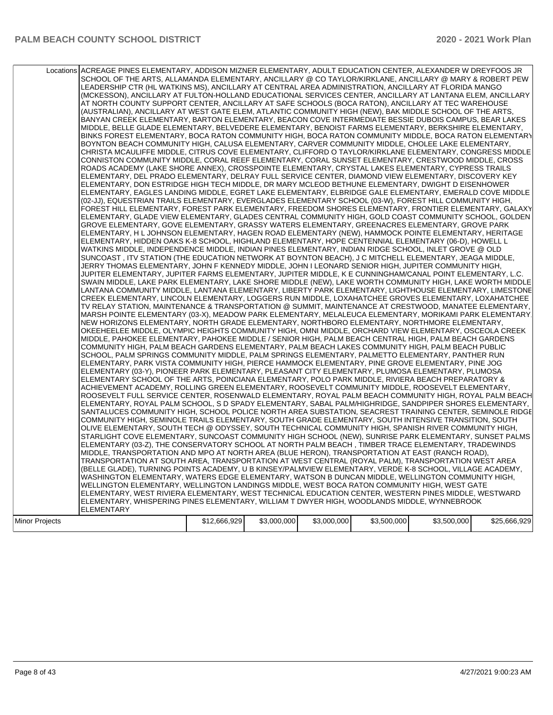|                | Locations ACREAGE PINES ELEMENTARY, ADDISON MIZNER ELEMENTARY, ADULT EDUCATION CENTER, ALEXANDER W DREYFOOS JR<br>SCHOOL OF THE ARTS, ALLAMANDA ELEMENTARY, ANCILLARY @ CO TAYLOR/KIRKLANE, ANCILLARY @ MARY & ROBERT PEW<br>LEADERSHIP CTR (HL WATKINS MS), ANCILLARY AT CENTRAL AREA ADMINISTRATION, ANCILLARY AT FLORIDA MANGO<br>(MCKESSON), ANCILLARY AT FULTON-HOLLAND EDUCATIONAL SERVICES CENTER, ANCILLARY AT LANTANA ELEM, ANCILLARY<br>AT NORTH COUNTY SUPPORT CENTER, ANCILLARY AT SAFE SCHOOLS (BOCA RATON), ANCILLARY AT TEC WAREHOUSE<br>(AUSTRALIAN), ANCILLARY AT WEST GATE ELEM, ATLANTIC COMMUNITY HIGH (NEW), BAK MIDDLE SCHOOL OF THE ARTS,<br>BANYAN CREEK ELEMENTARY, BARTON ELEMENTARY, BEACON COVE INTERMEDIATE BESSIE DUBOIS CAMPUS, BEAR LAKES<br>MIDDLE, BELLE GLADE ELEMENTARY, BELVEDERE ELEMENTARY, BENOIST FARMS ELEMENTARY, BERKSHIRE ELEMENTARY,<br>BINKS FOREST ELEMENTARY, BOCA RATON COMMUNITY HIGH, BOCA RATON COMMUNITY MIDDLE, BOCA RATON ELEMENTARY<br>BOYNTON BEACH COMMUNITY HIGH, CALUSA ELEMENTARY, CARVER COMMUNITY MIDDLE, CHOLEE LAKE ELEMENTARY,<br>CHRISTA MCAULIFFE MIDDLE, CITRUS COVE ELEMENTARY, CLIFFORD O TAYLOR/KIRKLANE ELEMENTARY, CONGRESS MIDDLE<br>CONNISTON COMMUNITY MIDDLE, CORAL REEF ELEMENTARY, CORAL SUNSET ELEMENTARY, CRESTWOOD MIDDLE, CROSS<br>ROADS ACADEMY (LAKE SHORE ANNEX), CROSSPOINTE ELEMENTARY, CRYSTAL LAKES ELEMENTARY, CYPRESS TRAILS<br>ELEMENTARY, DEL PRADO ELEMENTARY, DELRAY FULL SERVICE CENTER, DIAMOND VIEW ELEMENTARY, DISCOVERY KEY<br>ELEMENTARY, DON ESTRIDGE HIGH TECH MIDDLE, DR MARY MCLEOD BETHUNE ELEMENTARY, DWIGHT D EISENHOWER<br>ELEMENTARY, EAGLES LANDING MIDDLE, EGRET LAKE ELEMENTARY, ELBRIDGE GALE ELEMENTARY, EMERALD COVE MIDDLE<br>(02-JJ), EQUESTRIAN TRAILS ELEMENTARY, EVERGLADES ELEMENTARY SCHOOL (03-W), FOREST HILL COMMUNITY HIGH,<br>FOREST HILL ELEMENTARY, FOREST PARK ELEMENTARY, FREEDOM SHORES ELEMENTARY, FRONTIER ELEMENTARY, GALAXY<br>ELEMENTARY, GLADE VIEW ELEMENTARY, GLADES CENTRAL COMMUNITY HIGH, GOLD COAST COMMUNITY SCHOOL, GOLDEN<br>GROVE ELEMENTARY, GOVE ELEMENTARY, GRASSY WATERS ELEMENTARY, GREENACRES ELEMENTARY, GROVE PARK<br>ELEMENTARY, H L JOHNSON ELEMENTARY, HAGEN ROAD ELEMENTARY (NEW), HAMMOCK POINTE ELEMENTARY, HERITAGE<br>ELEMENTARY, HIDDEN OAKS K-8 SCHOOL, HIGHLAND ELEMENTARY, HOPE CENTENNIAL ELEMENTARY (06-D), HOWELL L<br>WATKINS MIDDLE, INDEPENDENCE MIDDLE, INDIAN PINES ELEMENTARY, INDIAN RIDGE SCHOOL, INLET GROVE @ OLD<br>SUNCOAST, ITV STATION (THE EDUCATION NETWORK AT BOYNTON BEACH), J C MITCHELL ELEMENTARY, JEAGA MIDDLE,<br>JERRY THOMAS ELEMENTARY, JOHN F KENNEDY MIDDLE, JOHN I LEONARD SENIOR HIGH, JUPITER COMMUNITY HIGH,<br>JUPITER ELEMENTARY, JUPITER FARMS ELEMENTARY, JUPITER MIDDLE, K E CUNNINGHAM/CANAL POINT ELEMENTARY, L.C.<br>SWAIN MIDDLE, LAKE PARK ELEMENTARY, LAKE SHORE MIDDLE (NEW), LAKE WORTH COMMUNITY HIGH, LAKE WORTH MIDDLE<br>LANTANA COMMUNITY MIDDLE, LANTANA ELEMENTARY, LIBERTY PARK ELEMENTARY, LIGHTHOUSE ELEMENTARY, LIMESTONE<br>CREEK ELEMENTARY, LINCOLN ELEMENTARY, LOGGERS RUN MIDDLE, LOXAHATCHEE GROVES ELEMENTARY, LOXAHATCHEE<br>TV RELAY STATION, MAINTENANCE & TRANSPORTATION @ SUMMIT, MAINTENANCE AT CRESTWOOD, MANATEE ELEMENTARY,<br>MARSH POINTE ELEMENTARY (03-X), MEADOW PARK ELEMENTARY, MELALEUCA ELEMENTARY, MORIKAMI PARK ELEMENTARY,<br>NEW HORIZONS ELEMENTARY, NORTH GRADE ELEMENTARY, NORTHBORO ELEMENTARY, NORTHMORE ELEMENTARY,<br>OKEEHEELEE MIDDLE, OLYMPIC HEIGHTS COMMUNITY HIGH, OMNI MIDDLE, ORCHARD VIEW ELEMENTARY, OSCEOLA CREEK<br>MIDDLE, PAHOKEE ELEMENTARY, PAHOKEE MIDDLE / SENIOR HIGH, PALM BEACH CENTRAL HIGH, PALM BEACH GARDENS<br>COMMUNITY HIGH, PALM BEACH GARDENS ELEMENTARY, PALM BEACH LAKES COMMUNITY HIGH, PALM BEACH PUBLIC<br>SCHOOL, PALM SPRINGS COMMUNITY MIDDLE, PALM SPRINGS ELEMENTARY, PALMETTO ELEMENTARY, PANTHER RUN<br>ELEMENTARY, PARK VISTA COMMUNITY HIGH, PIERCE HAMMOCK ELEMENTARY, PINE GROVE ELEMENTARY, PINE JOG<br>ELEMENTARY (03-Y), PIONEER PARK ELEMENTARY, PLEASANT CITY ELEMENTARY, PLUMOSA ELEMENTARY, PLUMOSA<br>ELEMENTARY SCHOOL OF THE ARTS, POINCIANA ELEMENTARY, POLO PARK MIDDLE, RIVIERA BEACH PREPARATORY &<br>ACHIEVEMENT ACADEMY, ROLLING GREEN ELEMENTARY, ROOSEVELT COMMUNITY MIDDLE, ROOSEVELT ELEMENTARY,<br>ROOSEVELT FULL SERVICE CENTER, ROSENWALD ELEMENTARY, ROYAL PALM BEACH COMMUNITY HIGH, ROYAL PALM BEACH<br>ELEMENTARY, ROYAL PALM SCHOOL, S D SPADY ELEMENTARY, SABAL PALM/HIGHRIDGE, SANDPIPER SHORES ELEMENTARY,<br>SANTALUCES COMMUNITY HIGH, SCHOOL POLICE NORTH AREA SUBSTATION, SEACREST TRAINING CENTER, SEMINOLE RIDGE<br>COMMUNITY HIGH, SEMINOLE TRAILS ELEMENTARY, SOUTH GRADE ELEMENTARY, SOUTH INTENSIVE TRANSITION, SOUTH<br>OLIVE ELEMENTARY, SOUTH TECH @ ODYSSEY, SOUTH TECHNICAL COMMUNITY HIGH, SPANISH RIVER COMMUNITY HIGH,<br>STARLIGHT COVE ELEMENTARY, SUNCOAST COMMUNITY HIGH SCHOOL (NEW), SUNRISE PARK ELEMENTARY, SUNSET PALMS<br>ELEMENTARY (03-Z), THE CONSERVATORY SCHOOL AT NORTH PALM BEACH, TIMBER TRACE ELEMENTARY, TRADEWINDS<br>MIDDLE, TRANSPORTATION AND MPO AT NORTH AREA (BLUE HERON), TRANSPORTATION AT EAST (RANCH ROAD),<br>TRANSPORTATION AT SOUTH AREA, TRANSPORTATION AT WEST CENTRAL (ROYAL PALM), TRANSPORTATION WEST AREA<br>(BELLE GLADE), TURNING POINTS ACADEMY, U B KINSEY/PALMVIEW ELEMENTARY, VERDE K-8 SCHOOL, VILLAGE ACADEMY,<br>WASHINGTON ELEMENTARY, WATERS EDGE ELEMENTARY, WATSON B DUNCAN MIDDLE, WELLINGTON COMMUNITY HIGH,<br>WELLINGTON ELEMENTARY, WELLINGTON LANDINGS MIDDLE, WEST BOCA RATON COMMUNITY HIGH, WEST GATE<br>ELEMENTARY, WEST RIVIERA ELEMENTARY, WEST TECHNICAL EDUCATION CENTER, WESTERN PINES MIDDLE, WESTWARD |              |             |             |             |             |              |
|----------------|-------------------------------------------------------------------------------------------------------------------------------------------------------------------------------------------------------------------------------------------------------------------------------------------------------------------------------------------------------------------------------------------------------------------------------------------------------------------------------------------------------------------------------------------------------------------------------------------------------------------------------------------------------------------------------------------------------------------------------------------------------------------------------------------------------------------------------------------------------------------------------------------------------------------------------------------------------------------------------------------------------------------------------------------------------------------------------------------------------------------------------------------------------------------------------------------------------------------------------------------------------------------------------------------------------------------------------------------------------------------------------------------------------------------------------------------------------------------------------------------------------------------------------------------------------------------------------------------------------------------------------------------------------------------------------------------------------------------------------------------------------------------------------------------------------------------------------------------------------------------------------------------------------------------------------------------------------------------------------------------------------------------------------------------------------------------------------------------------------------------------------------------------------------------------------------------------------------------------------------------------------------------------------------------------------------------------------------------------------------------------------------------------------------------------------------------------------------------------------------------------------------------------------------------------------------------------------------------------------------------------------------------------------------------------------------------------------------------------------------------------------------------------------------------------------------------------------------------------------------------------------------------------------------------------------------------------------------------------------------------------------------------------------------------------------------------------------------------------------------------------------------------------------------------------------------------------------------------------------------------------------------------------------------------------------------------------------------------------------------------------------------------------------------------------------------------------------------------------------------------------------------------------------------------------------------------------------------------------------------------------------------------------------------------------------------------------------------------------------------------------------------------------------------------------------------------------------------------------------------------------------------------------------------------------------------------------------------------------------------------------------------------------------------------------------------------------------------------------------------------------------------------------------------------------------------------------------------------------------------------------------------------------------------------------------------------------------------------------------------------------------------------------------------------------------------------------------------------------------------------------------------------------------------------------------------------------------------------------------------------------------------------------------------------------------------------------------------------------------------------------------------------------------------------------------------------------------------------------------------------------------------------------------------------------------------------------------------------------------------------------------------------------------------------------------------------------------------------------------------------------------------------------------------------------------------------------------------------------------------------------------------------------------------------------------------------------------------------------------------------------------------------------------------------------------------------------------------------------------------------------------------------------------------------------------------------------------------------------------------------------------------------------------------------------------------------------------------------------------------------------------|--------------|-------------|-------------|-------------|-------------|--------------|
|                |                                                                                                                                                                                                                                                                                                                                                                                                                                                                                                                                                                                                                                                                                                                                                                                                                                                                                                                                                                                                                                                                                                                                                                                                                                                                                                                                                                                                                                                                                                                                                                                                                                                                                                                                                                                                                                                                                                                                                                                                                                                                                                                                                                                                                                                                                                                                                                                                                                                                                                                                                                                                                                                                                                                                                                                                                                                                                                                                                                                                                                                                                                                                                                                                                                                                                                                                                                                                                                                                                                                                                                                                                                                                                                                                                                                                                                                                                                                                                                                                                                                                                                                                                                                                                                                                                                                                                                                                                                                                                                                                                                                                                                                                                                                                                                                                                                                                                                                                                                                                                                                                                                                                                                                                                                                                                                                                                                                                                                                                                                                                                                                                                                                                                                                                                       |              |             |             |             |             |              |
|                |                                                                                                                                                                                                                                                                                                                                                                                                                                                                                                                                                                                                                                                                                                                                                                                                                                                                                                                                                                                                                                                                                                                                                                                                                                                                                                                                                                                                                                                                                                                                                                                                                                                                                                                                                                                                                                                                                                                                                                                                                                                                                                                                                                                                                                                                                                                                                                                                                                                                                                                                                                                                                                                                                                                                                                                                                                                                                                                                                                                                                                                                                                                                                                                                                                                                                                                                                                                                                                                                                                                                                                                                                                                                                                                                                                                                                                                                                                                                                                                                                                                                                                                                                                                                                                                                                                                                                                                                                                                                                                                                                                                                                                                                                                                                                                                                                                                                                                                                                                                                                                                                                                                                                                                                                                                                                                                                                                                                                                                                                                                                                                                                                                                                                                                                                       |              |             |             |             |             |              |
|                | ELEMENTARY, WHISPERING PINES ELEMENTARY, WILLIAM T DWYER HIGH, WOODLANDS MIDDLE, WYNNEBROOK                                                                                                                                                                                                                                                                                                                                                                                                                                                                                                                                                                                                                                                                                                                                                                                                                                                                                                                                                                                                                                                                                                                                                                                                                                                                                                                                                                                                                                                                                                                                                                                                                                                                                                                                                                                                                                                                                                                                                                                                                                                                                                                                                                                                                                                                                                                                                                                                                                                                                                                                                                                                                                                                                                                                                                                                                                                                                                                                                                                                                                                                                                                                                                                                                                                                                                                                                                                                                                                                                                                                                                                                                                                                                                                                                                                                                                                                                                                                                                                                                                                                                                                                                                                                                                                                                                                                                                                                                                                                                                                                                                                                                                                                                                                                                                                                                                                                                                                                                                                                                                                                                                                                                                                                                                                                                                                                                                                                                                                                                                                                                                                                                                                           |              |             |             |             |             |              |
|                | <b>ELEMENTARY</b>                                                                                                                                                                                                                                                                                                                                                                                                                                                                                                                                                                                                                                                                                                                                                                                                                                                                                                                                                                                                                                                                                                                                                                                                                                                                                                                                                                                                                                                                                                                                                                                                                                                                                                                                                                                                                                                                                                                                                                                                                                                                                                                                                                                                                                                                                                                                                                                                                                                                                                                                                                                                                                                                                                                                                                                                                                                                                                                                                                                                                                                                                                                                                                                                                                                                                                                                                                                                                                                                                                                                                                                                                                                                                                                                                                                                                                                                                                                                                                                                                                                                                                                                                                                                                                                                                                                                                                                                                                                                                                                                                                                                                                                                                                                                                                                                                                                                                                                                                                                                                                                                                                                                                                                                                                                                                                                                                                                                                                                                                                                                                                                                                                                                                                                                     |              |             |             |             |             |              |
|                |                                                                                                                                                                                                                                                                                                                                                                                                                                                                                                                                                                                                                                                                                                                                                                                                                                                                                                                                                                                                                                                                                                                                                                                                                                                                                                                                                                                                                                                                                                                                                                                                                                                                                                                                                                                                                                                                                                                                                                                                                                                                                                                                                                                                                                                                                                                                                                                                                                                                                                                                                                                                                                                                                                                                                                                                                                                                                                                                                                                                                                                                                                                                                                                                                                                                                                                                                                                                                                                                                                                                                                                                                                                                                                                                                                                                                                                                                                                                                                                                                                                                                                                                                                                                                                                                                                                                                                                                                                                                                                                                                                                                                                                                                                                                                                                                                                                                                                                                                                                                                                                                                                                                                                                                                                                                                                                                                                                                                                                                                                                                                                                                                                                                                                                                                       |              |             |             |             |             |              |
| Minor Projects |                                                                                                                                                                                                                                                                                                                                                                                                                                                                                                                                                                                                                                                                                                                                                                                                                                                                                                                                                                                                                                                                                                                                                                                                                                                                                                                                                                                                                                                                                                                                                                                                                                                                                                                                                                                                                                                                                                                                                                                                                                                                                                                                                                                                                                                                                                                                                                                                                                                                                                                                                                                                                                                                                                                                                                                                                                                                                                                                                                                                                                                                                                                                                                                                                                                                                                                                                                                                                                                                                                                                                                                                                                                                                                                                                                                                                                                                                                                                                                                                                                                                                                                                                                                                                                                                                                                                                                                                                                                                                                                                                                                                                                                                                                                                                                                                                                                                                                                                                                                                                                                                                                                                                                                                                                                                                                                                                                                                                                                                                                                                                                                                                                                                                                                                                       | \$12,666,929 | \$3,000,000 | \$3,000,000 | \$3,500,000 | \$3,500,000 | \$25,666,929 |
|                |                                                                                                                                                                                                                                                                                                                                                                                                                                                                                                                                                                                                                                                                                                                                                                                                                                                                                                                                                                                                                                                                                                                                                                                                                                                                                                                                                                                                                                                                                                                                                                                                                                                                                                                                                                                                                                                                                                                                                                                                                                                                                                                                                                                                                                                                                                                                                                                                                                                                                                                                                                                                                                                                                                                                                                                                                                                                                                                                                                                                                                                                                                                                                                                                                                                                                                                                                                                                                                                                                                                                                                                                                                                                                                                                                                                                                                                                                                                                                                                                                                                                                                                                                                                                                                                                                                                                                                                                                                                                                                                                                                                                                                                                                                                                                                                                                                                                                                                                                                                                                                                                                                                                                                                                                                                                                                                                                                                                                                                                                                                                                                                                                                                                                                                                                       |              |             |             |             |             |              |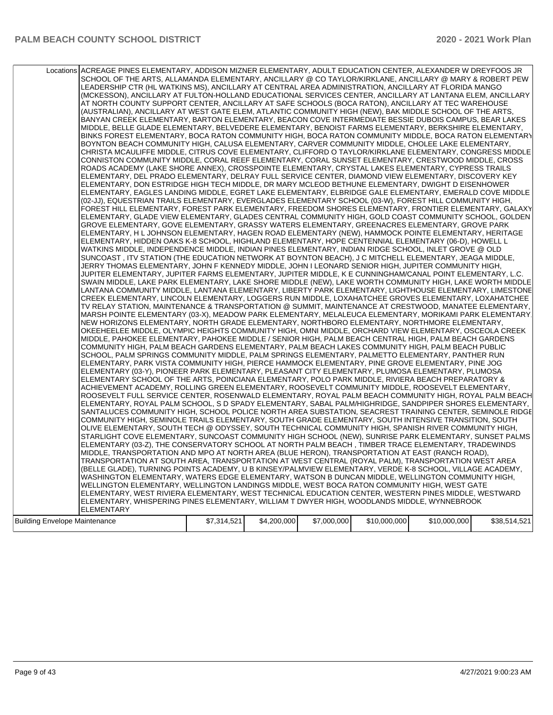|                               | Locations ACREAGE PINES ELEMENTARY, ADDISON MIZNER ELEMENTARY, ADULT EDUCATION CENTER, ALEXANDER W DREYFOOS JR<br>SCHOOL OF THE ARTS, ALLAMANDA ELEMENTARY, ANCILLARY @ CO TAYLOR/KIRKLANE, ANCILLARY @ MARY & ROBERT PEW<br>LEADERSHIP CTR (HL WATKINS MS), ANCILLARY AT CENTRAL AREA ADMINISTRATION, ANCILLARY AT FLORIDA MANGO<br>(MCKESSON), ANCILLARY AT FULTON-HOLLAND EDUCATIONAL SERVICES CENTER, ANCILLARY AT LANTANA ELEM, ANCILLARY<br>AT NORTH COUNTY SUPPORT CENTER, ANCILLARY AT SAFE SCHOOLS (BOCA RATON), ANCILLARY AT TEC WAREHOUSE<br>(AUSTRALIAN), ANCILLARY AT WEST GATE ELEM, ATLANTIC COMMUNITY HIGH (NEW), BAK MIDDLE SCHOOL OF THE ARTS,<br>BANYAN CREEK ELEMENTARY, BARTON ELEMENTARY, BEACON COVE INTERMEDIATE BESSIE DUBOIS CAMPUS, BEAR LAKES<br>MIDDLE, BELLE GLADE ELEMENTARY, BELVEDERE ELEMENTARY, BENOIST FARMS ELEMENTARY, BERKSHIRE ELEMENTARY,<br>BINKS FOREST ELEMENTARY, BOCA RATON COMMUNITY HIGH, BOCA RATON COMMUNITY MIDDLE, BOCA RATON ELEMENTARY<br>BOYNTON BEACH COMMUNITY HIGH, CALUSA ELEMENTARY, CARVER COMMUNITY MIDDLE, CHOLEE LAKE ELEMENTARY,<br>CHRISTA MCAULIFFE MIDDLE, CITRUS COVE ELEMENTARY, CLIFFORD O TAYLOR/KIRKLANE ELEMENTARY, CONGRESS MIDDLE<br>CONNISTON COMMUNITY MIDDLE, CORAL REEF ELEMENTARY, CORAL SUNSET ELEMENTARY, CRESTWOOD MIDDLE, CROSS<br>ROADS ACADEMY (LAKE SHORE ANNEX), CROSSPOINTE ELEMENTARY, CRYSTAL LAKES ELEMENTARY, CYPRESS TRAILS<br>ELEMENTARY, DEL PRADO ELEMENTARY, DELRAY FULL SERVICE CENTER, DIAMOND VIEW ELEMENTARY, DISCOVERY KEY<br>ELEMENTARY, DON ESTRIDGE HIGH TECH MIDDLE, DR MARY MCLEOD BETHUNE ELEMENTARY, DWIGHT D EISENHOWER<br>ELEMENTARY, EAGLES LANDING MIDDLE, EGRET LAKE ELEMENTARY, ELBRIDGE GALE ELEMENTARY, EMERALD COVE MIDDLE<br>(02-JJ), EQUESTRIAN TRAILS ELEMENTARY, EVERGLADES ELEMENTARY SCHOOL (03-W), FOREST HILL COMMUNITY HIGH,<br>FOREST HILL ELEMENTARY, FOREST PARK ELEMENTARY, FREEDOM SHORES ELEMENTARY, FRONTIER ELEMENTARY, GALAXY<br>ELEMENTARY, GLADE VIEW ELEMENTARY, GLADES CENTRAL COMMUNITY HIGH, GOLD COAST COMMUNITY SCHOOL, GOLDEN<br>GROVE ELEMENTARY, GOVE ELEMENTARY, GRASSY WATERS ELEMENTARY, GREENACRES ELEMENTARY, GROVE PARK<br>ELEMENTARY, H L JOHNSON ELEMENTARY, HAGEN ROAD ELEMENTARY (NEW), HAMMOCK POINTE ELEMENTARY, HERITAGE<br>ELEMENTARY, HIDDEN OAKS K-8 SCHOOL, HIGHLAND ELEMENTARY, HOPE CENTENNIAL ELEMENTARY (06-D), HOWELL L<br>WATKINS MIDDLE, INDEPENDENCE MIDDLE, INDIAN PINES ELEMENTARY, INDIAN RIDGE SCHOOL, INLET GROVE @ OLD<br>SUNCOAST, ITV STATION (THE EDUCATION NETWORK AT BOYNTON BEACH), J C MITCHELL ELEMENTARY, JEAGA MIDDLE,<br>JERRY THOMAS ELEMENTARY, JOHN F KENNEDY MIDDLE, JOHN I LEONARD SENIOR HIGH, JUPITER COMMUNITY HIGH,<br>JUPITER ELEMENTARY, JUPITER FARMS ELEMENTARY, JUPITER MIDDLE, K E CUNNINGHAM/CANAL POINT ELEMENTARY, L.C.<br>SWAIN MIDDLE, LAKE PARK ELEMENTARY, LAKE SHORE MIDDLE (NEW), LAKE WORTH COMMUNITY HIGH, LAKE WORTH MIDDLE<br>LANTANA COMMUNITY MIDDLE. LANTANA ELEMENTARY. LIBERTY PARK ELEMENTARY. LIGHTHOUSE ELEMENTARY. LIMESTONE<br>CREEK ELEMENTARY, LINCOLN ELEMENTARY, LOGGERS RUN MIDDLE, LOXAHATCHEE GROVES ELEMENTARY, LOXAHATCHEE<br>TV RELAY STATION, MAINTENANCE & TRANSPORTATION @ SUMMIT, MAINTENANCE AT CRESTWOOD, MANATEE ELEMENTARY,<br>MARSH POINTE ELEMENTARY (03-X), MEADOW PARK ELEMENTARY, MELALEUCA ELEMENTARY, MORIKAMI PARK ELEMENTARY,<br>NEW HORIZONS ELEMENTARY, NORTH GRADE ELEMENTARY, NORTHBORO ELEMENTARY, NORTHMORE ELEMENTARY,<br>OKEEHEELEE MIDDLE, OLYMPIC HEIGHTS COMMUNITY HIGH, OMNI MIDDLE, ORCHARD VIEW ELEMENTARY, OSCEOLA CREEK<br>MIDDLE, PAHOKEE ELEMENTARY, PAHOKEE MIDDLE / SENIOR HIGH, PALM BEACH CENTRAL HIGH, PALM BEACH GARDENS<br>COMMUNITY HIGH, PALM BEACH GARDENS ELEMENTARY, PALM BEACH LAKES COMMUNITY HIGH, PALM BEACH PUBLIC<br>SCHOOL, PALM SPRINGS COMMUNITY MIDDLE, PALM SPRINGS ELEMENTARY, PALMETTO ELEMENTARY, PANTHER RUN<br>ELEMENTARY, PARK VISTA COMMUNITY HIGH, PIERCE HAMMOCK ELEMENTARY, PINE GROVE ELEMENTARY, PINE JOG<br>ELEMENTARY (03-Y), PIONEER PARK ELEMENTARY, PLEASANT CITY ELEMENTARY, PLUMOSA ELEMENTARY, PLUMOSA<br>ELEMENTARY SCHOOL OF THE ARTS, POINCIANA ELEMENTARY, POLO PARK MIDDLE, RIVIERA BEACH PREPARATORY &<br>ACHIEVEMENT ACADEMY, ROLLING GREEN ELEMENTARY, ROOSEVELT COMMUNITY MIDDLE, ROOSEVELT ELEMENTARY,<br>ROOSEVELT FULL SERVICE CENTER, ROSENWALD ELEMENTARY, ROYAL PALM BEACH COMMUNITY HIGH, ROYAL PALM BEACH<br>ELEMENTARY, ROYAL PALM SCHOOL, S D SPADY ELEMENTARY, SABAL PALM/HIGHRIDGE, SANDPIPER SHORES ELEMENTARY,<br>SANTALUCES COMMUNITY HIGH, SCHOOL POLICE NORTH AREA SUBSTATION, SEACREST TRAINING CENTER, SEMINOLE RIDGE<br>COMMUNITY HIGH, SEMINOLE TRAILS ELEMENTARY, SOUTH GRADE ELEMENTARY, SOUTH INTENSIVE TRANSITION, SOUTH<br>OLIVE ELEMENTARY, SOUTH TECH @ ODYSSEY, SOUTH TECHNICAL COMMUNITY HIGH, SPANISH RIVER COMMUNITY HIGH,<br>STARLIGHT COVE ELEMENTARY, SUNCOAST COMMUNITY HIGH SCHOOL (NEW), SUNRISE PARK ELEMENTARY, SUNSET PALMS<br>ELEMENTARY (03-Z), THE CONSERVATORY SCHOOL AT NORTH PALM BEACH, TIMBER TRACE ELEMENTARY, TRADEWINDS<br>MIDDLE, TRANSPORTATION AND MPO AT NORTH AREA (BLUE HERON), TRANSPORTATION AT EAST (RANCH ROAD),<br>TRANSPORTATION AT SOUTH AREA, TRANSPORTATION AT WEST CENTRAL (ROYAL PALM), TRANSPORTATION WEST AREA<br>(BELLE GLADE), TURNING POINTS ACADEMY, U B KINSEY/PALMVIEW ELEMENTARY, VERDE K-8 SCHOOL, VILLAGE ACADEMY, |             |             |             |              |              |              |
|-------------------------------|------------------------------------------------------------------------------------------------------------------------------------------------------------------------------------------------------------------------------------------------------------------------------------------------------------------------------------------------------------------------------------------------------------------------------------------------------------------------------------------------------------------------------------------------------------------------------------------------------------------------------------------------------------------------------------------------------------------------------------------------------------------------------------------------------------------------------------------------------------------------------------------------------------------------------------------------------------------------------------------------------------------------------------------------------------------------------------------------------------------------------------------------------------------------------------------------------------------------------------------------------------------------------------------------------------------------------------------------------------------------------------------------------------------------------------------------------------------------------------------------------------------------------------------------------------------------------------------------------------------------------------------------------------------------------------------------------------------------------------------------------------------------------------------------------------------------------------------------------------------------------------------------------------------------------------------------------------------------------------------------------------------------------------------------------------------------------------------------------------------------------------------------------------------------------------------------------------------------------------------------------------------------------------------------------------------------------------------------------------------------------------------------------------------------------------------------------------------------------------------------------------------------------------------------------------------------------------------------------------------------------------------------------------------------------------------------------------------------------------------------------------------------------------------------------------------------------------------------------------------------------------------------------------------------------------------------------------------------------------------------------------------------------------------------------------------------------------------------------------------------------------------------------------------------------------------------------------------------------------------------------------------------------------------------------------------------------------------------------------------------------------------------------------------------------------------------------------------------------------------------------------------------------------------------------------------------------------------------------------------------------------------------------------------------------------------------------------------------------------------------------------------------------------------------------------------------------------------------------------------------------------------------------------------------------------------------------------------------------------------------------------------------------------------------------------------------------------------------------------------------------------------------------------------------------------------------------------------------------------------------------------------------------------------------------------------------------------------------------------------------------------------------------------------------------------------------------------------------------------------------------------------------------------------------------------------------------------------------------------------------------------------------------------------------------------------------------------------------------------------------------------------------------------------------------------------------------------------------------------------------------------------------------------------------------------------------------------------------------------------------------------------------------------------------------------------------------------------------------------------------------------------------------------------------------------------------------------------------------------------------------------------------------------------------------------------------------------------------------------------------------------------------------------------------------------------|-------------|-------------|-------------|--------------|--------------|--------------|
|                               |                                                                                                                                                                                                                                                                                                                                                                                                                                                                                                                                                                                                                                                                                                                                                                                                                                                                                                                                                                                                                                                                                                                                                                                                                                                                                                                                                                                                                                                                                                                                                                                                                                                                                                                                                                                                                                                                                                                                                                                                                                                                                                                                                                                                                                                                                                                                                                                                                                                                                                                                                                                                                                                                                                                                                                                                                                                                                                                                                                                                                                                                                                                                                                                                                                                                                                                                                                                                                                                                                                                                                                                                                                                                                                                                                                                                                                                                                                                                                                                                                                                                                                                                                                                                                                                                                                                                                                                                                                                                                                                                                                                                                                                                                                                                                                                                                                                                                                                                                                                                                                                                                                                                                                                                                                                                                                                                                                                                                                          |             |             |             |              |              |              |
|                               | WASHINGTON ELEMENTARY, WATERS EDGE ELEMENTARY, WATSON B DUNCAN MIDDLE, WELLINGTON COMMUNITY HIGH,                                                                                                                                                                                                                                                                                                                                                                                                                                                                                                                                                                                                                                                                                                                                                                                                                                                                                                                                                                                                                                                                                                                                                                                                                                                                                                                                                                                                                                                                                                                                                                                                                                                                                                                                                                                                                                                                                                                                                                                                                                                                                                                                                                                                                                                                                                                                                                                                                                                                                                                                                                                                                                                                                                                                                                                                                                                                                                                                                                                                                                                                                                                                                                                                                                                                                                                                                                                                                                                                                                                                                                                                                                                                                                                                                                                                                                                                                                                                                                                                                                                                                                                                                                                                                                                                                                                                                                                                                                                                                                                                                                                                                                                                                                                                                                                                                                                                                                                                                                                                                                                                                                                                                                                                                                                                                                                                        |             |             |             |              |              |              |
|                               | WELLINGTON ELEMENTARY, WELLINGTON LANDINGS MIDDLE, WEST BOCA RATON COMMUNITY HIGH, WEST GATE<br>ELEMENTARY, WEST RIVIERA ELEMENTARY, WEST TECHNICAL EDUCATION CENTER, WESTERN PINES MIDDLE, WESTWARD<br>ELEMENTARY, WHISPERING PINES ELEMENTARY, WILLIAM T DWYER HIGH, WOODLANDS MIDDLE, WYNNEBROOK<br><b>ELEMENTARY</b>                                                                                                                                                                                                                                                                                                                                                                                                                                                                                                                                                                                                                                                                                                                                                                                                                                                                                                                                                                                                                                                                                                                                                                                                                                                                                                                                                                                                                                                                                                                                                                                                                                                                                                                                                                                                                                                                                                                                                                                                                                                                                                                                                                                                                                                                                                                                                                                                                                                                                                                                                                                                                                                                                                                                                                                                                                                                                                                                                                                                                                                                                                                                                                                                                                                                                                                                                                                                                                                                                                                                                                                                                                                                                                                                                                                                                                                                                                                                                                                                                                                                                                                                                                                                                                                                                                                                                                                                                                                                                                                                                                                                                                                                                                                                                                                                                                                                                                                                                                                                                                                                                                                 |             |             |             |              |              |              |
| Building Envelope Maintenance |                                                                                                                                                                                                                                                                                                                                                                                                                                                                                                                                                                                                                                                                                                                                                                                                                                                                                                                                                                                                                                                                                                                                                                                                                                                                                                                                                                                                                                                                                                                                                                                                                                                                                                                                                                                                                                                                                                                                                                                                                                                                                                                                                                                                                                                                                                                                                                                                                                                                                                                                                                                                                                                                                                                                                                                                                                                                                                                                                                                                                                                                                                                                                                                                                                                                                                                                                                                                                                                                                                                                                                                                                                                                                                                                                                                                                                                                                                                                                                                                                                                                                                                                                                                                                                                                                                                                                                                                                                                                                                                                                                                                                                                                                                                                                                                                                                                                                                                                                                                                                                                                                                                                                                                                                                                                                                                                                                                                                                          | \$7,314,521 | \$4,200,000 | \$7,000,000 | \$10,000,000 | \$10,000,000 | \$38,514,521 |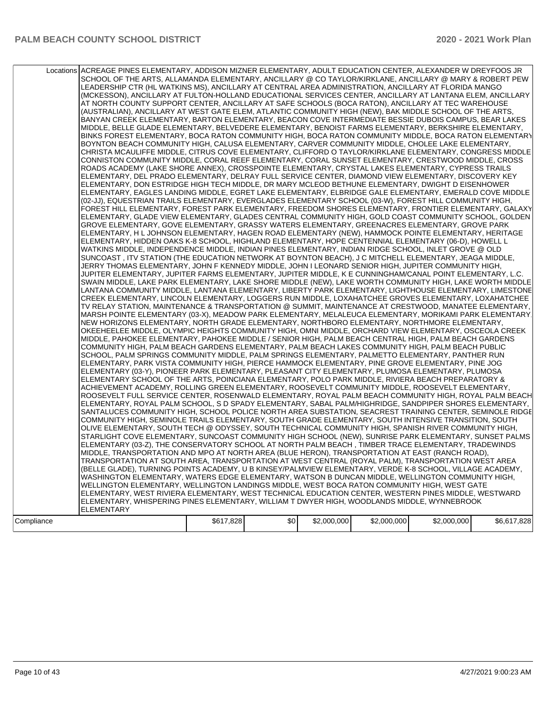|            | Locations ACREAGE PINES ELEMENTARY, ADDISON MIZNER ELEMENTARY, ADULT EDUCATION CENTER, ALEXANDER W DREYFOOS JR<br>SCHOOL OF THE ARTS, ALLAMANDA ELEMENTARY, ANCILLARY @ CO TAYLOR/KIRKLANE, ANCILLARY @ MARY & ROBERT PEW<br>LEADERSHIP CTR (HL WATKINS MS), ANCILLARY AT CENTRAL AREA ADMINISTRATION, ANCILLARY AT FLORIDA MANGO<br>(MCKESSON), ANCILLARY AT FULTON-HOLLAND EDUCATIONAL SERVICES CENTER, ANCILLARY AT LANTANA ELEM, ANCILLARY<br>AT NORTH COUNTY SUPPORT CENTER, ANCILLARY AT SAFE SCHOOLS (BOCA RATON), ANCILLARY AT TEC WAREHOUSE<br>(AUSTRALIAN), ANCILLARY AT WEST GATE ELEM, ATLANTIC COMMUNITY HIGH (NEW), BAK MIDDLE SCHOOL OF THE ARTS,<br>BANYAN CREEK ELEMENTARY, BARTON ELEMENTARY, BEACON COVE INTERMEDIATE BESSIE DUBOIS CAMPUS, BEAR LAKES<br>MIDDLE, BELLE GLADE ELEMENTARY, BELVEDERE ELEMENTARY, BENOIST FARMS ELEMENTARY, BERKSHIRE ELEMENTARY,<br>BINKS FOREST ELEMENTARY, BOCA RATON COMMUNITY HIGH, BOCA RATON COMMUNITY MIDDLE, BOCA RATON ELEMENTARY<br>BOYNTON BEACH COMMUNITY HIGH, CALUSA ELEMENTARY, CARVER COMMUNITY MIDDLE, CHOLEE LAKE ELEMENTARY,<br>CHRISTA MCAULIFFE MIDDLE, CITRUS COVE ELEMENTARY, CLIFFORD O TAYLOR/KIRKLANE ELEMENTARY, CONGRESS MIDDLE<br>CONNISTON COMMUNITY MIDDLE, CORAL REEF ELEMENTARY, CORAL SUNSET ELEMENTARY, CRESTWOOD MIDDLE, CROSS<br>ROADS ACADEMY (LAKE SHORE ANNEX), CROSSPOINTE ELEMENTARY, CRYSTAL LAKES ELEMENTARY, CYPRESS TRAILS<br>ELEMENTARY, DEL PRADO ELEMENTARY, DELRAY FULL SERVICE CENTER, DIAMOND VIEW ELEMENTARY, DISCOVERY KEY<br>ELEMENTARY, DON ESTRIDGE HIGH TECH MIDDLE, DR MARY MCLEOD BETHUNE ELEMENTARY, DWIGHT D EISENHOWER<br>ELEMENTARY, EAGLES LANDING MIDDLE, EGRET LAKE ELEMENTARY, ELBRIDGE GALE ELEMENTARY, EMERALD COVE MIDDLE<br>(02-JJ), EQUESTRIAN TRAILS ELEMENTARY, EVERGLADES ELEMENTARY SCHOOL (03-W), FOREST HILL COMMUNITY HIGH,<br>FOREST HILL ELEMENTARY, FOREST PARK ELEMENTARY, FREEDOM SHORES ELEMENTARY, FRONTIER ELEMENTARY, GALAXY<br>IELEMENTARY, GLADE VIEW ELEMENTARY, GLADES CENTRAL COMMUNITY HIGH, GOLD COAST COMMUNITY SCHOOL, GOLDEN<br>GROVE ELEMENTARY, GOVE ELEMENTARY, GRASSY WATERS ELEMENTARY, GREENACRES ELEMENTARY, GROVE PARK<br>ELEMENTARY, H L JOHNSON ELEMENTARY, HAGEN ROAD ELEMENTARY (NEW), HAMMOCK POINTE ELEMENTARY, HERITAGE<br>ELEMENTARY, HIDDEN OAKS K-8 SCHOOL, HIGHLAND ELEMENTARY, HOPE CENTENNIAL ELEMENTARY (06-D), HOWELL L<br>WATKINS MIDDLE, INDEPENDENCE MIDDLE, INDIAN PINES ELEMENTARY, INDIAN RIDGE SCHOOL, INLET GROVE @ OLD<br>SUNCOAST, ITV STATION (THE EDUCATION NETWORK AT BOYNTON BEACH), J C MITCHELL ELEMENTARY, JEAGA MIDDLE,<br>JERRY THOMAS ELEMENTARY, JOHN F KENNEDY MIDDLE, JOHN I LEONARD SENIOR HIGH, JUPITER COMMUNITY HIGH,<br>JUPITER ELEMENTARY, JUPITER FARMS ELEMENTARY, JUPITER MIDDLE, K E CUNNINGHAM/CANAL POINT ELEMENTARY, L.C.<br>SWAIN MIDDLE, LAKE PARK ELEMENTARY, LAKE SHORE MIDDLE (NEW), LAKE WORTH COMMUNITY HIGH, LAKE WORTH MIDDLE<br>LANTANA COMMUNITY MIDDLE, LANTANA ELEMENTARY, LIBERTY PARK ELEMENTARY, LIGHTHOUSE ELEMENTARY, LIMESTONE<br>CREEK ELEMENTARY, LINCOLN ELEMENTARY, LOGGERS RUN MIDDLE, LOXAHATCHEE GROVES ELEMENTARY, LOXAHATCHEE<br>TV RELAY STATION, MAINTENANCE & TRANSPORTATION @ SUMMIT, MAINTENANCE AT CRESTWOOD, MANATEE ELEMENTARY,<br>MARSH POINTE ELEMENTARY (03-X), MEADOW PARK ELEMENTARY, MELALEUCA ELEMENTARY, MORIKAMI PARK ELEMENTARY,<br>NEW HORIZONS ELEMENTARY, NORTH GRADE ELEMENTARY, NORTHBORO ELEMENTARY, NORTHMORE ELEMENTARY,<br>OKEEHEELEE MIDDLE, OLYMPIC HEIGHTS COMMUNITY HIGH, OMNI MIDDLE, ORCHARD VIEW ELEMENTARY, OSCEOLA CREEK<br>MIDDLE, PAHOKEE ELEMENTARY, PAHOKEE MIDDLE / SENIOR HIGH, PALM BEACH CENTRAL HIGH, PALM BEACH GARDENS<br>COMMUNITY HIGH, PALM BEACH GARDENS ELEMENTARY, PALM BEACH LAKES COMMUNITY HIGH, PALM BEACH PUBLIC<br>SCHOOL, PALM SPRINGS COMMUNITY MIDDLE, PALM SPRINGS ELEMENTARY, PALMETTO ELEMENTARY, PANTHER RUN<br>ELEMENTARY, PARK VISTA COMMUNITY HIGH, PIERCE HAMMOCK ELEMENTARY, PINE GROVE ELEMENTARY, PINE JOG<br>ELEMENTARY (03-Y), PIONEER PARK ELEMENTARY, PLEASANT CITY ELEMENTARY, PLUMOSA ELEMENTARY, PLUMOSA<br>ELEMENTARY SCHOOL OF THE ARTS, POINCIANA ELEMENTARY, POLO PARK MIDDLE, RIVIERA BEACH PREPARATORY &<br>ACHIEVEMENT ACADEMY, ROLLING GREEN ELEMENTARY, ROOSEVELT COMMUNITY MIDDLE, ROOSEVELT ELEMENTARY,<br>ROOSEVELT FULL SERVICE CENTER, ROSENWALD ELEMENTARY, ROYAL PALM BEACH COMMUNITY HIGH, ROYAL PALM BEACH<br>ELEMENTARY, ROYAL PALM SCHOOL, S D SPADY ELEMENTARY, SABAL PALM/HIGHRIDGE, SANDPIPER SHORES ELEMENTARY,<br>SANTALUCES COMMUNITY HIGH, SCHOOL POLICE NORTH AREA SUBSTATION, SEACREST TRAINING CENTER, SEMINOLE RIDGE<br>COMMUNITY HIGH, SEMINOLE TRAILS ELEMENTARY, SOUTH GRADE ELEMENTARY, SOUTH INTENSIVE TRANSITION, SOUTH<br>OLIVE ELEMENTARY, SOUTH TECH @ ODYSSEY, SOUTH TECHNICAL COMMUNITY HIGH, SPANISH RIVER COMMUNITY HIGH,<br>STARLIGHT COVE ELEMENTARY, SUNCOAST COMMUNITY HIGH SCHOOL (NEW), SUNRISE PARK ELEMENTARY, SUNSET PALMS<br>ELEMENTARY (03-Z), THE CONSERVATORY SCHOOL AT NORTH PALM BEACH, TIMBER TRACE ELEMENTARY, TRADEWINDS<br>MIDDLE, TRANSPORTATION AND MPO AT NORTH AREA (BLUE HERON), TRANSPORTATION AT EAST (RANCH ROAD), |           |     |             |             |             |             |
|------------|-----------------------------------------------------------------------------------------------------------------------------------------------------------------------------------------------------------------------------------------------------------------------------------------------------------------------------------------------------------------------------------------------------------------------------------------------------------------------------------------------------------------------------------------------------------------------------------------------------------------------------------------------------------------------------------------------------------------------------------------------------------------------------------------------------------------------------------------------------------------------------------------------------------------------------------------------------------------------------------------------------------------------------------------------------------------------------------------------------------------------------------------------------------------------------------------------------------------------------------------------------------------------------------------------------------------------------------------------------------------------------------------------------------------------------------------------------------------------------------------------------------------------------------------------------------------------------------------------------------------------------------------------------------------------------------------------------------------------------------------------------------------------------------------------------------------------------------------------------------------------------------------------------------------------------------------------------------------------------------------------------------------------------------------------------------------------------------------------------------------------------------------------------------------------------------------------------------------------------------------------------------------------------------------------------------------------------------------------------------------------------------------------------------------------------------------------------------------------------------------------------------------------------------------------------------------------------------------------------------------------------------------------------------------------------------------------------------------------------------------------------------------------------------------------------------------------------------------------------------------------------------------------------------------------------------------------------------------------------------------------------------------------------------------------------------------------------------------------------------------------------------------------------------------------------------------------------------------------------------------------------------------------------------------------------------------------------------------------------------------------------------------------------------------------------------------------------------------------------------------------------------------------------------------------------------------------------------------------------------------------------------------------------------------------------------------------------------------------------------------------------------------------------------------------------------------------------------------------------------------------------------------------------------------------------------------------------------------------------------------------------------------------------------------------------------------------------------------------------------------------------------------------------------------------------------------------------------------------------------------------------------------------------------------------------------------------------------------------------------------------------------------------------------------------------------------------------------------------------------------------------------------------------------------------------------------------------------------------------------------------------------------------------------------------------------------------------------------------------------------------------------------------------------------------------------------------------------------------------------------------------------------------------------------------------------------------------------------------------------------------------------------------------------------------------------------------------------------------------------------------------------------------------------------------------------------------------------------------|-----------|-----|-------------|-------------|-------------|-------------|
|            |                                                                                                                                                                                                                                                                                                                                                                                                                                                                                                                                                                                                                                                                                                                                                                                                                                                                                                                                                                                                                                                                                                                                                                                                                                                                                                                                                                                                                                                                                                                                                                                                                                                                                                                                                                                                                                                                                                                                                                                                                                                                                                                                                                                                                                                                                                                                                                                                                                                                                                                                                                                                                                                                                                                                                                                                                                                                                                                                                                                                                                                                                                                                                                                                                                                                                                                                                                                                                                                                                                                                                                                                                                                                                                                                                                                                                                                                                                                                                                                                                                                                                                                                                                                                                                                                                                                                                                                                                                                                                                                                                                                                                                                                                                                                                                                                                                                                                                                                                                                                                                                                                                                                                                                                                       |           |     |             |             |             |             |
|            | TRANSPORTATION AT SOUTH AREA, TRANSPORTATION AT WEST CENTRAL (ROYAL PALM), TRANSPORTATION WEST AREA<br>(BELLE GLADE), TURNING POINTS ACADEMY, U B KINSEY/PALMVIEW ELEMENTARY, VERDE K-8 SCHOOL, VILLAGE ACADEMY,<br>WASHINGTON ELEMENTARY. WATERS EDGE ELEMENTARY. WATSON B DUNCAN MIDDLE. WELLINGTON COMMUNITY HIGH.<br>WELLINGTON ELEMENTARY, WELLINGTON LANDINGS MIDDLE, WEST BOCA RATON COMMUNITY HIGH, WEST GATE<br>ELEMENTARY, WEST RIVIERA ELEMENTARY, WEST TECHNICAL EDUCATION CENTER, WESTERN PINES MIDDLE, WESTWARD<br>ELEMENTARY, WHISPERING PINES ELEMENTARY, WILLIAM T DWYER HIGH, WOODLANDS MIDDLE, WYNNEBROOK<br><b>ELEMENTARY</b>                                                                                                                                                                                                                                                                                                                                                                                                                                                                                                                                                                                                                                                                                                                                                                                                                                                                                                                                                                                                                                                                                                                                                                                                                                                                                                                                                                                                                                                                                                                                                                                                                                                                                                                                                                                                                                                                                                                                                                                                                                                                                                                                                                                                                                                                                                                                                                                                                                                                                                                                                                                                                                                                                                                                                                                                                                                                                                                                                                                                                                                                                                                                                                                                                                                                                                                                                                                                                                                                                                                                                                                                                                                                                                                                                                                                                                                                                                                                                                                                                                                                                                                                                                                                                                                                                                                                                                                                                                                                                                                                                                     |           |     |             |             |             |             |
| Compliance |                                                                                                                                                                                                                                                                                                                                                                                                                                                                                                                                                                                                                                                                                                                                                                                                                                                                                                                                                                                                                                                                                                                                                                                                                                                                                                                                                                                                                                                                                                                                                                                                                                                                                                                                                                                                                                                                                                                                                                                                                                                                                                                                                                                                                                                                                                                                                                                                                                                                                                                                                                                                                                                                                                                                                                                                                                                                                                                                                                                                                                                                                                                                                                                                                                                                                                                                                                                                                                                                                                                                                                                                                                                                                                                                                                                                                                                                                                                                                                                                                                                                                                                                                                                                                                                                                                                                                                                                                                                                                                                                                                                                                                                                                                                                                                                                                                                                                                                                                                                                                                                                                                                                                                                                                       | \$617,828 | \$0 | \$2,000,000 | \$2,000,000 | \$2,000,000 | \$6,617,828 |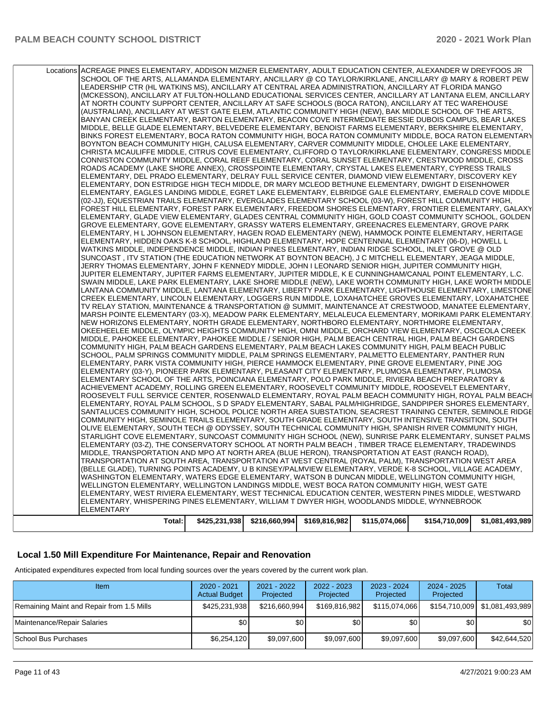| Total:                                                                                                                                                                                                     | \$425,231,938 | \$216,660,994 | \$169,816,982 | \$115,074,066 | \$154,710,009 | \$1,081,493,989 |
|------------------------------------------------------------------------------------------------------------------------------------------------------------------------------------------------------------|---------------|---------------|---------------|---------------|---------------|-----------------|
| ELEMENTARY                                                                                                                                                                                                 |               |               |               |               |               |                 |
| ELEMENTARY, WHISPERING PINES ELEMENTARY, WILLIAM T DWYER HIGH, WOODLANDS MIDDLE, WYNNEBROOK                                                                                                                |               |               |               |               |               |                 |
| ELEMENTARY, WEST RIVIERA ELEMENTARY, WEST TECHNICAL EDUCATION CENTER, WESTERN PINES MIDDLE, WESTWARD                                                                                                       |               |               |               |               |               |                 |
| WELLINGTON ELEMENTARY, WELLINGTON LANDINGS MIDDLE, WEST BOCA RATON COMMUNITY HIGH, WEST GATE                                                                                                               |               |               |               |               |               |                 |
| WASHINGTON ELEMENTARY, WATERS EDGE ELEMENTARY, WATSON B DUNCAN MIDDLE, WELLINGTON COMMUNITY HIGH,                                                                                                          |               |               |               |               |               |                 |
| (BELLE GLADE), TURNING POINTS ACADEMY, U B KINSEY/PALMVIEW ELEMENTARY, VERDE K-8 SCHOOL, VILLAGE ACADEMY,                                                                                                  |               |               |               |               |               |                 |
| TRANSPORTATION AT SOUTH AREA. TRANSPORTATION AT WEST CENTRAL (ROYAL PALM). TRANSPORTATION WEST AREA                                                                                                        |               |               |               |               |               |                 |
| MIDDLE, TRANSPORTATION AND MPO AT NORTH AREA (BLUE HERON), TRANSPORTATION AT EAST (RANCH ROAD),                                                                                                            |               |               |               |               |               |                 |
| ELEMENTARY (03-Z), THE CONSERVATORY SCHOOL AT NORTH PALM BEACH, TIMBER TRACE ELEMENTARY, TRADEWINDS                                                                                                        |               |               |               |               |               |                 |
| STARLIGHT COVE ELEMENTARY, SUNCOAST COMMUNITY HIGH SCHOOL (NEW), SUNRISE PARK ELEMENTARY, SUNSET PALMS                                                                                                     |               |               |               |               |               |                 |
| OLIVE ELEMENTARY, SOUTH TECH @ ODYSSEY, SOUTH TECHNICAL COMMUNITY HIGH, SPANISH RIVER COMMUNITY HIGH,                                                                                                      |               |               |               |               |               |                 |
| COMMUNITY HIGH, SEMINOLE TRAILS ELEMENTARY, SOUTH GRADE ELEMENTARY, SOUTH INTENSIVE TRANSITION, SOUTH                                                                                                      |               |               |               |               |               |                 |
| SANTALUCES COMMUNITY HIGH, SCHOOL POLICE NORTH AREA SUBSTATION, SEACREST TRAINING CENTER, SEMINOLE RIDGE                                                                                                   |               |               |               |               |               |                 |
| ELEMENTARY, ROYAL PALM SCHOOL, S D SPADY ELEMENTARY, SABAL PALM/HIGHRIDGE, SANDPIPER SHORES ELEMENTARY,                                                                                                    |               |               |               |               |               |                 |
| ACHIEVEMENT ACADEMY, ROLLING GREEN ELEMENTARY, ROOSEVELT COMMUNITY MIDDLE, ROOSEVELT ELEMENTARY,<br>ROOSEVELT FULL SERVICE CENTER, ROSENWALD ELEMENTARY, ROYAL PALM BEACH COMMUNITY HIGH, ROYAL PALM BEACH |               |               |               |               |               |                 |
| ELEMENTARY SCHOOL OF THE ARTS, POINCIANA ELEMENTARY, POLO PARK MIDDLE, RIVIERA BEACH PREPARATORY &                                                                                                         |               |               |               |               |               |                 |
| ELEMENTARY (03-Y), PIONEER PARK ELEMENTARY, PLEASANT CITY ELEMENTARY, PLUMOSA ELEMENTARY, PLUMOSA                                                                                                          |               |               |               |               |               |                 |
| ELEMENTARY, PARK VISTA COMMUNITY HIGH, PIERCE HAMMOCK ELEMENTARY, PINE GROVE ELEMENTARY, PINE JOG                                                                                                          |               |               |               |               |               |                 |
| SCHOOL, PALM SPRINGS COMMUNITY MIDDLE, PALM SPRINGS ELEMENTARY, PALMETTO ELEMENTARY, PANTHER RUN                                                                                                           |               |               |               |               |               |                 |
| COMMUNITY HIGH, PALM BEACH GARDENS ELEMENTARY, PALM BEACH LAKES COMMUNITY HIGH, PALM BEACH PUBLIC                                                                                                          |               |               |               |               |               |                 |
| MIDDLE, PAHOKEE ELEMENTARY, PAHOKEE MIDDLE / SENIOR HIGH, PALM BEACH CENTRAL HIGH, PALM BEACH GARDENS                                                                                                      |               |               |               |               |               |                 |
| OKEEHEELEE MIDDLE, OLYMPIC HEIGHTS COMMUNITY HIGH, OMNI MIDDLE, ORCHARD VIEW ELEMENTARY, OSCEOLA CREEK                                                                                                     |               |               |               |               |               |                 |
| NEW HORIZONS ELEMENTARY, NORTH GRADE ELEMENTARY, NORTHBORO ELEMENTARY, NORTHMORE ELEMENTARY,                                                                                                               |               |               |               |               |               |                 |
| MARSH POINTE ELEMENTARY (03-X), MEADOW PARK ELEMENTARY, MELALEUCA ELEMENTARY, MORIKAMI PARK ELEMENTARY                                                                                                     |               |               |               |               |               |                 |
| TV RELAY STATION, MAINTENANCE & TRANSPORTATION @ SUMMIT, MAINTENANCE AT CRESTWOOD, MANATEE ELEMENTARY,                                                                                                     |               |               |               |               |               |                 |
| CREEK ELEMENTARY, LINCOLN ELEMENTARY, LOGGERS RUN MIDDLE, LOXAHATCHEE GROVES ELEMENTARY, LOXAHATCHEE                                                                                                       |               |               |               |               |               |                 |
| LANTANA COMMUNITY MIDDLE, LANTANA ELEMENTARY, LIBERTY PARK ELEMENTARY, LIGHTHOUSE ELEMENTARY, LIMESTONE                                                                                                    |               |               |               |               |               |                 |
| SWAIN MIDDLE, LAKE PARK ELEMENTARY, LAKE SHORE MIDDLE (NEW), LAKE WORTH COMMUNITY HIGH, LAKE WORTH MIDDLE                                                                                                  |               |               |               |               |               |                 |
| JUPITER ELEMENTARY, JUPITER FARMS ELEMENTARY, JUPITER MIDDLE, K E CUNNINGHAM/CANAL POINT ELEMENTARY, L.C.                                                                                                  |               |               |               |               |               |                 |
| JERRY THOMAS ELEMENTARY, JOHN F KENNEDY MIDDLE, JOHN I LEONARD SENIOR HIGH, JUPITER COMMUNITY HIGH,                                                                                                        |               |               |               |               |               |                 |
| SUNCOAST , ITV STATION (THE EDUCATION NETWORK AT BOYNTON BEACH), J C MITCHELL ELEMENTARY, JEAGA MIDDLE,                                                                                                    |               |               |               |               |               |                 |
| WATKINS MIDDLE, INDEPENDENCE MIDDLE, INDIAN PINES ELEMENTARY, INDIAN RIDGE SCHOOL, INLET GROVE @ OLD                                                                                                       |               |               |               |               |               |                 |
| ELEMENTARY, HIDDEN OAKS K-8 SCHOOL, HIGHLAND ELEMENTARY, HOPE CENTENNIAL ELEMENTARY (06-D), HOWELL L                                                                                                       |               |               |               |               |               |                 |
| GROVE ELEMENTARY, GOVE ELEMENTARY, GRASSY WATERS ELEMENTARY, GREENACRES ELEMENTARY, GROVE PARK<br>ELEMENTARY, H L JOHNSON ELEMENTARY, HAGEN ROAD ELEMENTARY (NEW), HAMMOCK POINTE ELEMENTARY, HERITAGE     |               |               |               |               |               |                 |
| ELEMENTARY, GLADE VIEW ELEMENTARY, GLADES CENTRAL COMMUNITY HIGH, GOLD COAST COMMUNITY SCHOOL, GOLDEN                                                                                                      |               |               |               |               |               |                 |
| FOREST HILL ELEMENTARY, FOREST PARK ELEMENTARY, FREEDOM SHORES ELEMENTARY, FRONTIER ELEMENTARY, GALAXY                                                                                                     |               |               |               |               |               |                 |
| (02-JJ), EQUESTRIAN TRAILS ELEMENTARY, EVERGLADES ELEMENTARY SCHOOL (03-W), FOREST HILL COMMUNITY HIGH,                                                                                                    |               |               |               |               |               |                 |
| ELEMENTARY, EAGLES LANDING MIDDLE, EGRET LAKE ELEMENTARY, ELBRIDGE GALE ELEMENTARY, EMERALD COVE MIDDLE                                                                                                    |               |               |               |               |               |                 |
| ELEMENTARY, DON ESTRIDGE HIGH TECH MIDDLE, DR MARY MCLEOD BETHUNE ELEMENTARY, DWIGHT D EISENHOWER                                                                                                          |               |               |               |               |               |                 |
| ELEMENTARY, DEL PRADO ELEMENTARY, DELRAY FULL SERVICE CENTER, DIAMOND VIEW ELEMENTARY, DISCOVERY KEY                                                                                                       |               |               |               |               |               |                 |
| ROADS ACADEMY (LAKE SHORE ANNEX), CROSSPOINTE ELEMENTARY, CRYSTAL LAKES ELEMENTARY, CYPRESS TRAILS                                                                                                         |               |               |               |               |               |                 |
| CONNISTON COMMUNITY MIDDLE, CORAL REEF ELEMENTARY, CORAL SUNSET ELEMENTARY, CRESTWOOD MIDDLE, CROSS                                                                                                        |               |               |               |               |               |                 |
| CHRISTA MCAULIFFE MIDDLE, CITRUS COVE ELEMENTARY, CLIFFORD O TAYLOR/KIRKLANE ELEMENTARY, CONGRESS MIDDLE                                                                                                   |               |               |               |               |               |                 |
| BOYNTON BEACH COMMUNITY HIGH, CALUSA ELEMENTARY, CARVER COMMUNITY MIDDLE, CHOLEE LAKE ELEMENTARY,                                                                                                          |               |               |               |               |               |                 |
| BINKS FOREST ELEMENTARY, BOCA RATON COMMUNITY HIGH, BOCA RATON COMMUNITY MIDDLE, BOCA RATON ELEMENTARY                                                                                                     |               |               |               |               |               |                 |
| MIDDLE, BELLE GLADE ELEMENTARY, BELVEDERE ELEMENTARY, BENOIST FARMS ELEMENTARY, BERKSHIRE ELEMENTARY,                                                                                                      |               |               |               |               |               |                 |
| BANYAN CREEK ELEMENTARY, BARTON ELEMENTARY, BEACON COVE INTERMEDIATE BESSIE DUBOIS CAMPUS, BEAR LAKES                                                                                                      |               |               |               |               |               |                 |
| (AUSTRALIAN), ANCILLARY AT WEST GATE ELEM, ATLANTIC COMMUNITY HIGH (NEW), BAK MIDDLE SCHOOL OF THE ARTS,                                                                                                   |               |               |               |               |               |                 |
| AT NORTH COUNTY SUPPORT CENTER, ANCILLARY AT SAFE SCHOOLS (BOCA RATON), ANCILLARY AT TEC WAREHOUSE                                                                                                         |               |               |               |               |               |                 |
| (MCKESSON), ANCILLARY AT FULTON-HOLLAND EDUCATIONAL SERVICES CENTER, ANCILLARY AT LANTANA ELEM, ANCILLARY                                                                                                  |               |               |               |               |               |                 |
| LEADERSHIP CTR (HL WATKINS MS), ANCILLARY AT CENTRAL AREA ADMINISTRATION, ANCILLARY AT FLORIDA MANGO                                                                                                       |               |               |               |               |               |                 |
| SCHOOL OF THE ARTS, ALLAMANDA ELEMENTARY, ANCILLARY @ CO TAYLOR/KIRKLANE, ANCILLARY @ MARY & ROBERT PEW                                                                                                    |               |               |               |               |               |                 |
| Locations ACREAGE PINES ELEMENTARY, ADDISON MIZNER ELEMENTARY, ADULT EDUCATION CENTER, ALEXANDER W DREYFOOS JR                                                                                             |               |               |               |               |               |                 |

## **Local 1.50 Mill Expenditure For Maintenance, Repair and Renovation**

Anticipated expenditures expected from local funding sources over the years covered by the current work plan.

| <b>Item</b>                               | $2020 - 2021$<br><b>Actual Budget</b> | 2021 - 2022<br>Projected | $2022 - 2023$<br>Projected | 2023 - 2024<br>Projected | 2024 - 2025<br>Projected | <b>Total</b> |
|-------------------------------------------|---------------------------------------|--------------------------|----------------------------|--------------------------|--------------------------|--------------|
| Remaining Maint and Repair from 1.5 Mills | \$425,231,938                         | \$216.660.994            | \$169,816,982              | \$115,074,066            |                          |              |
| Maintenance/Repair Salaries               | \$0                                   | \$0                      | \$0                        | \$0                      | \$0                      | \$0          |
| School Bus Purchases                      | \$6,254,120                           | \$9,097,600              | \$9,097,600                | \$9,097,600              | \$9,097,600              | \$42,644,520 |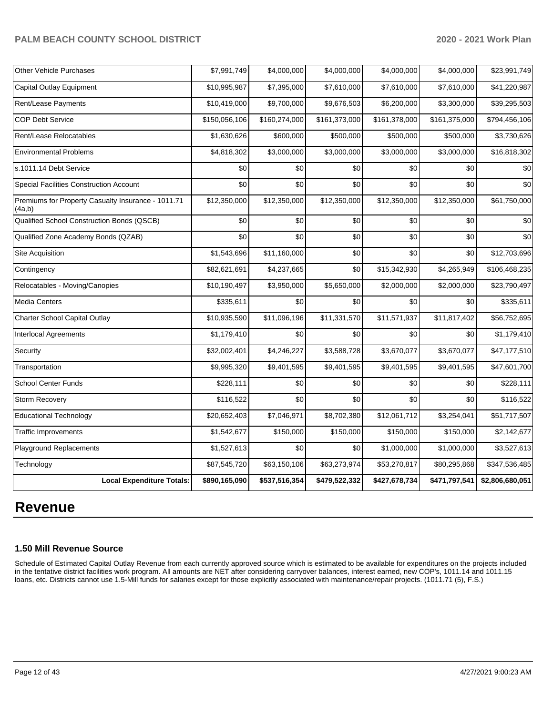| <b>Other Vehicle Purchases</b>                               | \$7,991,749   | \$4,000,000   | \$4,000,000   | \$4,000,000   | \$4,000,000   | \$23,991,749    |
|--------------------------------------------------------------|---------------|---------------|---------------|---------------|---------------|-----------------|
| Capital Outlay Equipment                                     | \$10,995,987  | \$7,395,000   | \$7,610,000   | \$7,610,000   | \$7,610,000   | \$41,220,987    |
| Rent/Lease Payments                                          | \$10,419,000  | \$9,700,000   | \$9,676,503   | \$6,200,000   | \$3,300,000   | \$39,295,503    |
| <b>COP Debt Service</b>                                      | \$150,056,106 | \$160,274,000 | \$161,373,000 | \$161,378,000 | \$161,375,000 | \$794,456,106   |
| Rent/Lease Relocatables                                      | \$1,630,626   | \$600,000     | \$500,000     | \$500,000     | \$500,000     | \$3,730,626     |
| <b>Environmental Problems</b>                                | \$4,818,302   | \$3,000,000   | \$3,000,000   | \$3,000,000   | \$3,000,000   | \$16,818,302    |
| s.1011.14 Debt Service                                       | \$0           | \$0           | \$0           | \$0           | \$0           | \$0             |
| Special Facilities Construction Account                      | \$0           | \$0           | \$0           | \$0           | \$0           | \$0             |
| Premiums for Property Casualty Insurance - 1011.71<br>(4a,b) | \$12,350,000  | \$12,350,000  | \$12,350,000  | \$12,350,000  | \$12,350,000  | \$61,750,000    |
| Qualified School Construction Bonds (QSCB)                   | \$0           | \$0           | \$0           | \$0           | \$0           | \$0             |
| Qualified Zone Academy Bonds (QZAB)                          | \$0           | \$0           | \$0           | \$0           | \$0           | \$0             |
| Site Acquisition                                             | \$1,543,696   | \$11,160,000  | \$0           | \$0           | \$0           | \$12,703,696    |
| Contingency                                                  | \$82,621,691  | \$4,237,665   | \$0           | \$15,342,930  | \$4,265,949   | \$106,468,235   |
| Relocatables - Moving/Canopies                               | \$10,190,497  | \$3,950,000   | \$5,650,000   | \$2,000,000   | \$2,000,000   | \$23,790,497    |
| <b>Media Centers</b>                                         | \$335,611     | \$0           | \$0           | \$0           | \$0           | \$335,611       |
| Charter School Capital Outlay                                | \$10,935,590  | \$11,096,196  | \$11,331,570  | \$11,571,937  | \$11,817,402  | \$56,752,695    |
| Interlocal Agreements                                        | \$1,179,410   | \$0           | \$0           | \$0           | \$0           | \$1,179,410     |
| Security                                                     | \$32,002,401  | \$4,246,227   | \$3,588,728   | \$3,670,077   | \$3,670,077   | \$47,177,510    |
| Transportation                                               | \$9,995,320   | \$9,401,595   | \$9,401,595   | \$9,401,595   | \$9,401,595   | \$47,601,700    |
| <b>School Center Funds</b>                                   | \$228,111     | \$0           | \$0           | \$0           | \$0           | \$228,111       |
| Storm Recovery                                               | \$116,522     | \$0           | \$0           | \$0           | \$0           | \$116,522       |
| <b>Educational Technology</b>                                | \$20,652,403  | \$7,046,971   | \$8,702,380   | \$12,061,712  | \$3,254,041   | \$51,717,507    |
| <b>Traffic Improvements</b>                                  | \$1,542,677   | \$150,000     | \$150,000     | \$150,000     | \$150,000     | \$2,142,677     |
| <b>Playground Replacements</b>                               | \$1,527,613   | \$0           | \$0           | \$1,000,000   | \$1,000,000   | \$3,527,613     |
| Technology                                                   | \$87,545,720  | \$63,150,106  | \$63,273,974  | \$53,270,817  | \$80,295,868  | \$347,536,485   |
| <b>Local Expenditure Totals:</b>                             | \$890,165,090 | \$537,516,354 | \$479,522,332 | \$427,678,734 | \$471,797,541 | \$2,806,680,051 |

## **Revenue**

#### **1.50 Mill Revenue Source**

Schedule of Estimated Capital Outlay Revenue from each currently approved source which is estimated to be available for expenditures on the projects included in the tentative district facilities work program. All amounts are NET after considering carryover balances, interest earned, new COP's, 1011.14 and 1011.15 loans, etc. Districts cannot use 1.5-Mill funds for salaries except for those explicitly associated with maintenance/repair projects. (1011.71 (5), F.S.)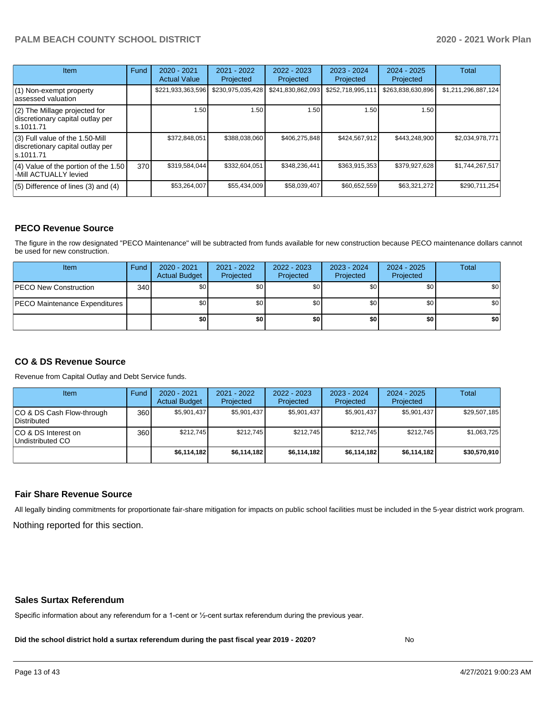| Item                                                                                | Fund | $2020 - 2021$<br><b>Actual Value</b> | $2021 - 2022$<br>Projected | $2022 - 2023$<br>Projected | $2023 - 2024$<br>Projected | $2024 - 2025$<br>Projected | <b>Total</b>        |
|-------------------------------------------------------------------------------------|------|--------------------------------------|----------------------------|----------------------------|----------------------------|----------------------------|---------------------|
| $(1)$ Non-exempt property<br>lassessed valuation                                    |      | \$221,933,363,596                    | \$230,975,035,428          | \$241,830,862,093          | \$252,718,995,111          | \$263,838,630,896          | \$1,211,296,887,124 |
| $(2)$ The Millage projected for<br>discretionary capital outlay per<br>ls.1011.71   |      | 1.50                                 | 1.50                       | 1.50                       | 1.50                       | 1.50                       |                     |
| $(3)$ Full value of the 1.50-Mill<br>discretionary capital outlay per<br>ls.1011.71 |      | \$372,848,051                        | \$388,038,060              | \$406,275,848              | \$424.567.912              | \$443.248.900              | \$2,034,978,771     |
| $(4)$ Value of the portion of the 1.50<br>-Mill ACTUALLY levied                     | 370I | \$319,584,044                        | \$332,604,051              | \$348,236,441              | \$363,915,353              | \$379,927,628              | \$1,744,267,517     |
| $(5)$ Difference of lines $(3)$ and $(4)$                                           |      | \$53,264,007                         | \$55,434,009               | \$58,039,407               | \$60,652,559               | \$63,321,272               | \$290.711.254       |

#### **PECO Revenue Source**

The figure in the row designated "PECO Maintenance" will be subtracted from funds available for new construction because PECO maintenance dollars cannot be used for new construction.

| Item                                 | Fund | $2020 - 2021$<br><b>Actual Budget</b> | 2021 - 2022<br>Projected | 2022 - 2023<br>Projected | 2023 - 2024<br>Projected | 2024 - 2025<br>Projected | Total            |
|--------------------------------------|------|---------------------------------------|--------------------------|--------------------------|--------------------------|--------------------------|------------------|
| <b>PECO New Construction</b>         | 340  | \$0                                   | \$0 <sub>1</sub>         | \$0                      | \$0 <sub>1</sub>         | \$0 <sub>1</sub>         | \$0 <sub>1</sub> |
| <b>PECO Maintenance Expenditures</b> |      | ا 30                                  | \$٥١                     | \$0                      | \$0 <sub>1</sub>         | \$0                      | \$0              |
|                                      |      | \$0                                   | \$0                      | \$0                      | \$0                      | \$0                      | \$0              |

#### **CO & DS Revenue Source**

Revenue from Capital Outlay and Debt Service funds.

| Item                                      | Fund | 2020 - 2021<br><b>Actual Budget</b> | 2021 - 2022<br>Projected | 2022 - 2023<br>Projected | $2023 - 2024$<br>Projected | $2024 - 2025$<br>Projected | <b>Total</b> |
|-------------------------------------------|------|-------------------------------------|--------------------------|--------------------------|----------------------------|----------------------------|--------------|
| ICO & DS Cash Flow-through<br>Distributed | 360  | \$5,901,437                         | \$5,901,437              | \$5.901.437              | \$5.901.437                | \$5,901,437                | \$29,507,185 |
| ICO & DS Interest on<br>Undistributed CO  | 360  | \$212.745                           | \$212.745                | \$212.745                | \$212.745                  | \$212.745                  | \$1,063,725  |
|                                           |      | \$6,114,182                         | \$6,114,182              | \$6,114,182              | \$6.114.182                | \$6,114,182                | \$30.570.910 |

#### **Fair Share Revenue Source**

Nothing reported for this section. All legally binding commitments for proportionate fair-share mitigation for impacts on public school facilities must be included in the 5-year district work program.

#### **Sales Surtax Referendum**

Specific information about any referendum for a 1-cent or ½-cent surtax referendum during the previous year.

**Did the school district hold a surtax referendum during the past fiscal year 2019 - 2020?**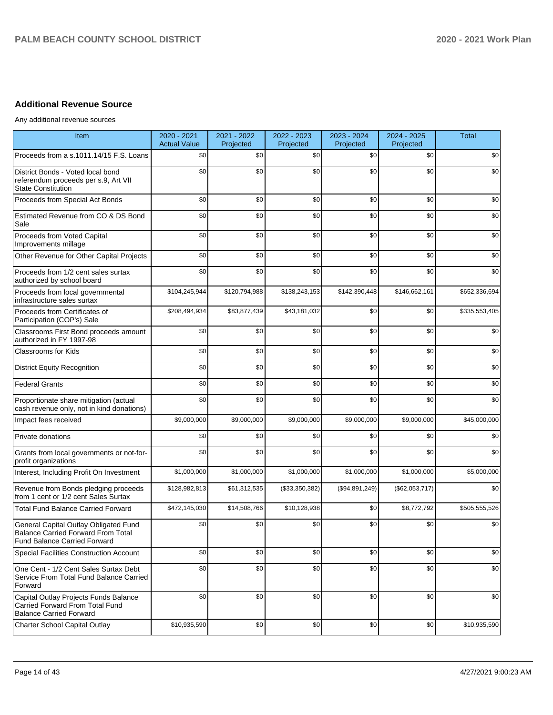## **Additional Revenue Source**

Any additional revenue sources

| Item                                                                                                                      | 2020 - 2021<br><b>Actual Value</b> | 2021 - 2022<br>Projected | 2022 - 2023<br>Projected | 2023 - 2024<br>Projected | 2024 - 2025<br>Projected | <b>Total</b>  |
|---------------------------------------------------------------------------------------------------------------------------|------------------------------------|--------------------------|--------------------------|--------------------------|--------------------------|---------------|
| Proceeds from a s.1011.14/15 F.S. Loans                                                                                   | \$0                                | \$0                      | \$0                      | \$0                      | \$0                      | \$0           |
| District Bonds - Voted local bond<br>referendum proceeds per s.9, Art VII<br><b>State Constitution</b>                    | \$0                                | \$0                      | \$0                      | \$0                      | \$0                      | \$0           |
| Proceeds from Special Act Bonds                                                                                           | \$0                                | \$0                      | \$0                      | \$0                      | \$0                      | \$0           |
| Estimated Revenue from CO & DS Bond<br>Sale                                                                               | \$0                                | \$0                      | \$0                      | \$0                      | \$0                      | \$0           |
| Proceeds from Voted Capital<br>Improvements millage                                                                       | \$0                                | \$0                      | \$0                      | \$0                      | \$0                      | \$0           |
| Other Revenue for Other Capital Projects                                                                                  | \$0                                | \$0                      | \$0                      | \$0                      | \$0                      | \$0           |
| Proceeds from 1/2 cent sales surtax<br>authorized by school board                                                         | \$0                                | \$0                      | \$0                      | \$0                      | \$0                      | \$0           |
| Proceeds from local governmental<br>infrastructure sales surtax                                                           | \$104,245,944                      | \$120,794,988            | \$138,243,153            | \$142,390,448            | \$146,662,161            | \$652,336,694 |
| Proceeds from Certificates of<br>Participation (COP's) Sale                                                               | \$208,494,934                      | \$83,877,439             | \$43,181,032             | \$0                      | \$0                      | \$335,553,405 |
| Classrooms First Bond proceeds amount<br>authorized in FY 1997-98                                                         | \$0                                | \$0                      | \$0                      | \$0                      | \$0                      | \$0           |
| <b>Classrooms for Kids</b>                                                                                                | \$0                                | \$0                      | \$0                      | \$0                      | \$0                      | \$0           |
| <b>District Equity Recognition</b>                                                                                        | \$0                                | \$0                      | \$0                      | \$0                      | \$0                      | \$0           |
| <b>Federal Grants</b>                                                                                                     | \$0                                | \$0                      | \$0                      | \$0                      | \$0                      | \$0           |
| Proportionate share mitigation (actual<br>cash revenue only, not in kind donations)                                       | \$0                                | \$0                      | \$0                      | \$0                      | \$0                      | \$0           |
| Impact fees received                                                                                                      | \$9,000,000                        | \$9,000,000              | \$9,000,000              | \$9,000,000              | \$9,000,000              | \$45,000,000  |
| Private donations                                                                                                         | \$0                                | \$0                      | \$0                      | \$0                      | \$0                      | \$0           |
| Grants from local governments or not-for-<br>profit organizations                                                         | \$0                                | \$0                      | \$0                      | \$0                      | \$0                      | \$0           |
| Interest, Including Profit On Investment                                                                                  | \$1,000,000                        | \$1,000,000              | \$1,000,000              | \$1,000,000              | \$1,000,000              | \$5,000,000   |
| Revenue from Bonds pledging proceeds<br>from 1 cent or 1/2 cent Sales Surtax                                              | \$128,982,813                      | \$61,312,535             | (\$33,350,382)           | (\$94,891,249)           | (\$62,053,717)           | \$0           |
| <b>Total Fund Balance Carried Forward</b>                                                                                 | \$472,145,030                      | \$14,508,766             | \$10,128,938             | \$0                      | \$8,772,792              | \$505,555,526 |
| General Capital Outlay Obligated Fund<br><b>Balance Carried Forward From Total</b><br><b>Fund Balance Carried Forward</b> | \$0                                | \$0                      | \$0                      | \$0                      | \$0                      | \$0           |
| <b>Special Facilities Construction Account</b>                                                                            | \$0                                | \$0                      | \$0                      | \$0                      | \$0                      | \$0           |
| One Cent - 1/2 Cent Sales Surtax Debt<br>Service From Total Fund Balance Carried<br>Forward                               | \$0                                | \$0                      | \$0                      | \$0                      | \$0                      | \$0           |
| Capital Outlay Projects Funds Balance<br>Carried Forward From Total Fund<br><b>Balance Carried Forward</b>                | \$0                                | \$0                      | \$0                      | \$0                      | \$0                      | \$0           |
| Charter School Capital Outlay                                                                                             | \$10,935,590                       | \$0                      | \$0                      | \$0                      | \$0                      | \$10,935,590  |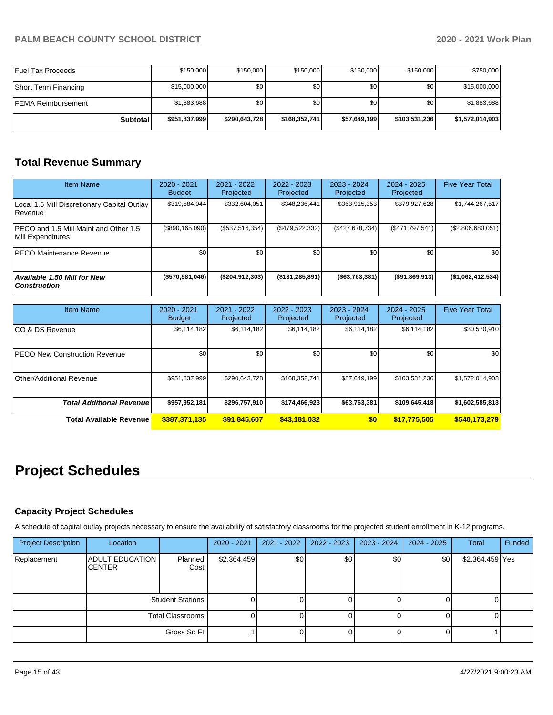| Fuel Tax Proceeds          | \$150,000     | \$150,000     | \$150,000        | \$150,000    | \$150,000        | \$750,000       |
|----------------------------|---------------|---------------|------------------|--------------|------------------|-----------------|
| Short Term Financing       | \$15,000,000  | \$0           | \$0              | \$0          | \$0              | \$15,000,000    |
| <b>IFEMA Reimbursement</b> | \$1,883,688   | \$0           | \$0 <sub>1</sub> | \$0          | \$0 <sub>1</sub> | \$1,883,688     |
| <b>Subtotal</b>            | \$951,837,999 | \$290,643,728 | \$168,352,741    | \$57,649,199 | \$103,531,236    | \$1,572,014,903 |

## **Total Revenue Summary**

| <b>Item Name</b>                                           | 2020 - 2021<br><b>Budget</b> | 2021 - 2022<br>Projected | 2022 - 2023<br>Projected | 2023 - 2024<br>Projected | $2024 - 2025$<br>Projected | <b>Five Year Total</b> |
|------------------------------------------------------------|------------------------------|--------------------------|--------------------------|--------------------------|----------------------------|------------------------|
| Local 1.5 Mill Discretionary Capital Outlay<br>l Revenue   | \$319,584,044                | \$332,604,051            | \$348,236,441            | \$363,915,353            | \$379,927,628              | \$1,744,267,517        |
| PECO and 1.5 Mill Maint and Other 1.5<br>Mill Expenditures | (\$890, 165, 090)            | (\$537,516,354)          | (\$479,522,332)          | (\$427,678,734)          | (\$471,797,541)            | (\$2,806,680,051)      |
| <b>PECO Maintenance Revenue</b>                            | \$0                          | \$0 <sub>1</sub>         | \$0                      | \$0                      | \$0                        | \$0                    |
| Available 1.50 Mill for New<br><b>Construction</b>         | ( \$570, 581, 046)           | ( \$204, 912, 303)       | ( \$131, 285, 891)       | ( \$63,763,381)          | $($ \$91,869,913)          | (\$1,062,412,534)      |

| <b>Item Name</b>                      | $2020 - 2021$<br><b>Budget</b> | $2021 - 2022$<br>Projected | $2022 - 2023$<br>Projected | $2023 - 2024$<br>Projected | $2024 - 2025$<br>Projected | <b>Five Year Total</b> |
|---------------------------------------|--------------------------------|----------------------------|----------------------------|----------------------------|----------------------------|------------------------|
| ICO & DS Revenue                      | \$6,114,182                    | \$6,114,182                | \$6,114,182                | \$6,114,182                | \$6,114,182                | \$30,570,910           |
| <b>IPECO New Construction Revenue</b> | \$0                            | \$0 <sub>1</sub>           | \$0                        | \$0                        | \$0                        | \$0                    |
| Other/Additional Revenue              | \$951,837,999                  | \$290,643,728              | \$168,352,741              | \$57.649.199               | \$103,531,236              | \$1,572,014,903        |
| <b>Total Additional Revenuel</b>      | \$957,952,181                  | \$296,757,910              | \$174,466,923              | \$63,763,381               | \$109,645,418              | \$1,602,585,813        |
| <b>Total Available Revenue</b>        | \$387,371,135                  | \$91,845,607               | \$43,181,032               | \$0                        | \$17,775,505               | \$540,173,279          |

# **Project Schedules**

#### **Capacity Project Schedules**

A schedule of capital outlay projects necessary to ensure the availability of satisfactory classrooms for the projected student enrollment in K-12 programs.

| <b>Project Description</b> | Location                                |                  | 2020 - 2021 | $2021 - 2022$    | $2022 - 2023$ | 2023 - 2024 | $2024 - 2025$ | Total           | Funded |
|----------------------------|-----------------------------------------|------------------|-------------|------------------|---------------|-------------|---------------|-----------------|--------|
| Replacement                | <b>ADULT EDUCATION</b><br><b>CENTER</b> | Planned<br>Cost: | \$2,364,459 | \$0 <sub>1</sub> | \$0           | \$0         | \$0           | \$2,364,459 Yes |        |
|                            | <b>Student Stations:</b>                |                  |             |                  |               |             |               |                 |        |
|                            | Total Classrooms:                       |                  |             |                  |               |             |               |                 |        |
|                            | Gross Sq Ft:                            |                  |             |                  |               |             |               |                 |        |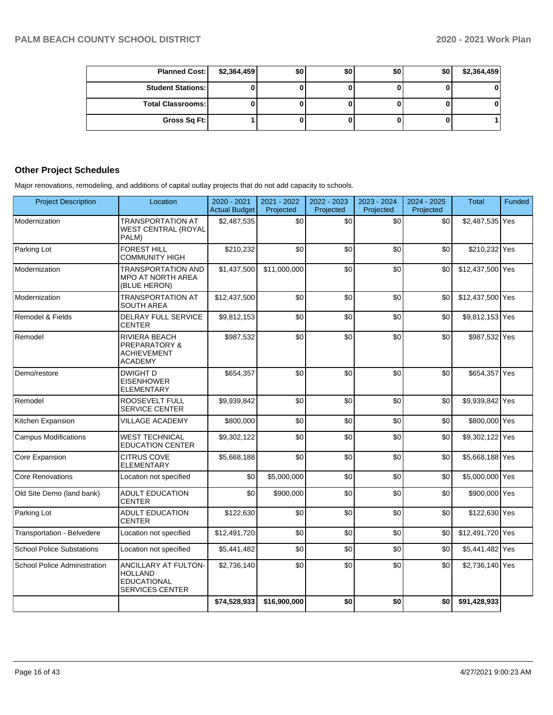| <b>Planned Cost:</b>     | \$2,364,459 | \$0 | \$0 | \$0 | \$0 | \$2,364,459 |
|--------------------------|-------------|-----|-----|-----|-----|-------------|
| <b>Student Stations:</b> |             |     |     |     |     | 0           |
| <b>Total Classrooms:</b> |             |     |     |     |     | 0           |
| Gross Sq Ft:             |             |     |     |     |     |             |

## **Other Project Schedules**

Major renovations, remodeling, and additions of capital outlay projects that do not add capacity to schools.

| <b>Project Description</b>          | Location                                                                                      | 2020 - 2021<br><b>Actual Budget</b> | 2021 - 2022<br>Projected | 2022 - 2023<br>Projected | 2023 - 2024<br>Projected | 2024 - 2025<br>Projected | <b>Total</b>     | <b>Funded</b> |
|-------------------------------------|-----------------------------------------------------------------------------------------------|-------------------------------------|--------------------------|--------------------------|--------------------------|--------------------------|------------------|---------------|
| Modernization                       | <b>TRANSPORTATION AT</b><br><b>WEST CENTRAL (ROYAL</b><br>PALM)                               | \$2,487,535                         | \$0                      | \$0                      | \$0                      | \$0                      | \$2,487,535 Yes  |               |
| Parking Lot                         | <b>FOREST HILL</b><br><b>COMMUNITY HIGH</b>                                                   | \$210,232                           | \$0                      | \$0                      | \$0                      | \$0                      | \$210,232 Yes    |               |
| Modernization                       | <b>TRANSPORTATION AND</b><br>MPO AT NORTH AREA<br>(BLUE HERON)                                | \$1,437,500                         | \$11.000.000             | \$0                      | \$0                      | \$0                      | \$12,437,500 Yes |               |
| Modernization                       | <b>TRANSPORTATION AT</b><br><b>SOUTH AREA</b>                                                 | \$12,437,500                        | \$0                      | \$0                      | \$0                      | \$0                      | \$12,437,500 Yes |               |
| Remodel & Fields                    | <b>DELRAY FULL SERVICE</b><br><b>CENTER</b>                                                   | \$9,812,153                         | \$0                      | \$0                      | \$0                      | \$0                      | \$9,812,153 Yes  |               |
| Remodel                             | <b>RIVIERA BEACH</b><br><b>PREPARATORY &amp;</b><br><b>ACHIEVEMENT</b><br><b>ACADEMY</b>      | \$987,532                           | \$0                      | \$0                      | \$0                      | \$0                      | \$987,532 Yes    |               |
| Demo/restore                        | <b>DWIGHT D</b><br><b>EISENHOWER</b><br><b>ELEMENTARY</b>                                     | \$654.357                           | \$0                      | \$0                      | \$0                      | \$0                      | \$654.357 Yes    |               |
| Remodel                             | ROOSEVELT FULL<br><b>SERVICE CENTER</b>                                                       | \$9,939,842                         | \$0                      | \$0                      | \$0                      | \$0                      | \$9,939,842 Yes  |               |
| Kitchen Expansion                   | <b>VILLAGE ACADEMY</b>                                                                        | \$800,000                           | \$0                      | \$0                      | \$0                      | \$0                      | \$800,000 Yes    |               |
| <b>Campus Modifications</b>         | <b>WEST TECHNICAL</b><br><b>EDUCATION CENTER</b>                                              | \$9,302,122                         | \$0                      | \$0                      | \$0                      | \$0                      | \$9,302,122 Yes  |               |
| Core Expansion                      | <b>CITRUS COVE</b><br><b>ELEMENTARY</b>                                                       | \$5,668,188                         | \$0                      | \$0                      | \$0                      | \$0                      | \$5,668,188 Yes  |               |
| <b>Core Renovations</b>             | Location not specified                                                                        | \$0                                 | \$5,000,000              | \$0                      | \$0                      | \$0                      | \$5,000,000 Yes  |               |
| Old Site Demo (land bank)           | <b>ADULT EDUCATION</b><br><b>CENTER</b>                                                       | \$0                                 | \$900,000                | \$0                      | \$0                      | \$0                      | \$900,000 Yes    |               |
| Parking Lot                         | <b>ADULT EDUCATION</b><br><b>CENTER</b>                                                       | \$122,630                           | \$0                      | \$0                      | \$0                      | \$0                      | \$122,630 Yes    |               |
| Transportation - Belvedere          | Location not specified                                                                        | \$12,491,720                        | \$0                      | \$0                      | \$0                      | \$0                      | \$12,491,720 Yes |               |
| <b>School Police Substations</b>    | Location not specified                                                                        | \$5,441,482                         | \$0                      | \$0                      | \$0                      | \$0                      | \$5,441,482 Yes  |               |
| <b>School Police Administration</b> | <b>ANCILLARY AT FULTON-</b><br><b>HOLLAND</b><br><b>EDUCATIONAL</b><br><b>SERVICES CENTER</b> | \$2,736,140                         | \$0                      | \$0                      | \$0                      | \$0                      | \$2,736,140 Yes  |               |
|                                     |                                                                                               | \$74,528,933                        | \$16,900,000             | \$0                      | \$0                      | \$0                      | \$91,428,933     |               |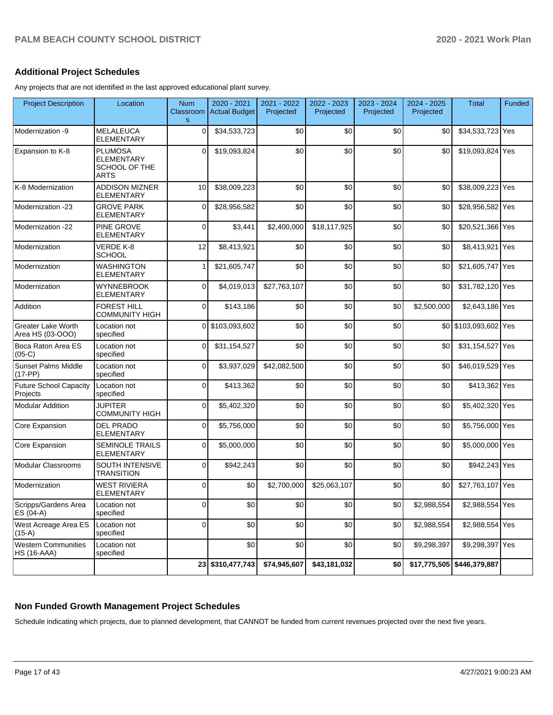#### **Additional Project Schedules**

Any projects that are not identified in the last approved educational plant survey.

| <b>Project Description</b>                    | Location                                                            | <b>Num</b><br>Classroom  <br>$\mathbf S$ | 2020 - 2021<br><b>Actual Budget</b> | 2021 - 2022<br>Projected | 2022 - 2023<br>Projected | 2023 - 2024<br>Projected | 2024 - 2025<br>Projected | <b>Total</b>               | Funded |
|-----------------------------------------------|---------------------------------------------------------------------|------------------------------------------|-------------------------------------|--------------------------|--------------------------|--------------------------|--------------------------|----------------------------|--------|
| Modernization -9                              | <b>MELALEUCA</b><br><b>ELEMENTARY</b>                               | $\mathbf 0$                              | \$34,533,723                        | \$0                      | \$0                      | \$0                      | \$0                      | \$34,533,723 Yes           |        |
| Expansion to K-8                              | <b>PLUMOSA</b><br><b>ELEMENTARY</b><br>SCHOOL OF THE<br><b>ARTS</b> | $\Omega$                                 | \$19,093,824                        | \$0                      | \$0                      | \$0                      | \$0                      | \$19,093,824 Yes           |        |
| K-8 Modernization                             | <b>ADDISON MIZNER</b><br><b>ELEMENTARY</b>                          | 10                                       | \$38,009,223                        | \$0                      | \$0                      | \$0                      | \$0                      | \$38,009,223 Yes           |        |
| Modernization -23                             | <b>GROVE PARK</b><br><b>ELEMENTARY</b>                              | $\mathbf 0$                              | \$28,956,582                        | \$0                      | \$0                      | \$0                      | \$0                      | \$28,956,582 Yes           |        |
| Modernization -22                             | <b>PINE GROVE</b><br><b>ELEMENTARY</b>                              | $\mathbf 0$                              | \$3,441                             | \$2,400,000              | \$18,117,925             | \$0                      | \$0                      | \$20,521,366 Yes           |        |
| Modernization                                 | VERDE K-8<br>SCHOOL                                                 | 12                                       | \$8,413,921                         | \$0                      | \$0                      | \$0                      | \$0                      | \$8,413,921 Yes            |        |
| Modernization                                 | <b>WASHINGTON</b><br><b>ELEMENTARY</b>                              | 1                                        | \$21,605,747                        | \$0                      | \$0                      | \$0                      | \$0                      | \$21,605,747 Yes           |        |
| Modernization                                 | <b>WYNNEBROOK</b><br><b>ELEMENTARY</b>                              | $\Omega$                                 | \$4,019,013                         | \$27,763,107             | \$0                      | \$0                      | \$0                      | \$31,782,120 Yes           |        |
| Addition                                      | <b>FOREST HILL</b><br><b>COMMUNITY HIGH</b>                         | $\mathbf 0$                              | \$143,186                           | \$0                      | \$0                      | \$0                      | \$2,500,000              | \$2,643,186 Yes            |        |
| <b>Greater Lake Worth</b><br>Area HS (03-OOO) | Location not<br>specified                                           | 0                                        | \$103,093,602                       | \$0                      | \$0                      | \$0                      |                          | \$0 \$103,093,602 Yes      |        |
| Boca Raton Area ES<br>$(05-C)$                | Location not<br>specified                                           | $\Omega$                                 | \$31,154,527                        | \$0                      | \$0                      | \$0                      | \$0                      | \$31,154,527 Yes           |        |
| <b>Sunset Palms Middle</b><br>$(17-PP)$       | Location not<br>specified                                           | 0                                        | \$3,937,029                         | \$42,082,500             | \$0                      | \$0                      | \$0                      | \$46,019,529 Yes           |        |
| <b>Future School Capacity</b><br>Projects     | Location not<br>specified                                           | $\Omega$                                 | \$413,362                           | \$0                      | \$0                      | \$0                      | \$0                      | \$413,362 Yes              |        |
| <b>Modular Addition</b>                       | JUPITER<br><b>COMMUNITY HIGH</b>                                    | $\Omega$                                 | \$5,402,320                         | \$0                      | \$0                      | \$0                      | \$0                      | \$5,402,320 Yes            |        |
| Core Expansion                                | <b>DEL PRADO</b><br><b>ELEMENTARY</b>                               | 0                                        | \$5,756,000                         | \$0                      | \$0                      | \$0                      | \$0                      | \$5,756,000 Yes            |        |
| Core Expansion                                | <b>SEMINOLE TRAILS</b><br><b>ELEMENTARY</b>                         | $\mathbf 0$                              | \$5,000,000                         | \$0                      | \$0                      | \$0                      | \$0                      | \$5,000,000 Yes            |        |
| <b>Modular Classrooms</b>                     | <b>SOUTH INTENSIVE</b><br><b>TRANSITION</b>                         | $\mathbf 0$                              | \$942,243                           | \$0                      | \$0                      | \$0                      | \$0                      | \$942,243 Yes              |        |
| Modernization                                 | <b>WEST RIVIERA</b><br><b>ELEMENTARY</b>                            | $\mathbf 0$                              | \$0                                 | \$2,700,000              | \$25,063,107             | \$0                      | \$0                      | \$27,763,107 Yes           |        |
| Scripps/Gardens Area<br>ES (04-A)             | Location not<br>specified                                           | 0                                        | \$0                                 | \$0                      | \$0                      | \$0                      | \$2,988,554              | \$2,988,554 Yes            |        |
| West Acreage Area ES<br>$(15-A)$              | Location not<br>specified                                           | $\mathbf 0$                              | \$0                                 | \$0                      | \$0                      | \$0                      | \$2,988,554              | \$2,988,554 Yes            |        |
| Western Communities<br>HS (16-AAA)            | Location not<br>specified                                           |                                          | \$0                                 | \$0                      | \$0                      | \$0                      | \$9,298,397              | \$9,298,397 Yes            |        |
|                                               |                                                                     |                                          | 23 \$310,477,743                    | \$74,945,607             | \$43,181,032             | \$0                      |                          | \$17,775,505 \$446,379,887 |        |

#### **Non Funded Growth Management Project Schedules**

Schedule indicating which projects, due to planned development, that CANNOT be funded from current revenues projected over the next five years.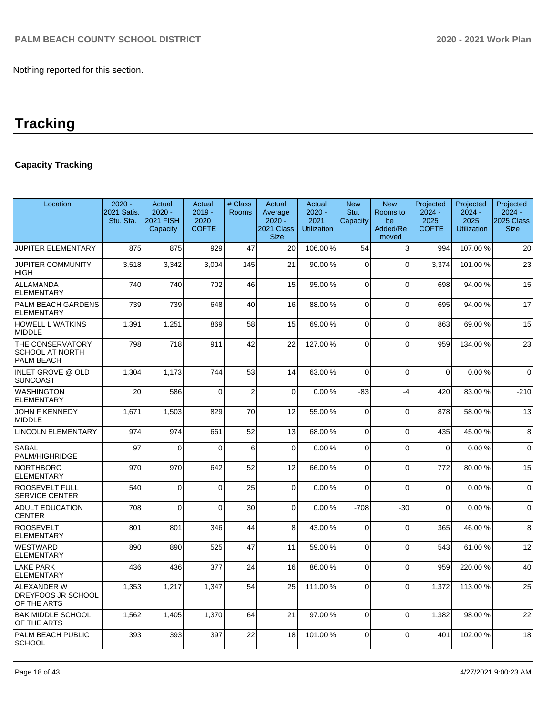# **Tracking**

## **Capacity Tracking**

| Location                                                 | $2020 -$<br>2021 Satis.<br>Stu. Sta. | Actual<br>$2020 -$<br>2021 FISH<br>Capacity | Actual<br>$2019 -$<br>2020<br><b>COFTE</b> | # Class<br>Rooms | Actual<br>Average<br>$2020 -$<br>2021 Class<br><b>Size</b> | Actual<br>$2020 -$<br>2021<br><b>Utilization</b> | <b>New</b><br>Stu.<br>Capacity | <b>New</b><br>Rooms to<br>be<br>Added/Re<br>moved | Projected<br>$2024 -$<br>2025<br><b>COFTE</b> | Projected<br>$2024 -$<br>2025<br><b>Utilization</b> | Projected<br>$2024 -$<br>2025 Class<br><b>Size</b> |
|----------------------------------------------------------|--------------------------------------|---------------------------------------------|--------------------------------------------|------------------|------------------------------------------------------------|--------------------------------------------------|--------------------------------|---------------------------------------------------|-----------------------------------------------|-----------------------------------------------------|----------------------------------------------------|
| <b>JUPITER ELEMENTARY</b>                                | 875                                  | 875                                         | 929                                        | 47               | 20                                                         | 106.00%                                          | 54                             | 3                                                 | 994                                           | 107.00 %                                            | 20                                                 |
| <b>JUPITER COMMUNITY</b><br><b>HIGH</b>                  | 3,518                                | 3,342                                       | 3,004                                      | 145              | 21                                                         | 90.00%                                           | $\Omega$                       | $\Omega$                                          | 3,374                                         | 101.00%                                             | 23                                                 |
| ALLAMANDA<br><b>ELEMENTARY</b>                           | 740                                  | 740                                         | 702                                        | 46               | 15                                                         | 95.00 %                                          | $\mathbf 0$                    | $\overline{0}$                                    | 698                                           | 94.00 %                                             | 15                                                 |
| PALM BEACH GARDENS<br><b>ELEMENTARY</b>                  | 739                                  | 739                                         | 648                                        | 40               | 16                                                         | 88.00 %                                          | $\Omega$                       | $\mathbf{0}$                                      | 695                                           | 94.00 %                                             | 17                                                 |
| <b>HOWELL L WATKINS</b><br><b>MIDDLE</b>                 | 1,391                                | 1,251                                       | 869                                        | 58               | 15                                                         | 69.00 %                                          | $\mathbf 0$                    | 0                                                 | 863                                           | 69.00 %                                             | 15                                                 |
| THE CONSERVATORY<br><b>SCHOOL AT NORTH</b><br>PALM BEACH | 798                                  | 718                                         | 911                                        | 42               | 22                                                         | 127.00 %                                         | 0                              | $\Omega$                                          | 959                                           | 134.00 %                                            | 23                                                 |
| <b>INLET GROVE @ OLD</b><br><b>SUNCOAST</b>              | 1,304                                | 1,173                                       | 744                                        | 53               | 14                                                         | 63.00 %                                          | $\Omega$                       | $\Omega$                                          | $\Omega$                                      | 0.00%                                               | $\Omega$                                           |
| <b>WASHINGTON</b><br><b>ELEMENTARY</b>                   | 20                                   | 586                                         | $\Omega$                                   | $\overline{2}$   | $\Omega$                                                   | 0.00%                                            | $-83$                          | $-4$                                              | 420                                           | 83.00 %                                             | $-210$                                             |
| <b>JOHN F KENNEDY</b><br><b>MIDDLE</b>                   | 1.671                                | 1,503                                       | 829                                        | 70               | 12                                                         | 55.00 %                                          | $\Omega$                       | $\Omega$                                          | 878                                           | 58.00 %                                             | 13                                                 |
| <b>LINCOLN ELEMENTARY</b>                                | 974                                  | 974                                         | 661                                        | 52               | 13                                                         | 68.00%                                           | $\Omega$                       | $\Omega$                                          | 435                                           | 45.00 %                                             | 8                                                  |
| <b>SABAL</b><br>PALM/HIGHRIDGE                           | 97                                   | $\Omega$                                    | $\Omega$                                   | 6                | $\Omega$                                                   | 0.00%                                            | $\Omega$                       | $\Omega$                                          | $\Omega$                                      | 0.00%                                               | $\Omega$                                           |
| <b>NORTHBORO</b><br><b>ELEMENTARY</b>                    | 970                                  | 970                                         | 642                                        | 52               | 12                                                         | 66.00%                                           | $\Omega$                       | $\mathbf{0}$                                      | 772                                           | 80.00%                                              | 15                                                 |
| <b>ROOSEVELT FULL</b><br><b>SERVICE CENTER</b>           | 540                                  | $\Omega$                                    | $\Omega$                                   | 25               | $\Omega$                                                   | 0.00%                                            | $\Omega$                       | $\Omega$                                          | $\mathbf 0$                                   | 0.00%                                               | $\mathbf 0$                                        |
| <b>ADULT EDUCATION</b><br><b>CENTER</b>                  | 708                                  | $\Omega$                                    | $\Omega$                                   | 30               | $\Omega$                                                   | 0.00%                                            | $-708$                         | $-30$                                             | $\mathbf 0$                                   | 0.00%                                               | $\mathbf 0$                                        |
| <b>ROOSEVELT</b><br><b>ELEMENTARY</b>                    | 801                                  | 801                                         | 346                                        | 44               | 8                                                          | 43.00 %                                          | $\Omega$                       | $\Omega$                                          | 365                                           | 46.00 %                                             | 8                                                  |
| <b>WESTWARD</b><br><b>ELEMENTARY</b>                     | 890                                  | 890                                         | 525                                        | 47               | 11                                                         | 59.00 %                                          | $\Omega$                       | $\Omega$                                          | 543                                           | 61.00%                                              | 12                                                 |
| <b>LAKE PARK</b><br><b>ELEMENTARY</b>                    | 436                                  | 436                                         | 377                                        | 24               | 16                                                         | 86.00%                                           | $\Omega$                       | $\mathbf{0}$                                      | 959                                           | 220.00%                                             | 40                                                 |
| ALEXANDER W<br>DREYFOOS JR SCHOOL<br>OF THE ARTS         | 1,353                                | 1,217                                       | 1,347                                      | 54               | 25                                                         | 111.00 %                                         | $\Omega$                       | $\mathbf{0}$                                      | 1,372                                         | 113.00 %                                            | 25                                                 |
| <b>BAK MIDDLE SCHOOL</b><br>OF THE ARTS                  | 1,562                                | 1,405                                       | 1,370                                      | 64               | 21                                                         | 97.00 %                                          | $\Omega$                       | $\Omega$                                          | 1,382                                         | 98.00 %                                             | 22                                                 |
| PALM BEACH PUBLIC<br><b>SCHOOL</b>                       | 393                                  | 393                                         | 397                                        | 22               | 18                                                         | 101.00%                                          | $\Omega$                       | $\Omega$                                          | 401                                           | 102.00%                                             | 18                                                 |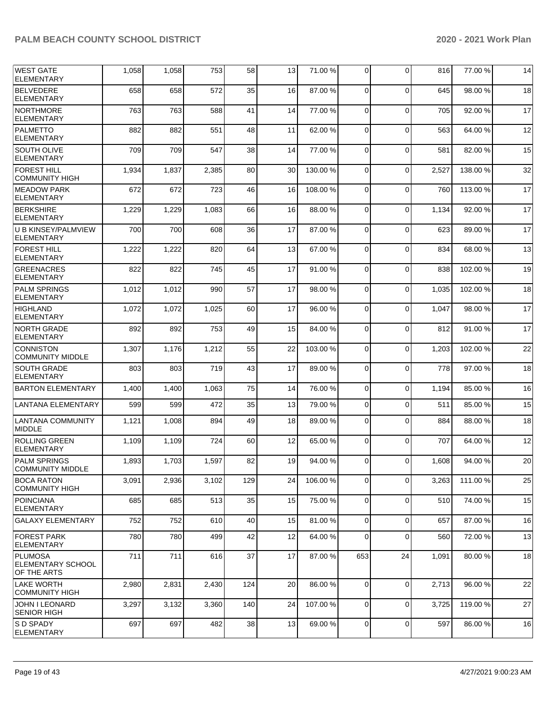| <b>WEST GATE</b><br><b>ELEMENTARY</b>                     | 1,058 | 1,058 | 753   | 58  | 13 | 71.00 %  | $\Omega$    | $\Omega$    | 816   | 77.00 %  | 14 |
|-----------------------------------------------------------|-------|-------|-------|-----|----|----------|-------------|-------------|-------|----------|----|
| <b>BELVEDERE</b><br><b>ELEMENTARY</b>                     | 658   | 658   | 572   | 35  | 16 | 87.00%   | $\mathbf 0$ | $\Omega$    | 645   | 98.00 %  | 18 |
| <b>NORTHMORE</b><br><b>ELEMENTARY</b>                     | 763   | 763   | 588   | 41  | 14 | 77.00 %  | $\mathbf 0$ | $\mathbf 0$ | 705   | 92.00 %  | 17 |
| PALMETTO<br><b>ELEMENTARY</b>                             | 882   | 882   | 551   | 48  | 11 | 62.00 %  | $\Omega$    | $\mathbf 0$ | 563   | 64.00%   | 12 |
| SOUTH OLIVE<br><b>ELEMENTARY</b>                          | 709   | 709   | 547   | 38  | 14 | 77.00 %  | $\mathbf 0$ | $\Omega$    | 581   | 82.00 %  | 15 |
| <b>FOREST HILL</b><br><b>COMMUNITY HIGH</b>               | 1,934 | 1,837 | 2,385 | 80  | 30 | 130.00 % | $\mathbf 0$ | $\mathbf 0$ | 2,527 | 138.00%  | 32 |
| <b>MEADOW PARK</b><br><b>ELEMENTARY</b>                   | 672   | 672   | 723   | 46  | 16 | 108.00%  | $\Omega$    | $\mathbf 0$ | 760   | 113.00 % | 17 |
| <b>BERKSHIRE</b><br><b>ELEMENTARY</b>                     | 1,229 | 1,229 | 1,083 | 66  | 16 | 88.00 %  | $\mathbf 0$ | $\mathbf 0$ | 1,134 | 92.00 %  | 17 |
| U B KINSEY/PALMVIEW<br><b>ELEMENTARY</b>                  | 700   | 700   | 608   | 36  | 17 | 87.00 %  | $\mathbf 0$ | $\mathbf 0$ | 623   | 89.00 %  | 17 |
| <b>FOREST HILL</b><br><b>ELEMENTARY</b>                   | 1,222 | 1,222 | 820   | 64  | 13 | 67.00 %  | $\Omega$    | $\mathbf 0$ | 834   | 68.00 %  | 13 |
| <b>GREENACRES</b><br><b>ELEMENTARY</b>                    | 822   | 822   | 745   | 45  | 17 | 91.00 %  | $\mathbf 0$ | $\Omega$    | 838   | 102.00%  | 19 |
| <b>PALM SPRINGS</b><br><b>ELEMENTARY</b>                  | 1,012 | 1,012 | 990   | 57  | 17 | 98.00 %  | $\mathbf 0$ | $\mathbf 0$ | 1,035 | 102.00%  | 18 |
| HIGHLAND<br><b>ELEMENTARY</b>                             | 1,072 | 1,072 | 1,025 | 60  | 17 | 96.00 %  | $\Omega$    | $\mathbf 0$ | 1,047 | 98.00 %  | 17 |
| <b>NORTH GRADE</b><br><b>ELEMENTARY</b>                   | 892   | 892   | 753   | 49  | 15 | 84.00 %  | $\mathbf 0$ | $\Omega$    | 812   | 91.00 %  | 17 |
| <b>CONNISTON</b><br><b>COMMUNITY MIDDLE</b>               | 1,307 | 1,176 | 1,212 | 55  | 22 | 103.00 % | $\mathbf 0$ | $\mathbf 0$ | 1,203 | 102.00%  | 22 |
| <b>SOUTH GRADE</b><br><b>ELEMENTARY</b>                   | 803   | 803   | 719   | 43  | 17 | 89.00 %  | $\Omega$    | $\mathbf 0$ | 778   | 97.00 %  | 18 |
| <b>BARTON ELEMENTARY</b>                                  | 1,400 | 1,400 | 1,063 | 75  | 14 | 76.00 %  | $\mathbf 0$ | $\mathbf 0$ | 1,194 | 85.00 %  | 16 |
| <b>LANTANA ELEMENTARY</b>                                 | 599   | 599   | 472   | 35  | 13 | 79.00 %  | 0           | $\Omega$    | 511   | 85.00 %  | 15 |
| LANTANA COMMUNITY<br><b>MIDDLE</b>                        | 1,121 | 1,008 | 894   | 49  | 18 | 89.00 %  | 0           | $\Omega$    | 884   | 88.00 %  | 18 |
| <b>ROLLING GREEN</b><br>ELEMENTARY                        | 1,109 | 1,109 | 724   | 60  | 12 | 65.00 %  | $\mathbf 0$ | $\mathbf 0$ | 707   | 64.00 %  | 12 |
| <b>PALM SPRINGS</b><br>COMMUNITY MIDDLE                   | 1,893 | 1,703 | 1,597 | 82  | 19 | 94.00 %  | $\Omega$    | $\Omega$    | 1,608 | 94.00 %  | 20 |
| <b>BOCA RATON</b><br><b>COMMUNITY HIGH</b>                | 3,091 | 2,936 | 3,102 | 129 | 24 | 106.00 % | 0           | $\Omega$    | 3,263 | 111.00 % | 25 |
| <b>POINCIANA</b><br><b>ELEMENTARY</b>                     | 685   | 685   | 513   | 35  | 15 | 75.00 %  | $\mathbf 0$ | $\mathbf 0$ | 510   | 74.00 %  | 15 |
| <b>GALAXY ELEMENTARY</b>                                  | 752   | 752   | 610   | 40  | 15 | 81.00 %  | $\mathbf 0$ | $\mathbf 0$ | 657   | 87.00 %  | 16 |
| <b>FOREST PARK</b><br> ELEMENTARY                         | 780   | 780   | 499   | 42  | 12 | 64.00 %  | 0           | $\mathbf 0$ | 560   | 72.00 %  | 13 |
| <b>PLUMOSA</b><br><b>ELEMENTARY SCHOOL</b><br>OF THE ARTS | 711   | 711   | 616   | 37  | 17 | 87.00 %  | 653         | 24          | 1,091 | 80.00 %  | 18 |
| llake worth<br><b>COMMUNITY HIGH</b>                      | 2,980 | 2,831 | 2,430 | 124 | 20 | 86.00 %  | $\mathbf 0$ | $\mathbf 0$ | 2,713 | 96.00 %  | 22 |
| JOHN I LEONARD<br>SENIOR HIGH                             | 3,297 | 3,132 | 3,360 | 140 | 24 | 107.00 % | $\mathbf 0$ | $\mathbf 0$ | 3,725 | 119.00 % | 27 |
| S D SPADY<br><b>ELEMENTARY</b>                            | 697   | 697   | 482   | 38  | 13 | 69.00 %  | 0           | 0           | 597   | 86.00 %  | 16 |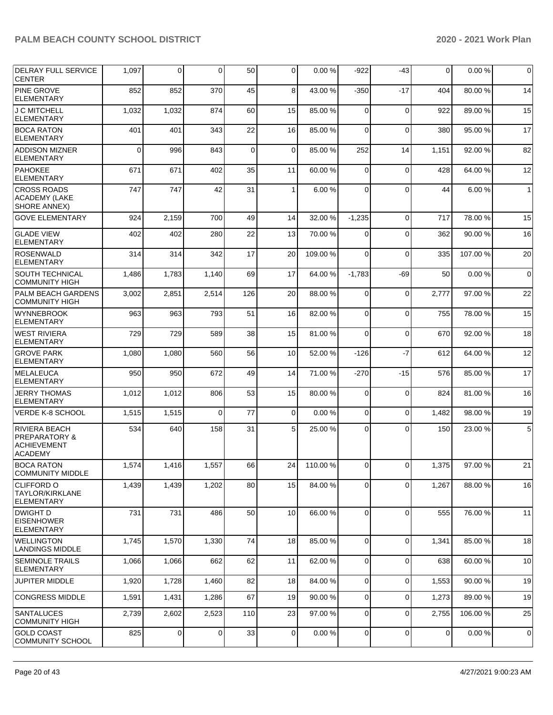| <b>DELRAY FULL SERVICE</b><br><b>CENTER</b>                                       | 1,097       | $\mathbf 0$ | 0     | 50          | $\mathbf 0$ | 0.00%   | $-922$      | -43         | 0     | 0.00%    | $\mathbf 0$  |
|-----------------------------------------------------------------------------------|-------------|-------------|-------|-------------|-------------|---------|-------------|-------------|-------|----------|--------------|
| <b>PINE GROVE</b><br><b>ELEMENTARY</b>                                            | 852         | 852         | 370   | 45          | 8           | 43.00 % | $-350$      | $-17$       | 404   | 80.00%   | 14           |
| <b>J C MITCHELL</b><br><b>ELEMENTARY</b>                                          | 1,032       | 1,032       | 874   | 60          | 15          | 85.00 % | $\mathbf 0$ | $\mathbf 0$ | 922   | 89.00 %  | 15           |
| <b>BOCA RATON</b><br><b>ELEMENTARY</b>                                            | 401         | 401         | 343   | 22          | 16          | 85.00 % | $\mathbf 0$ | $\Omega$    | 380   | 95.00 %  | 17           |
| <b>ADDISON MIZNER</b><br><b>ELEMENTARY</b>                                        | $\mathbf 0$ | 996         | 843   | $\mathbf 0$ | $\mathbf 0$ | 85.00 % | 252         | 14          | 1,151 | 92.00 %  | 82           |
| <b>PAHOKEE</b><br><b>ELEMENTARY</b>                                               | 671         | 671         | 402   | 35          | 11          | 60.00 % | $\mathbf 0$ | $\mathbf 0$ | 428   | 64.00 %  | 12           |
| <b>CROSS ROADS</b><br><b>ACADEMY (LAKE</b><br><b>SHORE ANNEX)</b>                 | 747         | 747         | 42    | 31          | 1           | 6.00%   | 0           | $\Omega$    | 44    | 6.00%    | $\mathbf{1}$ |
| <b>GOVE ELEMENTARY</b>                                                            | 924         | 2,159       | 700   | 49          | 14          | 32.00 % | $-1,235$    | $\Omega$    | 717   | 78.00 %  | 15           |
| <b>GLADE VIEW</b><br><b>ELEMENTARY</b>                                            | 402         | 402         | 280   | 22          | 13          | 70.00%  | 0           | $\Omega$    | 362   | 90.00 %  | 16           |
| <b>ROSENWALD</b><br><b>ELEMENTARY</b>                                             | 314         | 314         | 342   | 17          | 20          | 109.00% | 0           | $\Omega$    | 335   | 107.00%  | 20           |
| <b>SOUTH TECHNICAL</b><br><b>COMMUNITY HIGH</b>                                   | 1,486       | 1,783       | 1,140 | 69          | 17          | 64.00%  | $-1,783$    | $-69$       | 50    | 0.00%    | $\mathbf 0$  |
| <b>PALM BEACH GARDENS</b><br><b>COMMUNITY HIGH</b>                                | 3,002       | 2,851       | 2,514 | 126         | 20          | 88.00 % | 0           | $\mathbf 0$ | 2,777 | 97.00 %  | 22           |
| <b>WYNNEBROOK</b><br><b>ELEMENTARY</b>                                            | 963         | 963         | 793   | 51          | 16          | 82.00 % | 0           | $\mathbf 0$ | 755   | 78.00 %  | 15           |
| <b>WEST RIVIERA</b><br><b>ELEMENTARY</b>                                          | 729         | 729         | 589   | 38          | 15          | 81.00%  | $\mathbf 0$ | $\Omega$    | 670   | 92.00 %  | 18           |
| <b>GROVE PARK</b><br><b>ELEMENTARY</b>                                            | 1,080       | 1,080       | 560   | 56          | 10          | 52.00 % | $-126$      | $-7$        | 612   | 64.00 %  | 12           |
| MELALEUCA<br><b>ELEMENTARY</b>                                                    | 950         | 950         | 672   | 49          | 14          | 71.00 % | $-270$      | $-15$       | 576   | 85.00 %  | 17           |
| <b>JERRY THOMAS</b><br>ELEMENTARY                                                 | 1,012       | 1,012       | 806   | 53          | 15          | 80.00 % | $\mathbf 0$ | $\Omega$    | 824   | 81.00 %  | 16           |
| <b>VERDE K-8 SCHOOL</b>                                                           | 1,515       | 1,515       | 0     | 77          | 0           | 0.00%   | $\mathbf 0$ | 0           | 1,482 | 98.00 %  | 19           |
| RIVIERA BEACH<br><b>PREPARATORY &amp;</b><br><b>ACHIEVEMENT</b><br><b>ACADEMY</b> | 534         | 640         | 158   | 31          | 5           | 25.00 % | 0           | $\Omega$    | 150   | 23.00 %  | $\,$ 5 $\,$  |
| <b>BOCA RATON</b><br><b>COMMUNITY MIDDLE</b>                                      | 1,574       | 1,416       | 1,557 | 66          | 24          | 110.00% | $\mathbf 0$ | $\mathbf 0$ | 1,375 | 97.00 %  | 21           |
| <b>CLIFFORD O</b><br>TAYLOR/KIRKLANE<br><b>ELEMENTARY</b>                         | 1,439       | 1,439       | 1,202 | 80          | 15          | 84.00 % | $\mathbf 0$ | $\Omega$    | 1,267 | 88.00 %  | 16           |
| DWIGHT D<br><b>EISENHOWER</b><br>ELEMENTARY                                       | 731         | 731         | 486   | 50          | 10          | 66.00 % | $\mathbf 0$ | 0           | 555   | 76.00 %  | 11           |
| <b>WELLINGTON</b><br><b>LANDINGS MIDDLE</b>                                       | 1,745       | 1,570       | 1,330 | 74          | 18          | 85.00 % | 0           | $\mathbf 0$ | 1,341 | 85.00 %  | 18           |
| <b>SEMINOLE TRAILS</b><br><b>ELEMENTARY</b>                                       | 1,066       | 1,066       | 662   | 62          | 11          | 62.00 % | 0           | $\mathbf 0$ | 638   | 60.00 %  | 10           |
| <b>JUPITER MIDDLE</b>                                                             | 1,920       | 1,728       | 1,460 | 82          | 18          | 84.00 % | 0           | 0           | 1,553 | 90.00 %  | 19           |
| <b>CONGRESS MIDDLE</b>                                                            | 1,591       | 1,431       | 1,286 | 67          | 19          | 90.00 % | 0           | 0           | 1,273 | 89.00 %  | 19           |
| <b>SANTALUCES</b><br><b>COMMUNITY HIGH</b>                                        | 2,739       | 2,602       | 2,523 | 110         | 23          | 97.00 % | 0           | 0           | 2,755 | 106.00 % | 25           |
| <b>GOLD COAST</b><br><b>COMMUNITY SCHOOL</b>                                      | 825         | 0           | 0     | 33          | 0           | 0.00%   | 0           | $\mathbf 0$ | 0     | 0.00%    | 0            |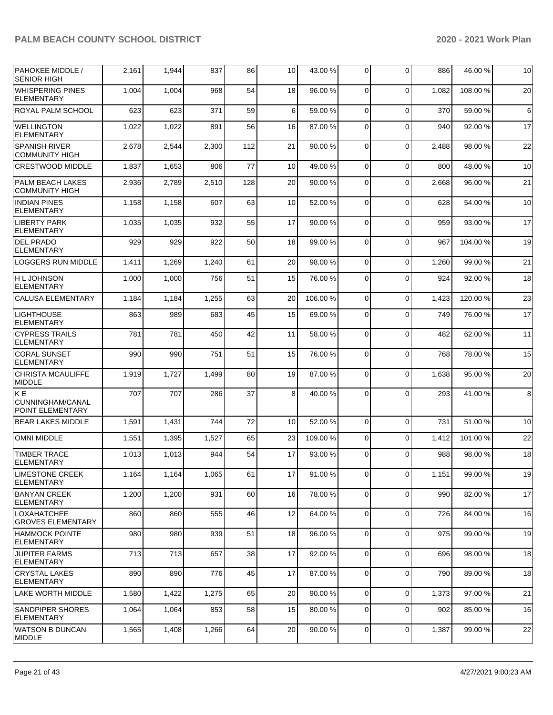| <b>PAHOKEE MIDDLE /</b><br><b>SENIOR HIGH</b>  | 2,161 | 1,944 | 837   | 86  | 10 | 43.00 %  | $\mathbf 0$    | $\Omega$    | 886   | 46.00 %  | 10 |
|------------------------------------------------|-------|-------|-------|-----|----|----------|----------------|-------------|-------|----------|----|
| <b>WHISPERING PINES</b><br><b>ELEMENTARY</b>   | 1,004 | 1,004 | 968   | 54  | 18 | 96.00 %  | $\mathbf 0$    | $\Omega$    | 1,082 | 108.00%  | 20 |
| <b>ROYAL PALM SCHOOL</b>                       | 623   | 623   | 371   | 59  | 6  | 59.00 %  | $\Omega$       | $\Omega$    | 370   | 59.00 %  | 6  |
| <b>WELLINGTON</b><br><b>ELEMENTARY</b>         | 1,022 | 1,022 | 891   | 56  | 16 | 87.00 %  | $\mathbf 0$    | $\Omega$    | 940   | 92.00%   | 17 |
| <b>SPANISH RIVER</b><br><b>COMMUNITY HIGH</b>  | 2,678 | 2,544 | 2,300 | 112 | 21 | 90.00 %  | 0              | $\Omega$    | 2,488 | 98.00 %  | 22 |
| <b>CRESTWOOD MIDDLE</b>                        | 1,837 | 1,653 | 806   | 77  | 10 | 49.00 %  | 0              | $\Omega$    | 800   | 48.00 %  | 10 |
| PALM BEACH LAKES<br><b>COMMUNITY HIGH</b>      | 2,936 | 2,789 | 2,510 | 128 | 20 | 90.00 %  | 0              | $\Omega$    | 2,668 | 96.00 %  | 21 |
| <b>INDIAN PINES</b><br><b>ELEMENTARY</b>       | 1,158 | 1,158 | 607   | 63  | 10 | 52.00 %  | $\mathbf 0$    | $\Omega$    | 628   | 54.00 %  | 10 |
| <b>LIBERTY PARK</b><br><b>ELEMENTARY</b>       | 1,035 | 1,035 | 932   | 55  | 17 | 90.00%   | 0              | $\Omega$    | 959   | 93.00 %  | 17 |
| <b>DEL PRADO</b><br><b>ELEMENTARY</b>          | 929   | 929   | 922   | 50  | 18 | 99.00 %  | $\mathbf 0$    | $\Omega$    | 967   | 104.00%  | 19 |
| <b>LOGGERS RUN MIDDLE</b>                      | 1,411 | 1,269 | 1,240 | 61  | 20 | 98.00 %  | $\Omega$       | $\Omega$    | 1,260 | 99.00 %  | 21 |
| H L JOHNSON<br><b>ELEMENTARY</b>               | 1,000 | 1,000 | 756   | 51  | 15 | 76.00 %  | $\mathbf 0$    | $\Omega$    | 924   | 92.00 %  | 18 |
| <b>CALUSA ELEMENTARY</b>                       | 1,184 | 1,184 | 1,255 | 63  | 20 | 106.00%  | 0              | $\Omega$    | 1,423 | 120.00 % | 23 |
| <b>LIGHTHOUSE</b><br><b>ELEMENTARY</b>         | 863   | 989   | 683   | 45  | 15 | 69.00%   | 0              | $\Omega$    | 749   | 76.00 %  | 17 |
| <b>CYPRESS TRAILS</b><br><b>ELEMENTARY</b>     | 781   | 781   | 450   | 42  | 11 | 58.00 %  | 0              | $\Omega$    | 482   | 62.00 %  | 11 |
| <b>CORAL SUNSET</b><br><b>ELEMENTARY</b>       | 990   | 990   | 751   | 51  | 15 | 76.00 %  | $\Omega$       | $\Omega$    | 768   | 78.00 %  | 15 |
| CHRISTA MCAULIFFE<br><b>MIDDLE</b>             | 1,919 | 1,727 | 1,499 | 80  | 19 | 87.00 %  | 0              | $\Omega$    | 1,638 | 95.00 %  | 20 |
| KE<br>CUNNINGHAM/CANAL<br>POINT ELEMENTARY     | 707   | 707   | 286   | 37  | 8  | 40.00%   | 0              | $\Omega$    | 293   | 41.00%   | 8  |
| <b>BEAR LAKES MIDDLE</b>                       | 1,591 | 1,431 | 744   | 72  | 10 | 52.00 %  | $\mathbf 0$    | $\Omega$    | 731   | 51.00 %  | 10 |
| <b>OMNI MIDDLE</b>                             | 1,551 | 1,395 | 1,527 | 65  | 23 | 109.00 % | $\mathbf 0$    | $\Omega$    | 1,412 | 101.00%  | 22 |
| <b>TIMBER TRACE</b><br><b>ELEMENTARY</b>       | 1,013 | 1,013 | 944   | 54  | 17 | 93.00 %  | 0              | $\Omega$    | 988   | 98.00 %  | 18 |
| <b>LIMESTONE CREEK</b><br><b>ELEMENTARY</b>    | 1,164 | 1,164 | 1,065 | 61  | 17 | 91.00 %  | $\overline{0}$ | 0           | 1,151 | 99.00 %  | 19 |
| <b>BANYAN CREEK</b><br><b>ELEMENTARY</b>       | 1,200 | 1,200 | 931   | 60  | 16 | 78.00 %  | 0              | $\Omega$    | 990   | 82.00 %  | 17 |
| <b>LOXAHATCHEE</b><br><b>GROVES ELEMENTARY</b> | 860   | 860   | 555   | 46  | 12 | 64.00%   | $\mathbf 0$    | $\Omega$    | 726   | 84.00 %  | 16 |
| HAMMOCK POINTE<br><b>ELEMENTARY</b>            | 980   | 980   | 939   | 51  | 18 | 96.00 %  | $\overline{0}$ | $\Omega$    | 975   | 99.00 %  | 19 |
| JUPITER FARMS<br><b>ELEMENTARY</b>             | 713   | 713   | 657   | 38  | 17 | 92.00 %  | $\mathbf 0$    | $\Omega$    | 696   | 98.00 %  | 18 |
| <b>CRYSTAL LAKES</b><br><b>ELEMENTARY</b>      | 890   | 890   | 776   | 45  | 17 | 87.00 %  | $\mathbf 0$    | $\Omega$    | 790   | 89.00 %  | 18 |
| LAKE WORTH MIDDLE                              | 1,580 | 1,422 | 1,275 | 65  | 20 | 90.00 %  | $\overline{0}$ | $\mathbf 0$ | 1,373 | 97.00 %  | 21 |
| <b>SANDPIPER SHORES</b><br><b>ELEMENTARY</b>   | 1,064 | 1,064 | 853   | 58  | 15 | 80.00 %  | $\mathbf 0$    | $\Omega$    | 902   | 85.00 %  | 16 |
| <b>WATSON B DUNCAN</b><br><b>MIDDLE</b>        | 1,565 | 1,408 | 1,266 | 64  | 20 | 90.00 %  | 0              | $\mathbf 0$ | 1,387 | 99.00 %  | 22 |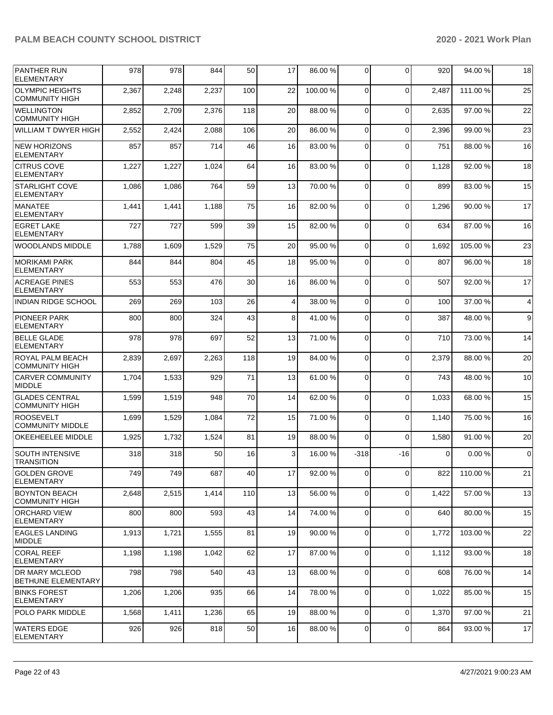| <b>PANTHER RUN</b><br><b>ELEMENTARY</b>            | 978   | 978   | 844   | 50  | 17              | 86.00 % | 0              | $\Omega$       | 920      | 94.00 %  | 18             |
|----------------------------------------------------|-------|-------|-------|-----|-----------------|---------|----------------|----------------|----------|----------|----------------|
| <b>OLYMPIC HEIGHTS</b><br><b>COMMUNITY HIGH</b>    | 2,367 | 2,248 | 2,237 | 100 | 22              | 100.00% | 0              | $\Omega$       | 2,487    | 111.00 % | 25             |
| <b>WELLINGTON</b><br><b>COMMUNITY HIGH</b>         | 2,852 | 2,709 | 2,376 | 118 | 20              | 88.00 % | $\Omega$       | $\Omega$       | 2,635    | 97.00 %  | 22             |
| <b>WILLIAM T DWYER HIGH</b>                        | 2,552 | 2,424 | 2,088 | 106 | 20              | 86.00 % | 0              | $\Omega$       | 2,396    | 99.00 %  | 23             |
| <b>NEW HORIZONS</b><br><b>ELEMENTARY</b>           | 857   | 857   | 714   | 46  | 16              | 83.00 % | 0              | $\Omega$       | 751      | 88.00 %  | 16             |
| <b>CITRUS COVE</b><br>ELEMENTARY                   | 1,227 | 1,227 | 1,024 | 64  | 16              | 83.00 % | $\mathbf 0$    | $\mathbf 0$    | 1,128    | 92.00 %  | 18             |
| <b>STARLIGHT COVE</b><br><b>ELEMENTARY</b>         | 1,086 | 1,086 | 764   | 59  | 13              | 70.00 % | $\mathbf 0$    | $\Omega$       | 899      | 83.00 %  | 15             |
| <b>MANATEE</b><br><b>ELEMENTARY</b>                | 1,441 | 1,441 | 1,188 | 75  | 16              | 82.00 % | 0              | $\Omega$       | 1,296    | 90.00 %  | 17             |
| <b>EGRET LAKE</b><br><b>ELEMENTARY</b>             | 727   | 727   | 599   | 39  | 15              | 82.00 % | 0              | $\Omega$       | 634      | 87.00 %  | 16             |
| <b>WOODLANDS MIDDLE</b>                            | 1,788 | 1,609 | 1,529 | 75  | 20              | 95.00 % | $\mathbf 0$    | $\Omega$       | 1,692    | 105.00%  | 23             |
| <b>MORIKAMI PARK</b><br><b>ELEMENTARY</b>          | 844   | 844   | 804   | 45  | 18              | 95.00 % | $\mathbf 0$    | $\Omega$       | 807      | 96.00 %  | 18             |
| <b>ACREAGE PINES</b><br><b>ELEMENTARY</b>          | 553   | 553   | 476   | 30  | 16              | 86.00 % | 0              | $\Omega$       | 507      | 92.00 %  | 17             |
| INDIAN RIDGE SCHOOL                                | 269   | 269   | 103   | 26  | $\overline{4}$  | 38.00 % | 0              | $\Omega$       | 100      | 37.00 %  | $\overline{4}$ |
| <b>PIONEER PARK</b><br>ELEMENTARY                  | 800   | 800   | 324   | 43  | 8               | 41.00 % | 0              | $\Omega$       | 387      | 48.00 %  | 9 <sup>1</sup> |
| <b>BELLE GLADE</b><br><b>ELEMENTARY</b>            | 978   | 978   | 697   | 52  | 13              | 71.00 % | $\mathbf 0$    | $\Omega$       | 710      | 73.00 %  | 14             |
| ROYAL PALM BEACH<br><b>COMMUNITY HIGH</b>          | 2,839 | 2,697 | 2,263 | 118 | 19              | 84.00 % | 0              | $\Omega$       | 2,379    | 88.00 %  | 20             |
| <b>CARVER COMMUNITY</b><br><b>MIDDLE</b>           | 1,704 | 1,533 | 929   | 71  | 13              | 61.00%  | 0              | $\Omega$       | 743      | 48.00%   | 10             |
| <b>GLADES CENTRAL</b><br><b>COMMUNITY HIGH</b>     | 1,599 | 1,519 | 948   | 70  | 14              | 62.00 % | $\mathbf 0$    | $\Omega$       | 1,033    | 68.00%   | 15             |
| <b>ROOSEVELT</b><br><b>COMMUNITY MIDDLE</b>        | 1,699 | 1,529 | 1,084 | 72  | 15              | 71.00 % | 0              | $\Omega$       | 1,140    | 75.00 %  | 16             |
| OKEEHEELEE MIDDLE                                  | 1,925 | 1,732 | 1,524 | 81  | 19              | 88.00 % | 0              | $\Omega$       | 1,580    | 91.00 %  | 20             |
| <b>SOUTH INTENSIVE</b><br><b>TRANSITION</b>        | 318   | 318   | 50    | 16  | 3               | 16.00 % | $-318$         | $-16$          | $\Omega$ | 0.00%    | $\overline{0}$ |
| <b>GOLDEN GROVE</b><br><b>ELEMENTARY</b>           | 749   | 749   | 687   | 40  | 17 <sup>1</sup> | 92.00 % | $\overline{0}$ | $\overline{0}$ | 822      | 110.00 % | 21             |
| <b>BOYNTON BEACH</b><br><b>COMMUNITY HIGH</b>      | 2,648 | 2,515 | 1,414 | 110 | 13              | 56.00 % | 0              | $\Omega$       | 1,422    | 57.00 %  | 13             |
| ORCHARD VIEW<br><b>ELEMENTARY</b>                  | 800   | 800   | 593   | 43  | 14              | 74.00 % | $\mathbf 0$    | $\Omega$       | 640      | 80.00 %  | 15             |
| <b>EAGLES LANDING</b><br><b>MIDDLE</b>             | 1,913 | 1,721 | 1,555 | 81  | 19              | 90.00 % | $\mathbf 0$    | $\mathbf 0$    | 1,772    | 103.00%  | 22             |
| <b>CORAL REEF</b><br><b>ELEMENTARY</b>             | 1,198 | 1,198 | 1,042 | 62  | 17              | 87.00 % | 0              | 0              | 1,112    | 93.00 %  | 18             |
| <b>DR MARY MCLEOD</b><br><b>BETHUNE ELEMENTARY</b> | 798   | 798   | 540   | 43  | 13              | 68.00 % | 0              | $\mathbf 0$    | 608      | 76.00 %  | 14             |
| <b>BINKS FOREST</b><br><b>ELEMENTARY</b>           | 1,206 | 1,206 | 935   | 66  | 14              | 78.00%  | $\mathbf 0$    | $\mathbf 0$    | 1,022    | 85.00 %  | 15             |
| POLO PARK MIDDLE                                   | 1,568 | 1,411 | 1,236 | 65  | 19              | 88.00 % | 0              | $\Omega$       | 1,370    | 97.00 %  | 21             |
| <b>WATERS EDGE</b><br>ELEMENTARY                   | 926   | 926   | 818   | 50  | 16              | 88.00 % | 0              | 0              | 864      | 93.00 %  | 17             |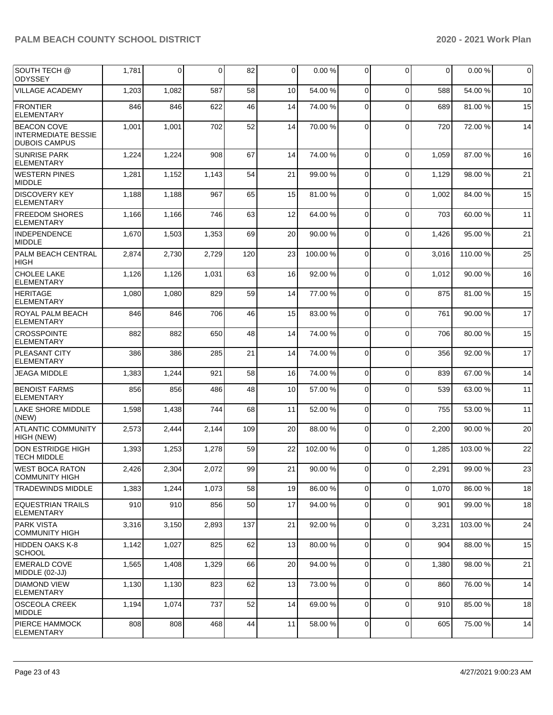| SOUTH TECH @<br><b>ODYSSEY</b>                                           | 1,781 | 0     | 0     | 82  | 0  | 0.00%   | 0              | $\Omega$       | $\mathbf 0$ | 0.00%   | $\mathbf 0$ |
|--------------------------------------------------------------------------|-------|-------|-------|-----|----|---------|----------------|----------------|-------------|---------|-------------|
| <b>VILLAGE ACADEMY</b>                                                   | 1,203 | 1,082 | 587   | 58  | 10 | 54.00 % | 0              | $\Omega$       | 588         | 54.00%  | 10          |
| <b>FRONTIER</b><br><b>ELEMENTARY</b>                                     | 846   | 846   | 622   | 46  | 14 | 74.00 % | $\mathbf 0$    | $\Omega$       | 689         | 81.00%  | 15          |
| <b>BEACON COVE</b><br><b>INTERMEDIATE BESSIE</b><br><b>DUBOIS CAMPUS</b> | 1,001 | 1,001 | 702   | 52  | 14 | 70.00 % | 0              | $\Omega$       | 720         | 72.00 % | 14          |
| <b>SUNRISE PARK</b><br><b>ELEMENTARY</b>                                 | 1,224 | 1,224 | 908   | 67  | 14 | 74.00 % | $\mathbf 0$    | $\Omega$       | 1,059       | 87.00 % | 16          |
| <b>WESTERN PINES</b><br><b>MIDDLE</b>                                    | 1,281 | 1,152 | 1,143 | 54  | 21 | 99.00 % | 0              | $\Omega$       | 1,129       | 98.00 % | 21          |
| <b>DISCOVERY KEY</b><br><b>ELEMENTARY</b>                                | 1,188 | 1,188 | 967   | 65  | 15 | 81.00%  | 0              | $\Omega$       | 1,002       | 84.00 % | 15          |
| <b>FREEDOM SHORES</b><br><b>ELEMENTARY</b>                               | 1,166 | 1,166 | 746   | 63  | 12 | 64.00%  | $\mathbf 0$    | $\Omega$       | 703         | 60.00 % | 11          |
| <b>INDEPENDENCE</b><br><b>MIDDLE</b>                                     | 1,670 | 1,503 | 1,353 | 69  | 20 | 90.00 % | 0              | $\mathbf 0$    | 1,426       | 95.00 % | 21          |
| <b>PALM BEACH CENTRAL</b><br><b>HIGH</b>                                 | 2,874 | 2,730 | 2,729 | 120 | 23 | 100.00% | 0              | $\mathbf 0$    | 3,016       | 110.00% | 25          |
| <b>CHOLEE LAKE</b><br><b>ELEMENTARY</b>                                  | 1,126 | 1,126 | 1,031 | 63  | 16 | 92.00 % | $\mathbf 0$    | $\Omega$       | 1,012       | 90.00 % | 16          |
| <b>HERITAGE</b><br><b>ELEMENTARY</b>                                     | 1,080 | 1,080 | 829   | 59  | 14 | 77.00 % | 0              | $\Omega$       | 875         | 81.00 % | 15          |
| <b>ROYAL PALM BEACH</b><br><b>ELEMENTARY</b>                             | 846   | 846   | 706   | 46  | 15 | 83.00 % | 0              | $\mathbf 0$    | 761         | 90.00 % | 17          |
| <b>CROSSPOINTE</b><br><b>ELEMENTARY</b>                                  | 882   | 882   | 650   | 48  | 14 | 74.00 % | $\mathbf 0$    | $\Omega$       | 706         | 80.00 % | 15          |
| <b>PLEASANT CITY</b><br><b>ELEMENTARY</b>                                | 386   | 386   | 285   | 21  | 14 | 74.00 % | 0              | $\mathbf 0$    | 356         | 92.00 % | 17          |
| <b>JEAGA MIDDLE</b>                                                      | 1,383 | 1,244 | 921   | 58  | 16 | 74.00 % | 0              | $\mathbf 0$    | 839         | 67.00 % | 14          |
| <b>BENOIST FARMS</b><br><b>ELEMENTARY</b>                                | 856   | 856   | 486   | 48  | 10 | 57.00 % | 0              | $\mathbf 0$    | 539         | 63.00 % | 11          |
| <b>LAKE SHORE MIDDLE</b><br>(NEW)                                        | 1,598 | 1,438 | 744   | 68  | 11 | 52.00 % | $\mathbf 0$    | $\Omega$       | 755         | 53.00 % | 11          |
| <b>ATLANTIC COMMUNITY</b><br>HIGH (NEW)                                  | 2,573 | 2,444 | 2,144 | 109 | 20 | 88.00 % | 0              | $\Omega$       | 2,200       | 90.00 % | 20          |
| <b>DON ESTRIDGE HIGH</b><br><b>TECH MIDDLE</b>                           | 1,393 | 1,253 | 1,278 | 59  | 22 | 102.00% | 0              | $\Omega$       | 1,285       | 103.00% | 22          |
| <b>WEST BOCA RATON</b><br><b>COMMUNITY HIGH</b>                          | 2,426 | 2,304 | 2,072 | 99  | 21 | 90.00 % | $\overline{0}$ | $\overline{0}$ | 2,291       | 99.00 % | 23          |
| <b>TRADEWINDS MIDDLE</b>                                                 | 1,383 | 1,244 | 1,073 | 58  | 19 | 86.00 % | 0              | $\Omega$       | 1,070       | 86.00 % | 18          |
| <b>EQUESTRIAN TRAILS</b><br><b>ELEMENTARY</b>                            | 910   | 910   | 856   | 50  | 17 | 94.00 % | 0              | 0              | 901         | 99.00 % | 18          |
| <b>PARK VISTA</b><br><b>COMMUNITY HIGH</b>                               | 3,316 | 3,150 | 2,893 | 137 | 21 | 92.00 % | 0              | $\mathbf 0$    | 3,231       | 103.00% | 24          |
| HIDDEN OAKS K-8<br><b>SCHOOL</b>                                         | 1,142 | 1,027 | 825   | 62  | 13 | 80.00 % | $\mathbf 0$    | $\Omega$       | 904         | 88.00 % | 15          |
| <b>EMERALD COVE</b><br>MIDDLE (02-JJ)                                    | 1,565 | 1,408 | 1,329 | 66  | 20 | 94.00 % | 0              | 0              | 1,380       | 98.00 % | 21          |
| <b>DIAMOND VIEW</b><br><b>ELEMENTARY</b>                                 | 1,130 | 1,130 | 823   | 62  | 13 | 73.00 % | 0              | $\mathbf 0$    | 860         | 76.00 % | 14          |
| <b>OSCEOLA CREEK</b><br>MIDDLE                                           | 1,194 | 1,074 | 737   | 52  | 14 | 69.00 % | $\mathbf 0$    | $\mathbf 0$    | 910         | 85.00 % | 18          |
| <b>PIERCE HAMMOCK</b><br>ELEMENTARY                                      | 808   | 808   | 468   | 44  | 11 | 58.00 % | 0              | 0              | 605         | 75.00 % | 14          |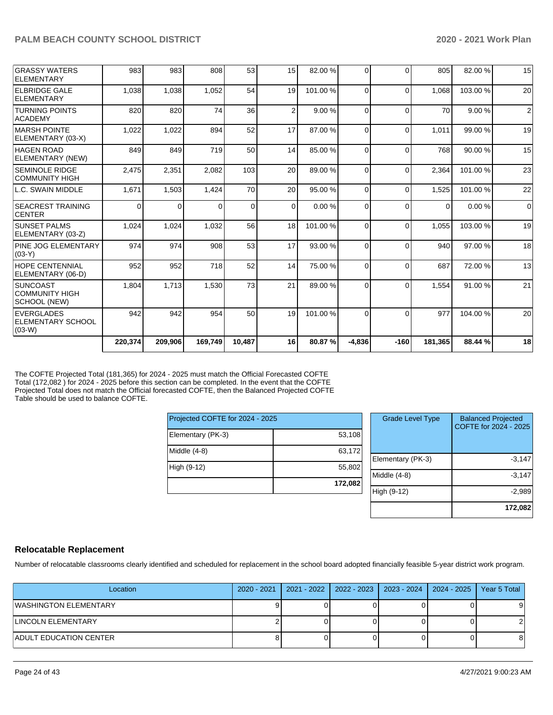| COMMUNITY HIGH<br>SCHOOL (NEW)<br>EVERGLADES<br><b>IELEMENTARY SCHOOL</b><br>$(03-W)$ | 974<br>952<br>1,804<br>942 | 974<br>952<br>1,713<br>942 | 908<br>718<br>1,530<br>954 | 53<br>52<br>73<br>50 | 17<br>14<br>21<br>19 | 93.00 %<br>75.00 %<br>89.00 %<br>101.00% | $\Omega$<br>$\Omega$<br>$\Omega$<br>$\Omega$ | $\Omega$<br>$\Omega$<br>$\Omega$<br>$\Omega$ | 940<br>687<br>1,554<br>977 | 97.00 %<br>72.00 %<br>91.00%<br>104.00% | 18<br>13<br>21<br>20 |
|---------------------------------------------------------------------------------------|----------------------------|----------------------------|----------------------------|----------------------|----------------------|------------------------------------------|----------------------------------------------|----------------------------------------------|----------------------------|-----------------------------------------|----------------------|
|                                                                                       |                            |                            |                            |                      |                      |                                          |                                              |                                              |                            |                                         |                      |
| <b>SUNCOAST</b>                                                                       |                            |                            |                            |                      |                      |                                          |                                              |                                              |                            |                                         |                      |
| <b>HOPE CENTENNIAL</b><br>ELEMENTARY (06-D)                                           |                            |                            |                            |                      |                      |                                          |                                              |                                              |                            |                                         |                      |
| PINE JOG ELEMENTARY<br>$(03-Y)$                                                       |                            |                            |                            |                      |                      |                                          |                                              |                                              |                            |                                         |                      |
| <b>SUNSET PALMS</b><br>ELEMENTARY (03-Z)                                              | 1,024                      | 1,024                      | 1,032                      | 56                   | 18                   | 101.00%                                  | $\Omega$                                     | $\Omega$                                     | 1,055                      | 103.00 %                                | 19                   |
| <b>SEACREST TRAINING</b><br><b>CENTER</b>                                             | 0                          | 0                          | 0                          | $\mathbf 0$          | $\Omega$             | 0.00%                                    | $\Omega$                                     | $\Omega$                                     | $\Omega$                   | 0.00%                                   | $\mathbf 0$          |
| L.C. SWAIN MIDDLE                                                                     | 1,671                      | 1,503                      | 1,424                      | 70                   | 20                   | 95.00 %                                  | $\Omega$                                     | $\Omega$                                     | 1,525                      | 101.00%                                 | 22                   |
| <b>SEMINOLE RIDGE</b><br><b>COMMUNITY HIGH</b>                                        | 2,475                      | 2,351                      | 2,082                      | 103                  | 20                   | 89.00 %                                  | $\Omega$                                     | $\Omega$                                     | 2,364                      | 101.00%                                 | 23                   |
| <b>HAGEN ROAD</b><br>ELEMENTARY (NEW)                                                 | 849                        | 849                        | 719                        | 50                   | 14                   | 85.00 %                                  | $\Omega$                                     | $\Omega$                                     | 768                        | 90.00 %                                 | 15                   |
| <b>IMARSH POINTE</b><br>ELEMENTARY (03-X)                                             | 1,022                      | 1,022                      | 894                        | 52                   | 17                   | 87.00 %                                  | $\Omega$                                     | $\Omega$                                     | 1,011                      | 99.00 %                                 | 19                   |
| <b>TURNING POINTS</b><br><b>ACADEMY</b>                                               | 820                        | 820                        | 74                         | 36                   | $\overline{2}$       | 9.00%                                    | $\Omega$                                     | $\Omega$                                     | 70                         | 9.00%                                   | 2                    |
| <b>ELBRIDGE GALE</b><br>ELEMENTARY                                                    | 1,038                      | 1,038                      | 1,052                      | 54                   | 19                   | 101.00%                                  | $\Omega$                                     | $\Omega$                                     | 1,068                      | 103.00%                                 | 20                   |
| <b>GRASSY WATERS</b><br><b>ELEMENTARY</b>                                             | 983                        | 983                        | 808                        | 53                   | 15                   | 82.00%                                   | $\Omega$                                     | $\Omega$                                     | 805                        | 82.00%                                  | 15                   |

The COFTE Projected Total (181,365) for 2024 - 2025 must match the Official Forecasted COFTE Total (172,082 ) for 2024 - 2025 before this section can be completed. In the event that the COFTE Projected Total does not match the Official forecasted COFTE, then the Balanced Projected COFTE Table should be used to balance COFTE.

| Projected COFTE for 2024 - 2025 |         |
|---------------------------------|---------|
| Elementary (PK-3)               | 53,108  |
| Middle $(4-8)$                  | 63,172  |
| High (9-12)                     | 55,802  |
|                                 | 172,082 |

| <b>Grade Level Type</b> | <b>Balanced Projected</b><br>COFTE for 2024 - 2025 |
|-------------------------|----------------------------------------------------|
| Elementary (PK-3)       | $-3,147$                                           |
| Middle $(4-8)$          | $-3,147$                                           |
| High (9-12)             | $-2,989$                                           |
|                         | 172,082                                            |

#### **Relocatable Replacement**

Number of relocatable classrooms clearly identified and scheduled for replacement in the school board adopted financially feasible 5-year district work program.

| Location                      | $2020 - 2021$ | 2021 - 2022   2022 - 2023   2023 - 2024 | $2024 - 2025$ | Year 5 Total |
|-------------------------------|---------------|-----------------------------------------|---------------|--------------|
| <b>WASHINGTON ELEMENTARY</b>  |               |                                         |               | 9            |
| LINCOLN ELEMENTARY            |               |                                         |               |              |
| <b>ADULT EDUCATION CENTER</b> |               |                                         |               |              |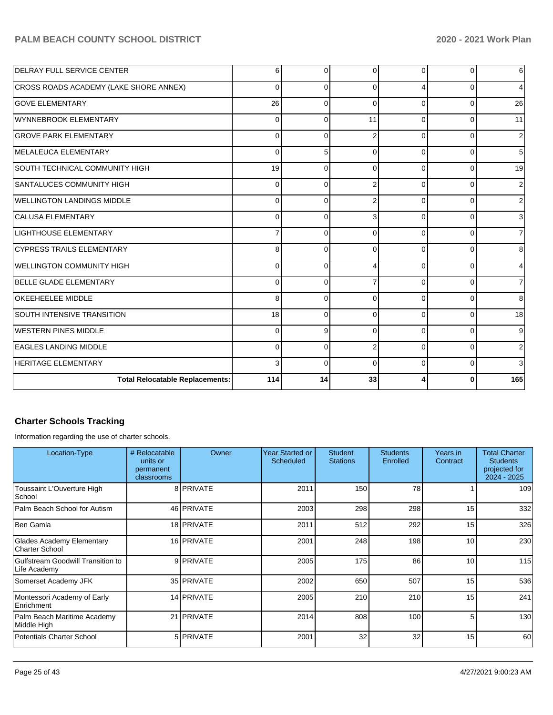| <b>DELRAY FULL SERVICE CENTER</b>      | 6        | $\Omega$ | 0        | 0        | $\Omega$     | $6 \,$           |
|----------------------------------------|----------|----------|----------|----------|--------------|------------------|
| CROSS ROADS ACADEMY (LAKE SHORE ANNEX) | $\Omega$ | $\Omega$ | $\Omega$ | 4        | <sup>0</sup> | 4                |
| <b>GOVE ELEMENTARY</b>                 | 26       | $\Omega$ | $\Omega$ | 0        | $\Omega$     | 26               |
| WYNNEBROOK ELEMENTARY                  | $\Omega$ | $\Omega$ | 11       | $\Omega$ | 0            | 11               |
| <b>GROVE PARK ELEMENTARY</b>           | 0        | $\Omega$ | 2        | 0        | 0            | $\overline{2}$   |
| MELALEUCA ELEMENTARY                   | $\Omega$ | 5        | 0        | 0        | 0            | 5                |
| SOUTH TECHNICAL COMMUNITY HIGH         | 19       | $\Omega$ | $\Omega$ | 0        | $\Omega$     | 19               |
| SANTALUCES COMMUNITY HIGH              | $\Omega$ | $\Omega$ |          | 0        | $\Omega$     | $\boldsymbol{2}$ |
| <b>WELLINGTON LANDINGS MIDDLE</b>      | $\Omega$ | $\Omega$ |          | 0        | $\Omega$     | $\overline{2}$   |
| <b>CALUSA ELEMENTARY</b>               | $\Omega$ | $\Omega$ | 3        | 0        | <sup>0</sup> | $\overline{3}$   |
| <b>LIGHTHOUSE ELEMENTARY</b>           | 7        | $\Omega$ | $\Omega$ | 0        | $\Omega$     | 7                |
| <b>CYPRESS TRAILS ELEMENTARY</b>       | 8        | $\Omega$ | $\Omega$ | $\Omega$ | $\Omega$     | 8                |
| <b>WELLINGTON COMMUNITY HIGH</b>       | 0        | $\Omega$ | $\prime$ | 0        | $\Omega$     | $\overline{4}$   |
| BELLE GLADE ELEMENTARY                 | 0        | $\Omega$ |          | 0        | $\Omega$     | $\overline{7}$   |
| <b>OKEEHEELEE MIDDLE</b>               | 8        | $\Omega$ | $\Omega$ | 0        | $\Omega$     | 8                |
| <b>SOUTH INTENSIVE TRANSITION</b>      | 18       | $\Omega$ | $\Omega$ | $\Omega$ | $\Omega$     | 18               |
| <b>WESTERN PINES MIDDLE</b>            | 0        | 9        | $\Omega$ | $\Omega$ | $\Omega$     | $\overline{9}$   |
| <b>EAGLES LANDING MIDDLE</b>           | $\Omega$ | $\Omega$ |          | $\Omega$ | <sup>0</sup> | 2                |
| <b>HERITAGE ELEMENTARY</b>             | 3        | $\Omega$ | $\Omega$ | 0        | $\Omega$     | 3                |
| <b>Total Relocatable Replacements:</b> | 114      | 14       | 33       | 4        |              | 165              |

## **Charter Schools Tracking**

Information regarding the use of charter schools.

| Location-Type                                     | # Relocatable<br>units or<br>permanent<br>classrooms | Owner             | Year Started or<br>Scheduled | <b>Student</b><br><b>Stations</b> | <b>Students</b><br>Enrolled | Years in<br>Contract | <b>Total Charter</b><br><b>Students</b><br>projected for<br>2024 - 2025 |
|---------------------------------------------------|------------------------------------------------------|-------------------|------------------------------|-----------------------------------|-----------------------------|----------------------|-------------------------------------------------------------------------|
| Toussaint L'Ouverture High<br>School              |                                                      | 8 PRIVATE         | 2011                         | 150                               | 78                          |                      | 109                                                                     |
| Palm Beach School for Autism                      |                                                      | 46 PRIVATE        | 2003                         | 298                               | 298                         | 15                   | 332                                                                     |
| Ben Gamla                                         |                                                      | 18 PRIVATE        | 2011                         | 512                               | 292                         | 15                   | 326                                                                     |
| Glades Academy Elementary<br>Charter School       |                                                      | 16 PRIVATE        | 2001                         | 248                               | 198                         | 10                   | 230                                                                     |
| Gulfstream Goodwill Transition to<br>Life Academy |                                                      | 9 PRIVATE         | 2005                         | 175                               | 86                          | 10                   | 115                                                                     |
| Somerset Academy JFK                              |                                                      | 35 PRIVATE        | 2002                         | 650                               | 507                         | 15                   | 536                                                                     |
| Montessori Academy of Early<br>Enrichment         |                                                      | 14 PRIVATE        | 2005                         | 210                               | 210                         | 15                   | 241                                                                     |
| Palm Beach Maritime Academy<br>Middle High        |                                                      | 21 <b>PRIVATE</b> | 2014                         | 808                               | 100                         | 5                    | 130                                                                     |
| <b>Potentials Charter School</b>                  |                                                      | 5 <b>PRIVATE</b>  | 2001                         | 32                                | 32                          | 15                   | 60                                                                      |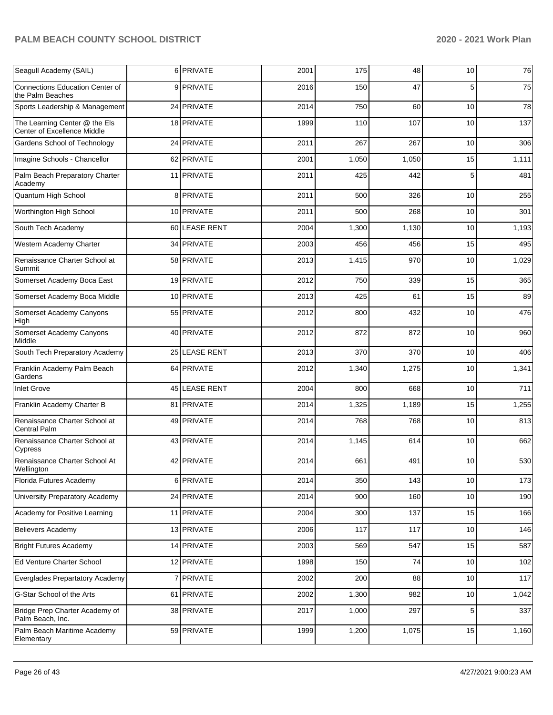| Seagull Academy (SAIL)                                       | 6 PRIVATE     | 2001 | 175   | 48    | 10         | 76    |
|--------------------------------------------------------------|---------------|------|-------|-------|------------|-------|
| Connections Education Center of<br>the Palm Beaches          | 9 PRIVATE     | 2016 | 150   | 47    | 5          | 75    |
| Sports Leadership & Management                               | 24 PRIVATE    | 2014 | 750   | 60    | 10         | 78    |
| The Learning Center @ the Els<br>Center of Excellence Middle | 18 PRIVATE    | 1999 | 110   | 107   | 10         | 137   |
| Gardens School of Technology                                 | 24 PRIVATE    | 2011 | 267   | 267   | 10         | 306   |
| Imagine Schools - Chancellor                                 | 62 PRIVATE    | 2001 | 1,050 | 1,050 | 15         | 1,111 |
| Palm Beach Preparatory Charter<br>Academy                    | 11 PRIVATE    | 2011 | 425   | 442   | 5          | 481   |
| Quantum High School                                          | 8 PRIVATE     | 2011 | 500   | 326   | 10         | 255   |
| Worthington High School                                      | 10 PRIVATE    | 2011 | 500   | 268   | 10         | 301   |
| South Tech Academy                                           | 60 LEASE RENT | 2004 | 1,300 | 1,130 | 10         | 1,193 |
| Western Academy Charter                                      | 34 PRIVATE    | 2003 | 456   | 456   | 15         | 495   |
| Renaissance Charter School at<br>Summit                      | 58 PRIVATE    | 2013 | 1,415 | 970   | 10         | 1,029 |
| Somerset Academy Boca East                                   | 19 PRIVATE    | 2012 | 750   | 339   | 15         | 365   |
| Somerset Academy Boca Middle                                 | 10 PRIVATE    | 2013 | 425   | 61    | 15         | 89    |
| Somerset Academy Canyons<br>High                             | 55 PRIVATE    | 2012 | 800   | 432   | 10         | 476   |
| Somerset Academy Canyons<br>Middle                           | 40 PRIVATE    | 2012 | 872   | 872   | 10         | 960   |
| South Tech Preparatory Academy                               | 25 LEASE RENT | 2013 | 370   | 370   | 10         | 406   |
| Franklin Academy Palm Beach<br>Gardens                       | 64 PRIVATE    | 2012 | 1,340 | 1,275 | 10         | 1,341 |
| <b>Inlet Grove</b>                                           | 45 LEASE RENT | 2004 | 800   | 668   | 10         | 711   |
| Franklin Academy Charter B                                   | 81 PRIVATE    | 2014 | 1,325 | 1,189 | 15         | 1,255 |
| Renaissance Charter School at<br>Central Palm                | 49 PRIVATE    | 2014 | 768   | 768   | 10         | 813   |
| Renaissance Charter School at<br>Cypress                     | 43 PRIVATE    | 2014 | 1,145 | 614   | 10         | 662   |
| Renaissance Charter School At<br>Wellington                  | 42 PRIVATE    | 2014 | 661   | 491   | 10         | 530   |
| Florida Futures Academy                                      | 6 PRIVATE     | 2014 | 350   | 143   | 10         | 173   |
| University Preparatory Academy                               | 24 PRIVATE    | 2014 | 900   | 160   | $10$       | 190   |
| Academy for Positive Learning                                | 11 PRIVATE    | 2004 | 300   | 137   | 15         | 166   |
| <b>Believers Academy</b>                                     | 13 PRIVATE    | 2006 | 117   | 117   | $10$       | 146   |
| <b>Bright Futures Academy</b>                                | 14 PRIVATE    | 2003 | 569   | 547   | 15         | 587   |
| Ed Venture Charter School                                    | 12 PRIVATE    | 1998 | 150   | 74    | 10         | 102   |
| Everglades Prepartatory Academy                              | 7 PRIVATE     | 2002 | 200   | 88    | $10$       | 117   |
| G-Star School of the Arts                                    | 61 PRIVATE    | 2002 | 1,300 | 982   | 10         | 1,042 |
| Bridge Prep Charter Academy of<br>Palm Beach, Inc.           | 38 PRIVATE    | 2017 | 1,000 | 297   | $\sqrt{5}$ | 337   |
| Palm Beach Maritime Academy<br>Elementary                    | 59 PRIVATE    | 1999 | 1,200 | 1,075 | 15         | 1,160 |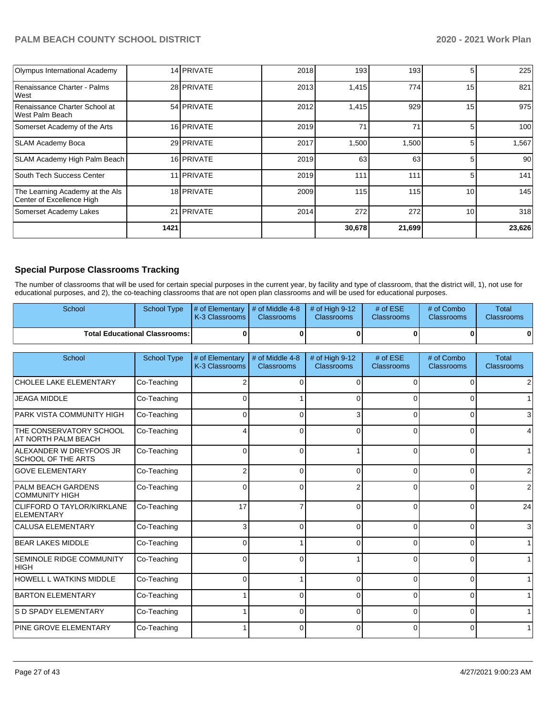| <b>Olympus International Academy</b>                         |      | 14 PRIVATE | 2018 | 193    | 193    | 5  | 225    |
|--------------------------------------------------------------|------|------------|------|--------|--------|----|--------|
| Renaissance Charter - Palms<br>lWest                         |      | 28 PRIVATE | 2013 | 1,415  | 774    | 15 | 821    |
| Renaissance Charter School at<br>West Palm Beach             |      | 54 PRIVATE | 2012 | 1,415  | 929    | 15 | 975    |
| Somerset Academy of the Arts                                 |      | 16 PRIVATE | 2019 | 71     | 71     | 5  | 100    |
| SLAM Academy Boca                                            |      | 29 PRIVATE | 2017 | 1,500  | 1,500  | 5. | 1,567  |
| SLAM Academy High Palm Beach                                 |      | 16 PRIVATE | 2019 | 63     | 63     | 5  | 90     |
| South Tech Success Center                                    |      | 11 PRIVATE | 2019 | 111    | 111    | 5. | 141    |
| The Learning Academy at the Als<br>Center of Excellence High |      | 18 PRIVATE | 2009 | 115    | 115    | 10 | 145    |
| Somerset Academy Lakes                                       |      | 21 PRIVATE | 2014 | 272    | 272    | 10 | 318    |
|                                                              | 1421 |            |      | 30,678 | 21,699 |    | 23,626 |

#### **Special Purpose Classrooms Tracking**

The number of classrooms that will be used for certain special purposes in the current year, by facility and type of classroom, that the district will, 1), not use for educational purposes, and 2), the co-teaching classrooms that are not open plan classrooms and will be used for educational purposes.

| School | School Type                            | $\parallel$ # of Elementary $\parallel$ # of Middle 4-8 $\parallel$ # of High 9-12<br><b>IK-3 Classrooms L</b> | <b>Classrooms</b> | <b>Classrooms</b> | $#$ of ESE<br><b>Classrooms</b> | # of Combo<br><b>Classrooms</b> | Total<br><b>Classrooms</b> |
|--------|----------------------------------------|----------------------------------------------------------------------------------------------------------------|-------------------|-------------------|---------------------------------|---------------------------------|----------------------------|
|        | <b>Total Educational Classrooms: I</b> |                                                                                                                |                   |                   |                                 | 0                               | 0                          |

| School                                               | <b>School Type</b> | # of Elementary<br>K-3 Classrooms | # of Middle 4-8<br>Classrooms | # of High 9-12<br><b>Classrooms</b> | # of ESE<br><b>Classrooms</b> | # of Combo<br><b>Classrooms</b> | <b>Total</b><br><b>Classrooms</b> |
|------------------------------------------------------|--------------------|-----------------------------------|-------------------------------|-------------------------------------|-------------------------------|---------------------------------|-----------------------------------|
| CHOLEE LAKE ELEMENTARY                               | Co-Teaching        |                                   | n                             |                                     | <sup>0</sup>                  | 0                               | 2 <sup>1</sup>                    |
| <b>JEAGA MIDDLE</b>                                  | Co-Teaching        | n                                 |                               |                                     | $\Omega$                      | 0                               |                                   |
| PARK VISTA COMMUNITY HIGH                            | Co-Teaching        | O.                                | 0                             |                                     | $\Omega$                      | 0                               | 3                                 |
| THE CONSERVATORY SCHOOL<br>AT NORTH PALM BEACH       | Co-Teaching        |                                   | $\Omega$                      |                                     | $\Omega$                      | 0                               | 4                                 |
| ALEXANDER W DREYFOOS JR<br><b>SCHOOL OF THE ARTS</b> | Co-Teaching        | 0                                 | $\Omega$                      |                                     | $\Omega$                      | 0                               | 1 <sup>1</sup>                    |
| <b>GOVE ELEMENTARY</b>                               | Co-Teaching        |                                   | 0                             |                                     | $\Omega$                      | 0                               | $\overline{2}$                    |
| <b>PALM BEACH GARDENS</b><br> COMMUNITY HIGH         | Co-Teaching        | 0                                 | 0                             | $\overline{2}$                      | $\Omega$                      | 0                               | $\overline{2}$                    |
| <b>CLIFFORD O TAYLOR/KIRKLANE</b><br>ELEMENTARY      | Co-Teaching        | 17                                | 7                             | $\Omega$                            | $\Omega$                      | $\Omega$                        | 24                                |
| <b>CALUSA ELEMENTARY</b>                             | Co-Teaching        | 3                                 | $\Omega$                      | $\Omega$                            | $\Omega$                      | 0                               | $\mathbf{3}$                      |
| <b>BEAR LAKES MIDDLE</b>                             | Co-Teaching        | 0                                 |                               | C                                   | $\Omega$                      | 0                               | 1 <sup>1</sup>                    |
| <b>SEMINOLE RIDGE COMMUNITY</b><br> HIGH             | Co-Teaching        | $\Omega$                          | $\Omega$                      |                                     | $\Omega$                      | 0                               | 1 <sup>1</sup>                    |
| <b>HOWELL L WATKINS MIDDLE</b>                       | Co-Teaching        | 0                                 |                               | ∩                                   | $\Omega$                      | 0                               | 1                                 |
| BARTON ELEMENTARY                                    | Co-Teaching        |                                   | $\Omega$                      | $\Omega$                            | $\Omega$                      | $\Omega$                        | 1                                 |
| IS D SPADY ELEMENTARY                                | Co-Teaching        |                                   | $\Omega$                      | $\Omega$                            | $\Omega$                      | 0                               | 1 <sup>1</sup>                    |
| <b>PINE GROVE ELEMENTARY</b>                         | Co-Teaching        |                                   | $\Omega$                      |                                     | $\Omega$                      | 0                               | 1 I                               |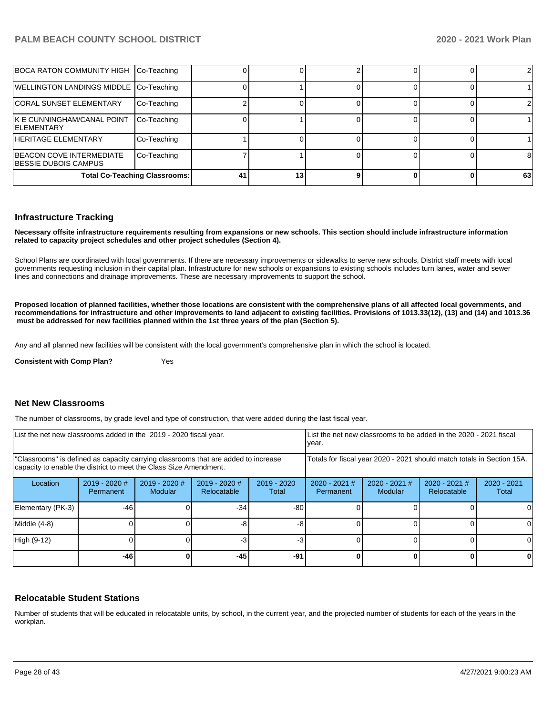| BOCA RATON COMMUNITY HIGH Co-Teaching                           |                                      |    |    |  |    |
|-----------------------------------------------------------------|--------------------------------------|----|----|--|----|
| <b>WELLINGTON LANDINGS MIDDLE</b>                               | Co-Teaching                          |    |    |  |    |
| <b>CORAL SUNSET ELEMENTARY</b>                                  | Co-Teaching                          |    |    |  |    |
| <b>IK E CUNNINGHAM/CANAL POINT</b><br><b>IELEMENTARY</b>        | Co-Teaching                          |    |    |  |    |
| HERITAGE ELEMENTARY                                             | Co-Teaching                          |    |    |  |    |
| <b>BEACON COVE INTERMEDIATE</b><br><b>IBESSIE DUBOIS CAMPUS</b> | Co-Teaching                          |    |    |  | 81 |
|                                                                 | <b>Total Co-Teaching Classrooms:</b> | 41 | 13 |  | 63 |

#### **Infrastructure Tracking**

**Necessary offsite infrastructure requirements resulting from expansions or new schools. This section should include infrastructure information related to capacity project schedules and other project schedules (Section 4).** 

School Plans are coordinated with local governments. If there are necessary improvements or sidewalks to serve new schools, District staff meets with local governments requesting inclusion in their capital plan. Infrastructure for new schools or expansions to existing schools includes turn lanes, water and sewer lines and connections and drainage improvements. These are necessary improvements to support the school.

**Proposed location of planned facilities, whether those locations are consistent with the comprehensive plans of all affected local governments, and recommendations for infrastructure and other improvements to land adjacent to existing facilities. Provisions of 1013.33(12), (13) and (14) and 1013.36 must be addressed for new facilities planned within the 1st three years of the plan (Section 5).** 

Any and all planned new facilities will be consistent with the local government's comprehensive plan in which the school is located.

**Consistent with Comp Plan?** Yes

#### **Net New Classrooms**

The number of classrooms, by grade level and type of construction, that were added during the last fiscal year.

| List the net new classrooms added in the 2019 - 2020 fiscal year.                                                                                       |                              |                                 |                                |                                                                        | List the net new classrooms to be added in the 2020 - 2021 fiscal<br>year. |                            |                                |                        |
|---------------------------------------------------------------------------------------------------------------------------------------------------------|------------------------------|---------------------------------|--------------------------------|------------------------------------------------------------------------|----------------------------------------------------------------------------|----------------------------|--------------------------------|------------------------|
| "Classrooms" is defined as capacity carrying classrooms that are added to increase<br>capacity to enable the district to meet the Class Size Amendment. |                              |                                 |                                | Totals for fiscal year 2020 - 2021 should match totals in Section 15A. |                                                                            |                            |                                |                        |
| Location                                                                                                                                                | $2019 - 2020$ #<br>Permanent | 2019 - 2020 #<br><b>Modular</b> | $2019 - 2020$ #<br>Relocatable | $2019 - 2020$<br>Total                                                 | $2020 - 2021$ #<br>Permanent                                               | $2020 - 2021$ #<br>Modular | $2020 - 2021$ #<br>Relocatable | $2020 - 2021$<br>Total |
| Elementary (PK-3)                                                                                                                                       | $-46$                        |                                 | $-34$                          | $-80$                                                                  |                                                                            |                            |                                |                        |
| Middle (4-8)                                                                                                                                            |                              |                                 | -8                             | -8                                                                     |                                                                            |                            |                                |                        |
| High (9-12)                                                                                                                                             |                              |                                 | -3                             | -3                                                                     |                                                                            |                            |                                | ΩI                     |
|                                                                                                                                                         | -46                          |                                 | $-45$                          | -91                                                                    | ŋ                                                                          |                            | U                              | 0                      |

#### **Relocatable Student Stations**

Number of students that will be educated in relocatable units, by school, in the current year, and the projected number of students for each of the years in the workplan.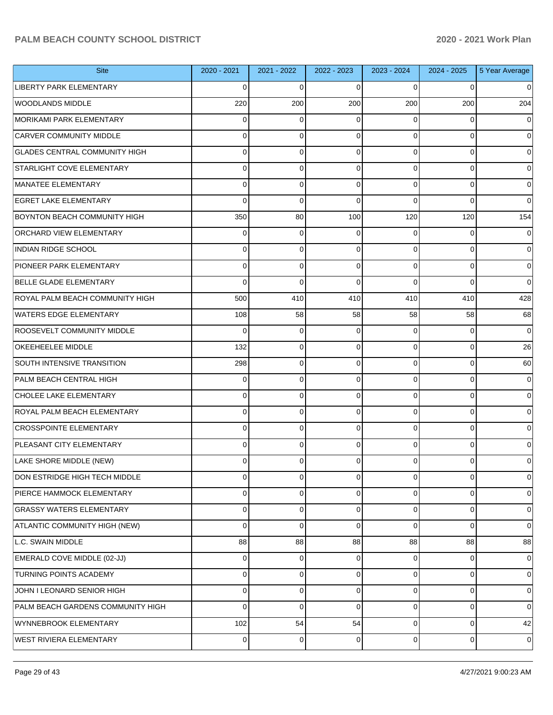| <b>Site</b>                          | 2020 - 2021 | 2021 - 2022 | 2022 - 2023 | 2023 - 2024    | 2024 - 2025 | 5 Year Average |
|--------------------------------------|-------------|-------------|-------------|----------------|-------------|----------------|
| <b>LIBERTY PARK ELEMENTARY</b>       | 0           | 0           | 0           | 0              |             | 0              |
| <b>WOODLANDS MIDDLE</b>              | 220         | 200         | 200         | 200            | 200         | 204            |
| MORIKAMI PARK ELEMENTARY             | 0           | 0           | 0           | 0              | 0           | 0              |
| CARVER COMMUNITY MIDDLE              | 0           | 0           | 0           | $\Omega$       | 0           | $\Omega$       |
| <b>GLADES CENTRAL COMMUNITY HIGH</b> | 0           | 0           | 0           | $\Omega$       | 0           | 0              |
| STARLIGHT COVE ELEMENTARY            | 0           | 0           | 0           | $\Omega$       | 0           | $\Omega$       |
| MANATEE ELEMENTARY                   | 0           | 0           | 0           | $\Omega$       | 0           | 0              |
| <b>EGRET LAKE ELEMENTARY</b>         | 0           | 0           | 0           | $\Omega$       | 0           | $\Omega$       |
| BOYNTON BEACH COMMUNITY HIGH         | 350         | 80          | 100         | 120            | 120         | 154            |
| ORCHARD VIEW ELEMENTARY              | 0           | 0           | 0           | 0              | 0           | $\overline{0}$ |
| INDIAN RIDGE SCHOOL                  | 0           | 0           | 0           | $\overline{0}$ | 0           | $\overline{0}$ |
| PIONEER PARK ELEMENTARY              | 0           | 0           | 0           | $\Omega$       | 0           | $\overline{0}$ |
| <b>BELLE GLADE ELEMENTARY</b>        | 0           | 0           | 0           | $\Omega$       | 0           | $\Omega$       |
| ROYAL PALM BEACH COMMUNITY HIGH      | 500         | 410         | 410         | 410            | 410         | 428            |
| WATERS EDGE ELEMENTARY               | 108         | 58          | 58          | 58             | 58          | 68             |
| ROOSEVELT COMMUNITY MIDDLE           | 0           | 0           | 0           | 0              | 0           | $\overline{0}$ |
| OKEEHEELEE MIDDLE                    | 132         | 0           | 0           | $\overline{0}$ | 0           | 26             |
| SOUTH INTENSIVE TRANSITION           | 298         | 0           | 0           | $\Omega$       | 0           | 60             |
| PALM BEACH CENTRAL HIGH              | 0           | 0           | 0           | $\Omega$       | 0           | 0              |
| CHOLEE LAKE ELEMENTARY               | 0           | 0           | 0           | $\Omega$       | 0           | $\Omega$       |
| ROYAL PALM BEACH ELEMENTARY          | 0           | 0           | 0           | $\Omega$       | 0           | 0              |
| <b>CROSSPOINTE ELEMENTARY</b>        | 0           | 0           | 0           | $\Omega$       | 0           | 0              |
| PLEASANT CITY ELEMENTARY             | 0           | 0           | 0           | $\Omega$       | 0           | $\Omega$       |
| LAKE SHORE MIDDLE (NEW)              | 0           | 0           | 0           | 0              | 0           | 0              |
| DON ESTRIDGE HIGH TECH MIDDLE        | 0           | $\mathbf 0$ | 0           | $\overline{0}$ | 0           | $\overline{0}$ |
| PIERCE HAMMOCK ELEMENTARY            | 0           | 0           | 0           | $\overline{0}$ | 0           | $\overline{0}$ |
| <b>GRASSY WATERS ELEMENTARY</b>      | 0           | 0           | 0           | $\overline{0}$ | 0           | $\overline{0}$ |
| ATLANTIC COMMUNITY HIGH (NEW)        | 0           | $\mathbf 0$ | 0           | $\Omega$       | 0           | $\overline{0}$ |
| L.C. SWAIN MIDDLE                    | 88          | 88          | 88          | 88             | 88          | 88             |
| EMERALD COVE MIDDLE (02-JJ)          | 0           | 0           | 0           | $\overline{0}$ | 0           | $\overline{0}$ |
| TURNING POINTS ACADEMY               | 0           | 0           | 0           | $\overline{0}$ | 0           | $\overline{0}$ |
| JOHN I LEONARD SENIOR HIGH           | 0           | 0           | 0           | $\overline{0}$ | 0           | $\overline{0}$ |
| PALM BEACH GARDENS COMMUNITY HIGH    | 0           | 0           | 0           | 0              | 0           | $\overline{0}$ |
| WYNNEBROOK ELEMENTARY                | 102         | 54          | 54          | $\overline{0}$ | 0           | 42             |
| WEST RIVIERA ELEMENTARY              | 0           | 0           | 0           | 0              | 0           | 0              |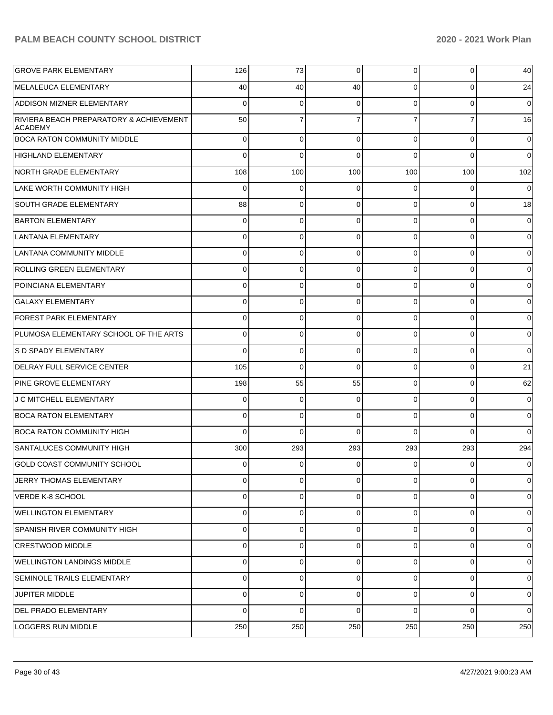| <b>GROVE PARK ELEMENTARY</b>                              | 126      | 73          | 0           | $\overline{0}$ | 0              | 40          |
|-----------------------------------------------------------|----------|-------------|-------------|----------------|----------------|-------------|
| MELALEUCA ELEMENTARY                                      | 40       | 40          | 40          | 0              | $\Omega$       | 24          |
| <b>ADDISON MIZNER ELEMENTARY</b>                          | $\Omega$ | 0           | 0           | $\Omega$       | $\mathbf 0$    | 0           |
| RIVIERA BEACH PREPARATORY & ACHIEVEMENT<br><b>ACADEMY</b> | 50       | 7           | 7           | 7              | $\overline{7}$ | 16          |
| <b>BOCA RATON COMMUNITY MIDDLE</b>                        | 0        | $\mathbf 0$ | $\mathbf 0$ | $\Omega$       | $\Omega$       | 0           |
| HIGHLAND ELEMENTARY                                       | $\Omega$ | $\Omega$    | $\Omega$    | $\Omega$       | $\Omega$       | $\mathbf 0$ |
| NORTH GRADE ELEMENTARY                                    | 108      | 100         | 100         | 100            | 100            | 102         |
| <b>LAKE WORTH COMMUNITY HIGH</b>                          | 0        | 0           | 0           | 0              | $\mathbf 0$    | 0           |
| SOUTH GRADE ELEMENTARY                                    | 88       | $\mathbf 0$ | 0           | 0              | $\mathbf 0$    | 18          |
| <b>BARTON ELEMENTARY</b>                                  | 0        | $\mathbf 0$ | $\mathbf 0$ | $\Omega$       | $\mathbf 0$    | $\mathbf 0$ |
| LANTANA ELEMENTARY                                        | 0        | $\mathbf 0$ | $\mathbf 0$ | $\Omega$       | $\mathbf 0$    | $\mathbf 0$ |
| LANTANA COMMUNITY MIDDLE                                  | 0        | $\mathbf 0$ | 0           | 0              | $\mathbf 0$    | 0           |
| <b>ROLLING GREEN ELEMENTARY</b>                           | 0        | $\mathbf 0$ | $\mathbf 0$ | $\Omega$       | $\mathbf 0$    | $\mathbf 0$ |
| POINCIANA ELEMENTARY                                      | 0        | $\mathbf 0$ | $\mathbf 0$ | 0              | $\mathbf 0$    | 0           |
| GALAXY ELEMENTARY                                         | 0        | $\mathbf 0$ | $\mathbf 0$ | 0              | $\mathbf 0$    | $\mathbf 0$ |
| <b>FOREST PARK ELEMENTARY</b>                             | 0        | $\mathbf 0$ | $\mathbf 0$ | 0              | $\mathbf 0$    | 0           |
| PLUMOSA ELEMENTARY SCHOOL OF THE ARTS                     | 0        | $\mathbf 0$ | $\mathbf 0$ | $\Omega$       | $\mathbf 0$    | $\mathbf 0$ |
| <b>S D SPADY ELEMENTARY</b>                               | $\Omega$ | $\mathbf 0$ | $\mathbf 0$ | 0              | $\mathbf 0$    | $\mathbf 0$ |
| DELRAY FULL SERVICE CENTER                                | 105      | $\mathbf 0$ | $\mathbf 0$ | $\Omega$       | $\mathbf 0$    | 21          |
| PINE GROVE ELEMENTARY                                     | 198      | 55          | 55          | $\Omega$       | $\mathbf 0$    | 62          |
| J C MITCHELL ELEMENTARY                                   | 0        | $\mathbf 0$ | $\Omega$    | 0              | $\mathbf 0$    | 0           |
| <b>BOCA RATON ELEMENTARY</b>                              | 0        | $\mathbf 0$ | 0           | 0              | $\mathbf 0$    | 0           |
| <b>BOCA RATON COMMUNITY HIGH</b>                          | $\Omega$ | $\mathbf 0$ | $\Omega$    | $\Omega$       | $\Omega$       | $\mathbf 0$ |
| SANTALUCES COMMUNITY HIGH                                 | 300      | 293         | 293         | 293            | 293            | 294         |
| GOLD COAST COMMUNITY SCHOOL                               | 0        | 0           | 0           | 0              | $\Omega$       | 0           |
| JERRY THOMAS ELEMENTARY                                   | 0        | $\mathbf 0$ | $\mathbf 0$ | $\mathbf 0$    | 0              | 0           |
| VERDE K-8 SCHOOL                                          | 0        | 0           | $\mathbf 0$ | 0              | $\mathbf 0$    | 0           |
| <b>WELLINGTON ELEMENTARY</b>                              | 0        | $\mathbf 0$ | 0           | 0              | $\mathbf 0$    | 0           |
| SPANISH RIVER COMMUNITY HIGH                              | 0        | $\mathbf 0$ | $\mathbf 0$ | $\mathbf 0$    | $\mathbf 0$    | 0           |
| <b>CRESTWOOD MIDDLE</b>                                   | 0        | $\mathbf 0$ | 0           | 0              | $\mathbf 0$    | 0           |
| <b>WELLINGTON LANDINGS MIDDLE</b>                         | 0        | $\mathbf 0$ | $\mathbf 0$ | 0              | $\mathbf 0$    | 0           |
| SEMINOLE TRAILS ELEMENTARY                                | 0        | $\mathbf 0$ | $\mathbf 0$ | 0              | $\mathbf 0$    | 0           |
| JUPITER MIDDLE                                            | 0        | $\mathbf 0$ | $\mathbf 0$ | 0              | $\mathbf 0$    | 0           |
| <b>DEL PRADO ELEMENTARY</b>                               | 0        | $\mathbf 0$ | $\mathbf 0$ | 0              | $\mathbf 0$    | $\mathbf 0$ |
| <b>LOGGERS RUN MIDDLE</b>                                 | 250      | 250         | 250         | 250            | 250            | 250         |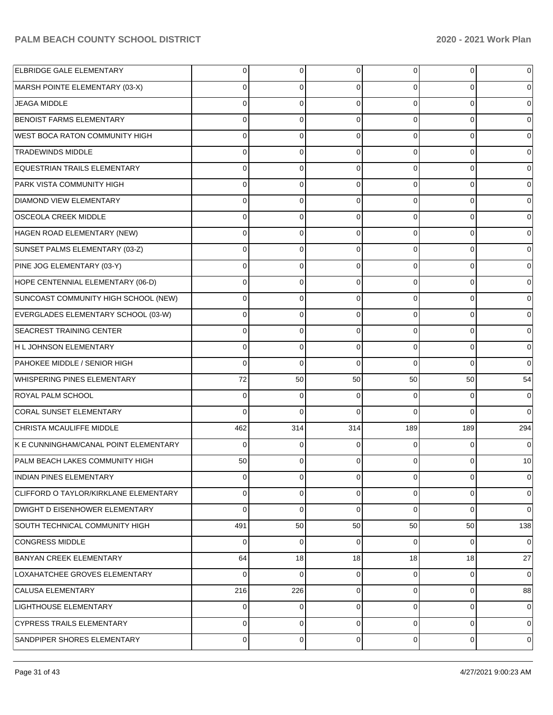| <b>ELBRIDGE GALE ELEMENTARY</b>       | 0   | 0              | $\Omega$    | 0           | $\overline{0}$ | $\mathbf 0$    |
|---------------------------------------|-----|----------------|-------------|-------------|----------------|----------------|
| MARSH POINTE ELEMENTARY (03-X)        | 0   | 0              | $\Omega$    | 0           | $\overline{0}$ | $\overline{0}$ |
| <b>JEAGA MIDDLE</b>                   | 0   | 0              | $\Omega$    | $\Omega$    | $\overline{0}$ | $\mathbf 0$    |
| <b>BENOIST FARMS ELEMENTARY</b>       | 0   | 0              | $\Omega$    | $\Omega$    | $\overline{0}$ | $\overline{0}$ |
| <b>WEST BOCA RATON COMMUNITY HIGH</b> | 0   | 0              | $\Omega$    | $\Omega$    | $\overline{0}$ | $\mathbf 0$    |
| <b>TRADEWINDS MIDDLE</b>              | 0   | 0              | $\Omega$    | $\Omega$    | $\overline{0}$ | $\overline{0}$ |
| <b>EQUESTRIAN TRAILS ELEMENTARY</b>   | 0   | 0              | $\Omega$    | $\Omega$    | $\overline{0}$ | $\mathbf 0$    |
| PARK VISTA COMMUNITY HIGH             | 0   | 0              | $\Omega$    | $\Omega$    | $\overline{0}$ | $\overline{0}$ |
| <b>DIAMOND VIEW ELEMENTARY</b>        | 0   | 0              | $\Omega$    | $\Omega$    | $\overline{0}$ | $\mathbf 0$    |
| <b>OSCEOLA CREEK MIDDLE</b>           | 0   | 0              | $\Omega$    | $\Omega$    | $\overline{0}$ | $\overline{0}$ |
| HAGEN ROAD ELEMENTARY (NEW)           | 0   | 0              | $\Omega$    | 0           | $\overline{0}$ | $\mathbf 0$    |
| SUNSET PALMS ELEMENTARY (03-Z)        | 0   | 0              | $\Omega$    | $\Omega$    | $\overline{0}$ | $\overline{0}$ |
| PINE JOG ELEMENTARY (03-Y)            | 0   | 0              | $\Omega$    | $\Omega$    | $\overline{0}$ | $\overline{0}$ |
| HOPE CENTENNIAL ELEMENTARY (06-D)     | 0   | 0              | $\Omega$    | $\Omega$    | $\overline{0}$ | $\overline{0}$ |
| SUNCOAST COMMUNITY HIGH SCHOOL (NEW)  | 0   | 0              | $\Omega$    | $\Omega$    | $\overline{0}$ | $\overline{0}$ |
| EVERGLADES ELEMENTARY SCHOOL (03-W)   | 0   | 0              | $\Omega$    | $\Omega$    | $\overline{0}$ | $\overline{0}$ |
| <b>SEACREST TRAINING CENTER</b>       | 0   | 0              | $\Omega$    | 0           | $\overline{0}$ | $\overline{0}$ |
| H L JOHNSON ELEMENTARY                | 0   | 0              | $\Omega$    | $\Omega$    | $\overline{0}$ | $\overline{0}$ |
| PAHOKEE MIDDLE / SENIOR HIGH          | 0   | 0              | $\Omega$    | $\Omega$    | $\Omega$       | $\overline{0}$ |
| WHISPERING PINES ELEMENTARY           | 72  | 50             | 50          | 50          | 50             | 54             |
| ROYAL PALM SCHOOL                     | 0   | 0              | $\Omega$    | 0           | $\overline{0}$ | $\overline{0}$ |
| <b>CORAL SUNSET ELEMENTARY</b>        | 0   | 0              | $\Omega$    | $\Omega$    | $\Omega$       | $\overline{0}$ |
| CHRISTA MCAULIFFE MIDDLE              | 462 | 314            | 314         | 189         | 189            | 294            |
| K E CUNNINGHAM/CANAL POINT ELEMENTARY | 0   | 0              | $\Omega$    | 0           | $\overline{0}$ | $\overline{0}$ |
| PALM BEACH LAKES COMMUNITY HIGH       | 50  | 0              | 0           |             | 0              | 10             |
| INDIAN PINES ELEMENTARY               | 0   | $\overline{0}$ | $\mathbf 0$ | 0           | $\overline{0}$ | $\overline{0}$ |
| CLIFFORD O TAYLOR/KIRKLANE ELEMENTARY | 0   | 0              | 0           | $\Omega$    | $\overline{0}$ | $\overline{0}$ |
| DWIGHT D EISENHOWER ELEMENTARY        | 0   | 0              | $\mathbf 0$ | $\Omega$    | $\overline{0}$ | $\overline{0}$ |
| SOUTH TECHNICAL COMMUNITY HIGH        | 491 | 50             | 50          | 50          | 50             | 138            |
| <b>CONGRESS MIDDLE</b>                | 0   | 0              | 0           | $\Omega$    | $\overline{0}$ | $\overline{0}$ |
| BANYAN CREEK ELEMENTARY               | 64  | 18             | 18          | 18          | 18             | 27             |
| LOXAHATCHEE GROVES ELEMENTARY         | 0   | 0              | 0           | $\Omega$    | $\overline{0}$ | $\overline{0}$ |
| <b>CALUSA ELEMENTARY</b>              | 216 | 226            | $\mathbf 0$ | $\Omega$    | $\overline{0}$ | 88             |
| LIGHTHOUSE ELEMENTARY                 | 0   | 0              | $\Omega$    | $\Omega$    | $\overline{0}$ | $\overline{0}$ |
| <b>CYPRESS TRAILS ELEMENTARY</b>      | 0   | 0              | 0           | $\Omega$    | $\overline{0}$ | $\overline{0}$ |
| SANDPIPER SHORES ELEMENTARY           | 0   | 0              | $\mathbf 0$ | $\mathbf 0$ | $\overline{0}$ | $\overline{0}$ |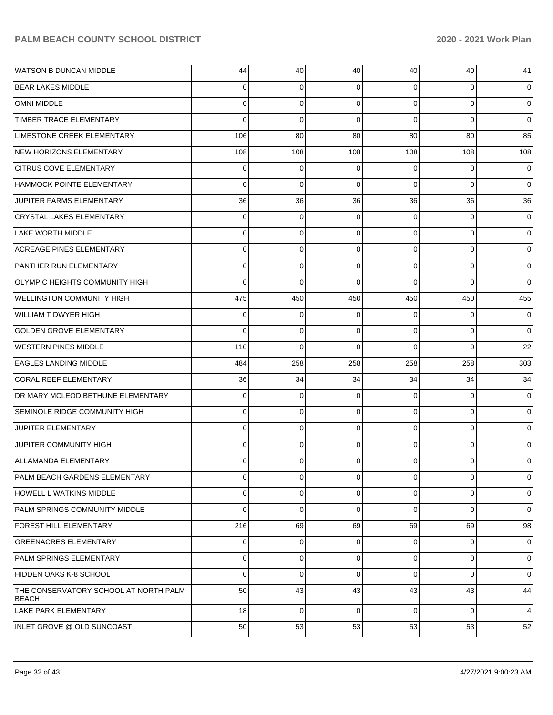| <b>WATSON B DUNCAN MIDDLE</b>                         | 44             | 40             | 40             | 40             | 40             | 41             |
|-------------------------------------------------------|----------------|----------------|----------------|----------------|----------------|----------------|
| <b>BEAR LAKES MIDDLE</b>                              | 0              | 0              | $\Omega$       | 0              | $\Omega$       | $\overline{0}$ |
| <b>OMNI MIDDLE</b>                                    | $\Omega$       | $\mathbf 0$    | $\Omega$       | $\Omega$       | $\Omega$       | $\overline{0}$ |
| TIMBER TRACE ELEMENTARY                               | $\Omega$       | $\mathbf 0$    | $\Omega$       | $\Omega$       | $\Omega$       | $\overline{0}$ |
| LIMESTONE CREEK ELEMENTARY                            | 106            | 80             | 80             | 80             | 80             | 85             |
| NEW HORIZONS ELEMENTARY                               | 108            | 108            | 108            | 108            | 108            | 108            |
| <b>CITRUS COVE ELEMENTARY</b>                         | $\Omega$       | $\Omega$       | $\Omega$       | 0              | $\Omega$       | $\overline{0}$ |
| HAMMOCK POINTE ELEMENTARY                             | $\Omega$       | $\mathbf 0$    | $\Omega$       | $\Omega$       | $\Omega$       | $\overline{0}$ |
| <b>JUPITER FARMS ELEMENTARY</b>                       | 36             | 36             | 36             | 36             | 36             | 36             |
| <b>CRYSTAL LAKES ELEMENTARY</b>                       | $\Omega$       | $\mathbf 0$    | $\Omega$       | $\Omega$       | $\Omega$       | $\overline{0}$ |
| LAKE WORTH MIDDLE                                     | $\Omega$       | 0              | $\Omega$       | $\Omega$       | $\Omega$       | $\overline{0}$ |
| <b>ACREAGE PINES ELEMENTARY</b>                       | $\Omega$       | $\mathbf 0$    | $\Omega$       | $\Omega$       | $\Omega$       | $\overline{0}$ |
| PANTHER RUN ELEMENTARY                                | $\Omega$       | $\Omega$       | $\Omega$       | $\Omega$       | $\Omega$       | $\overline{0}$ |
| OLYMPIC HEIGHTS COMMUNITY HIGH                        | $\Omega$       | $\Omega$       | $\Omega$       | $\Omega$       | $\Omega$       | $\Omega$       |
| <b>WELLINGTON COMMUNITY HIGH</b>                      | 475            | 450            | 450            | 450            | 450            | 455            |
| WILLIAM T DWYER HIGH                                  | $\Omega$       | $\mathbf 0$    | $\Omega$       | $\Omega$       | $\Omega$       | $\overline{0}$ |
| <b>GOLDEN GROVE ELEMENTARY</b>                        | $\Omega$       | $\Omega$       | $\Omega$       | $\Omega$       | $\Omega$       | $\Omega$       |
| <b>WESTERN PINES MIDDLE</b>                           | 110            | $\Omega$       | $\Omega$       | $\Omega$       | $\Omega$       | 22             |
| <b>EAGLES LANDING MIDDLE</b>                          | 484            | 258            | 258            | 258            | 258            | 303            |
| CORAL REEF ELEMENTARY                                 | 36             | 34             | 34             | 34             | 34             | 34             |
| DR MARY MCLEOD BETHUNE ELEMENTARY                     | $\Omega$       | $\Omega$       | $\Omega$       | $\Omega$       | $\Omega$       | $\Omega$       |
| SEMINOLE RIDGE COMMUNITY HIGH                         | $\Omega$       | $\mathbf 0$    | $\Omega$       | $\Omega$       | $\Omega$       | $\overline{0}$ |
| JUPITER ELEMENTARY                                    | $\Omega$       | $\mathbf 0$    | $\Omega$       | $\Omega$       | $\Omega$       | $\Omega$       |
| JUPITER COMMUNITY HIGH                                | $\Omega$       | $\mathbf 0$    | $\Omega$       | $\Omega$       | $\Omega$       | $\Omega$       |
| ALLAMANDA ELEMENTARY                                  | 0              | 0              | $\Omega$       | 0              | 0              | 0              |
| PALM BEACH GARDENS ELEMENTARY                         | $\overline{0}$ | $\overline{0}$ | $\overline{0}$ | $\overline{0}$ | $\overline{0}$ | 0              |
| HOWELL L WATKINS MIDDLE                               | $\Omega$       | 0              | $\Omega$       | $\Omega$       | $\Omega$       | 0              |
| PALM SPRINGS COMMUNITY MIDDLE                         | $\Omega$       | $\mathbf 0$    | $\Omega$       | $\Omega$       | $\Omega$       | 0              |
| <b>FOREST HILL ELEMENTARY</b>                         | 216            | 69             | 69             | 69             | 69             | 98             |
| <b>GREENACRES ELEMENTARY</b>                          | $\Omega$       | $\mathbf 0$    | $\overline{0}$ | $\Omega$       | $\Omega$       | $\overline{0}$ |
| PALM SPRINGS ELEMENTARY                               | $\Omega$       | $\mathbf 0$    | $\Omega$       | $\Omega$       | $\Omega$       | 0              |
| HIDDEN OAKS K-8 SCHOOL                                | $\Omega$       | $\mathbf 0$    | $\Omega$       | $\Omega$       | $\Omega$       | 0              |
| THE CONSERVATORY SCHOOL AT NORTH PALM<br><b>BEACH</b> | 50             | 43             | 43             | 43             | 43             | 44             |
| LAKE PARK ELEMENTARY                                  | 18             | $\mathbf 0$    | $\Omega$       | $\Omega$       | $\Omega$       | 4              |
| INLET GROVE @ OLD SUNCOAST                            | 50             | 53             | 53             | 53             | 53             | 52             |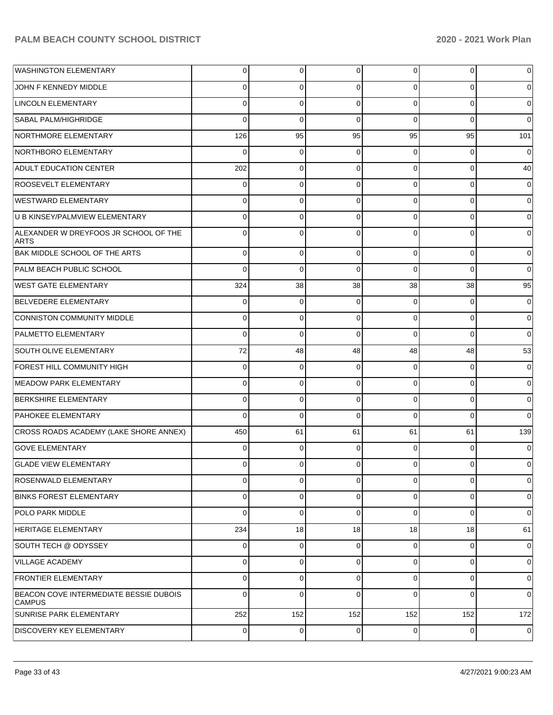| <b>WASHINGTON ELEMENTARY</b>                            | 0            | $\overline{0}$ | 0           | $\Omega$       | 0        | 0              |
|---------------------------------------------------------|--------------|----------------|-------------|----------------|----------|----------------|
| JOHN F KENNEDY MIDDLE                                   | 0            | 0              | 0           | $\Omega$       | $\Omega$ | 0              |
| <b>LINCOLN ELEMENTARY</b>                               | 0            | $\mathbf 0$    | $\Omega$    | $\Omega$       | $\Omega$ | 0              |
| SABAL PALM/HIGHRIDGE                                    | 0            | $\mathbf 0$    | 0           | $\Omega$       | $\Omega$ | 0              |
| <b>NORTHMORE ELEMENTARY</b>                             | 126          | 95             | 95          | 95             | 95       | 101            |
| NORTHBORO ELEMENTARY                                    | $\Omega$     | 0              | 0           | $\Omega$       | $\Omega$ | 0              |
| <b>ADULT EDUCATION CENTER</b>                           | 202          | $\mathbf 0$    | $\Omega$    | $\Omega$       | $\Omega$ | 40             |
| <b>ROOSEVELT ELEMENTARY</b>                             | 0            | 0              | 0           | $\Omega$       | $\Omega$ | 0              |
| <b>WESTWARD ELEMENTARY</b>                              | 0            | 0              | $\Omega$    | $\Omega$       | $\Omega$ | $\Omega$       |
| U B KINSEY/PALMVIEW ELEMENTARY                          | 0            | 0              | 0           | $\Omega$       | $\Omega$ | 0              |
| ALEXANDER W DREYFOOS JR SCHOOL OF THE<br><b>ARTS</b>    | <sup>0</sup> | 0              | $\Omega$    | $\Omega$       | $\Omega$ | $\Omega$       |
| BAK MIDDLE SCHOOL OF THE ARTS                           | 0            | 0              | $\Omega$    | 0              | $\Omega$ | 0              |
| PALM BEACH PUBLIC SCHOOL                                | $\Omega$     | $\mathbf 0$    | $\Omega$    | $\Omega$       | 0        | $\Omega$       |
| <b>WEST GATE ELEMENTARY</b>                             | 324          | 38             | 38          | 38             | 38       | 95             |
| BELVEDERE ELEMENTARY                                    | 0            | $\mathbf 0$    | $\mathbf 0$ | $\Omega$       | $\Omega$ | $\overline{0}$ |
| CONNISTON COMMUNITY MIDDLE                              | 0            | 0              | $\Omega$    | 0              | $\Omega$ | $\overline{0}$ |
| PALMETTO ELEMENTARY                                     | 0            | $\mathbf 0$    | $\Omega$    | $\Omega$       | 0        | $\Omega$       |
| <b>SOUTH OLIVE ELEMENTARY</b>                           | 72           | 48             | 48          | 48             | 48       | 53             |
| <b>FOREST HILL COMMUNITY HIGH</b>                       | 0            | $\mathbf 0$    | $\mathbf 0$ | 0              | $\Omega$ | $\overline{0}$ |
| MEADOW PARK ELEMENTARY                                  | 0            | 0              | $\Omega$    | 0              | $\Omega$ | $\overline{0}$ |
| <b>BERKSHIRE ELEMENTARY</b>                             | 0            | 0              | 0           | 0              | $\Omega$ | $\overline{0}$ |
| <b>PAHOKEE ELEMENTARY</b>                               | $\Omega$     | $\Omega$       | $\Omega$    | $\Omega$       | $\Omega$ | $\Omega$       |
| CROSS ROADS ACADEMY (LAKE SHORE ANNEX)                  | 450          | 61             | 61          | 61             | 61       | 139            |
| <b>GOVE ELEMENTARY</b>                                  | $\Omega$     | 0              | $\Omega$    | 0              | $\Omega$ | $\Omega$       |
| <b>GLADE VIEW ELEMENTARY</b>                            | 0            | 0              | 0           | 0              | 0        | $\overline{0}$ |
| <b>ROSENWALD ELEMENTARY</b>                             | $\Omega$     | 0              | $\Omega$    | 0              | $\Omega$ | $\overline{0}$ |
| <b>BINKS FOREST ELEMENTARY</b>                          | 0            | $\mathbf 0$    | $\mathbf 0$ | $\Omega$       | $\Omega$ | $\overline{0}$ |
| <b>POLO PARK MIDDLE</b>                                 | $\Omega$     | $\mathbf 0$    | $\Omega$    | 0              | $\Omega$ | $\overline{0}$ |
| <b>HERITAGE ELEMENTARY</b>                              | 234          | 18             | 18          | 18             | 18       | 61             |
| SOUTH TECH @ ODYSSEY                                    | 0            | $\mathbf 0$    | $\Omega$    | $\Omega$       | $\Omega$ | $\overline{0}$ |
| VILLAGE ACADEMY                                         | 0            | $\mathbf 0$    | $\Omega$    | $\Omega$       | $\Omega$ | $\overline{0}$ |
| <b>FRONTIER ELEMENTARY</b>                              | $\Omega$     | $\mathbf 0$    | $\Omega$    | 0              | $\Omega$ | $\overline{0}$ |
| BEACON COVE INTERMEDIATE BESSIE DUBOIS<br><b>CAMPUS</b> | $\Omega$     | 0              | $\Omega$    | 0              | $\Omega$ | $\overline{0}$ |
| <b>SUNRISE PARK ELEMENTARY</b>                          | 252          | 152            | 152         | 152            | 152      | 172            |
| <b>DISCOVERY KEY ELEMENTARY</b>                         | 0            | $\mathbf 0$    | 0           | $\overline{0}$ | 0        | 0              |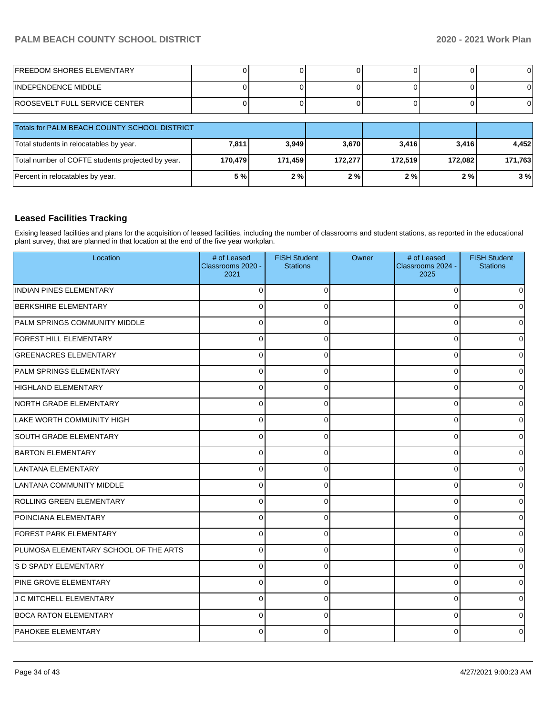| <b>IFREEDOM SHORES ELEMENTARY</b>     |  |  |  |
|---------------------------------------|--|--|--|
| <b>INDEPENDENCE MIDDLE</b>            |  |  |  |
| <b>IROOSEVELT FULL SERVICE CENTER</b> |  |  |  |

| <b>Totals for PALM BEACH COUNTY SCHOOL DISTRICT</b> |         |         |         |         |         |         |
|-----------------------------------------------------|---------|---------|---------|---------|---------|---------|
| Total students in relocatables by year.             | 7,811   | 3.949   | 3,670   | 3.416   | 3,416   | 4.452   |
| Total number of COFTE students projected by year.   | 170.479 | 171.459 | 172.277 | 172.519 | 172.082 | 171,763 |
| Percent in relocatables by year.                    | 5 %     | 2%      | 2%      | 2%      | 2 % l   | 3%      |

#### **Leased Facilities Tracking**

Exising leased facilities and plans for the acquisition of leased facilities, including the number of classrooms and student stations, as reported in the educational plant survey, that are planned in that location at the end of the five year workplan.

| Location                              | # of Leased<br>Classrooms 2020 -<br>2021 | <b>FISH Student</b><br><b>Stations</b> | Owner | # of Leased<br>Classrooms 2024 -<br>2025 | <b>FISH Student</b><br><b>Stations</b> |
|---------------------------------------|------------------------------------------|----------------------------------------|-------|------------------------------------------|----------------------------------------|
| <b>INDIAN PINES ELEMENTARY</b>        | $\Omega$                                 | $\Omega$                               |       | $\Omega$                                 | 0                                      |
| <b>BERKSHIRE ELEMENTARY</b>           | $\Omega$                                 | $\Omega$                               |       | $\Omega$                                 | 0                                      |
| PALM SPRINGS COMMUNITY MIDDLE         | $\Omega$                                 | $\mathbf 0$                            |       | $\Omega$                                 | 0                                      |
| <b>FOREST HILL ELEMENTARY</b>         | $\Omega$                                 | $\Omega$                               |       | $\Omega$                                 | $\mathbf 0$                            |
| <b>GREENACRES ELEMENTARY</b>          | $\Omega$                                 | $\Omega$                               |       | $\Omega$                                 | 0                                      |
| <b>PALM SPRINGS ELEMENTARY</b>        | $\Omega$                                 | $\Omega$                               |       | 0                                        | 0                                      |
| <b>HIGHLAND ELEMENTARY</b>            | $\Omega$                                 | $\Omega$                               |       | $\Omega$                                 | $\Omega$                               |
| NORTH GRADE ELEMENTARY                | $\Omega$                                 | ∩                                      |       | n                                        | $\overline{0}$                         |
| LAKE WORTH COMMUNITY HIGH             | $\Omega$                                 | $\Omega$                               |       | $\Omega$                                 | $\Omega$                               |
| <b>SOUTH GRADE ELEMENTARY</b>         | $\Omega$                                 | $\Omega$                               |       | $\Omega$                                 | $\Omega$                               |
| <b>BARTON ELEMENTARY</b>              | $\Omega$                                 | $\Omega$                               |       | $\Omega$                                 | 0                                      |
| LANTANA ELEMENTARY                    | $\Omega$                                 | $\Omega$                               |       | $\Omega$                                 | $\overline{0}$                         |
| LANTANA COMMUNITY MIDDLE              | $\mathbf 0$                              | $\Omega$                               |       | $\Omega$                                 | 0                                      |
| <b>ROLLING GREEN ELEMENTARY</b>       | $\Omega$                                 | $\Omega$                               |       | $\Omega$                                 | $\overline{0}$                         |
| POINCIANA ELEMENTARY                  | $\Omega$                                 | $\Omega$                               |       | 0                                        | 0                                      |
| <b>FOREST PARK ELEMENTARY</b>         | $\Omega$                                 | $\Omega$                               |       | 0                                        | $\overline{0}$                         |
| PLUMOSA ELEMENTARY SCHOOL OF THE ARTS | $\mathbf 0$                              | $\Omega$                               |       | $\Omega$                                 | $\overline{0}$                         |
| S D SPADY ELEMENTARY                  | $\Omega$                                 | $\Omega$                               |       | $\Omega$                                 | $\overline{0}$                         |
| PINE GROVE ELEMENTARY                 | $\Omega$                                 | $\Omega$                               |       | $\Omega$                                 | $\Omega$                               |
| J C MITCHELL ELEMENTARY               | $\Omega$                                 | $\mathbf{0}$                           |       | $\Omega$                                 | 0                                      |
| <b>BOCA RATON ELEMENTARY</b>          | $\Omega$                                 | $\Omega$                               |       | $\Omega$                                 | 0                                      |
| <b>PAHOKEE ELEMENTARY</b>             | <sup>0</sup>                             | 0                                      |       |                                          | 0                                      |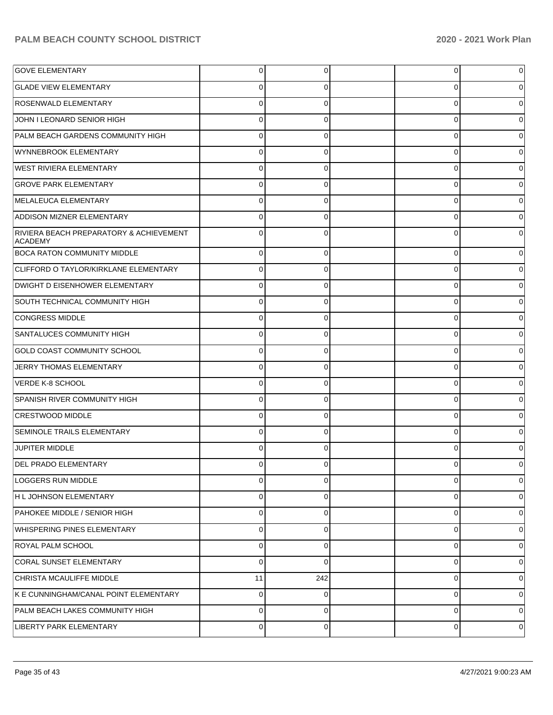| <b>GOVE ELEMENTARY</b>                              | 0           | 0        | $\overline{0}$ | <sup>0</sup> |
|-----------------------------------------------------|-------------|----------|----------------|--------------|
| <b>GLADE VIEW ELEMENTARY</b>                        | 0           | O        | 0              |              |
| <b>ROSENWALD ELEMENTARY</b>                         | $\Omega$    |          | 0              |              |
| JOHN I LEONARD SENIOR HIGH                          | 0           | 0        | 0              |              |
| PALM BEACH GARDENS COMMUNITY HIGH                   | $\Omega$    | 0        | 0              |              |
| WYNNEBROOK ELEMENTARY                               | 0           | 0        | 0              |              |
| <b>WEST RIVIERA ELEMENTARY</b>                      | $\Omega$    | 0        | 0              |              |
| <b>GROVE PARK ELEMENTARY</b>                        | 0           | 0        | 0              |              |
| MELALEUCA ELEMENTARY                                | $\Omega$    | 0        | 0              |              |
| <b>ADDISON MIZNER ELEMENTARY</b>                    | 0           | 0        | 0              |              |
| RIVIERA BEACH PREPARATORY & ACHIEVEMENT<br> ACADEMY | 0           |          | 0              |              |
| <b>BOCA RATON COMMUNITY MIDDLE</b>                  | 0           | 0        | 0              |              |
| CLIFFORD O TAYLOR/KIRKLANE ELEMENTARY               | 0           | 0        | 0              | 0            |
| <b>DWIGHT D EISENHOWER ELEMENTARY</b>               | 0           | 0        | 0              |              |
| SOUTH TECHNICAL COMMUNITY HIGH                      | 0           | 0        | 0              | 0            |
| <b>CONGRESS MIDDLE</b>                              | 0           | 0        | 0              |              |
| SANTALUCES COMMUNITY HIGH                           | 0           | 0        | 0              | 0            |
| <b>GOLD COAST COMMUNITY SCHOOL</b>                  | 0           | 0        | 0              |              |
| JERRY THOMAS ELEMENTARY                             | 0           | 0        | 0              | 0            |
| VERDE K-8 SCHOOL                                    | 0           | 0        | 0              |              |
| <b>SPANISH RIVER COMMUNITY HIGH</b>                 | 0           | 0        | 0              | 0            |
| <b>CRESTWOOD MIDDLE</b>                             | 0           | 0        | 0              |              |
| <b>SEMINOLE TRAILS ELEMENTARY</b>                   | 0           | 0        | 0              | 0            |
| <b>JUPITER MIDDLE</b>                               | 0           | 0        | 0              |              |
| DEL PRADO ELEMENTARY                                | 0           | 0        | $\overline{0}$ | 0            |
| LOGGERS RUN MIDDLE                                  | 0           | 0        | 0              | 0            |
| H L JOHNSON ELEMENTARY                              | $\mathbf 0$ | 0        | 0              | 0            |
| PAHOKEE MIDDLE / SENIOR HIGH                        | 0           | 0        | 0              | $\mathbf 0$  |
| <b>WHISPERING PINES ELEMENTARY</b>                  | 0           | $\Omega$ | 0              | 0            |
| <b>ROYAL PALM SCHOOL</b>                            | 0           | 0        | 0              | 0            |
| CORAL SUNSET ELEMENTARY                             | $\mathbf 0$ | $\Omega$ | 0              | 0            |
| CHRISTA MCAULIFFE MIDDLE                            | 11          | 242      | 0              | 0            |
| K E CUNNINGHAM/CANAL POINT ELEMENTARY               | 0           | $\Omega$ | 0              | 0            |
| PALM BEACH LAKES COMMUNITY HIGH                     | 0           | 0        | $\mathbf 0$    | $\mathbf 0$  |
| LIBERTY PARK ELEMENTARY                             | 0           | $\Omega$ | $\mathbf 0$    | $\Omega$     |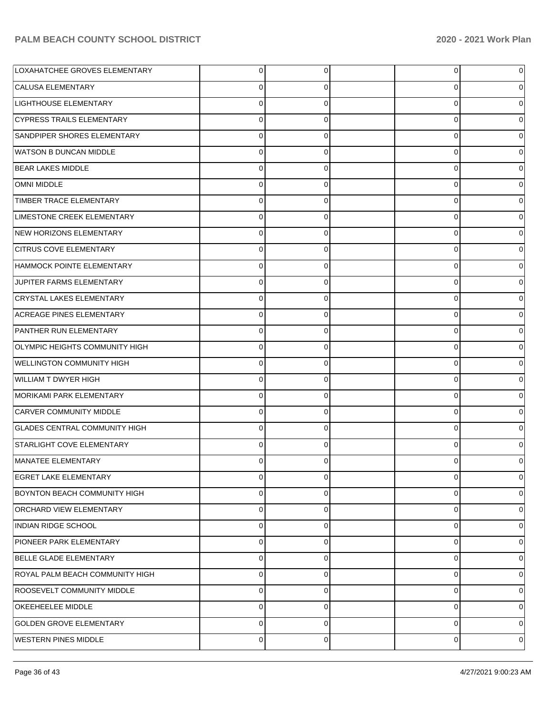| LOXAHATCHEE GROVES ELEMENTARY        | $\overline{0}$ | $\Omega$ | 0 | $\overline{0}$ |
|--------------------------------------|----------------|----------|---|----------------|
| <b>CALUSA ELEMENTARY</b>             | 0              | 0        | O | 0              |
| <b>LIGHTHOUSE ELEMENTARY</b>         | 0              | $\Omega$ | 0 | 0              |
| <b>CYPRESS TRAILS ELEMENTARY</b>     | 0              | $\Omega$ | 0 | 0              |
| SANDPIPER SHORES ELEMENTARY          | 0              | 0        | 0 | 0              |
| <b>WATSON B DUNCAN MIDDLE</b>        | 0              | $\Omega$ | 0 | 0              |
| <b>BEAR LAKES MIDDLE</b>             | 0              | $\Omega$ | 0 | 0              |
| <b>OMNI MIDDLE</b>                   | 0              | $\Omega$ | 0 | 0              |
| TIMBER TRACE ELEMENTARY              | 0              | $\Omega$ | 0 | 0              |
| LIMESTONE CREEK ELEMENTARY           | 0              | $\Omega$ | 0 | 0              |
| NEW HORIZONS ELEMENTARY              | 0              | 0        | 0 | 0              |
| <b>CITRUS COVE ELEMENTARY</b>        | 0              | $\Omega$ | 0 | 0              |
| HAMMOCK POINTE ELEMENTARY            | 0              | 0        | 0 | 0              |
| JUPITER FARMS ELEMENTARY             | 0              | $\Omega$ | 0 | 0              |
| <b>CRYSTAL LAKES ELEMENTARY</b>      | 0              | $\Omega$ | 0 | 0              |
| <b>ACREAGE PINES ELEMENTARY</b>      | 0              | $\Omega$ | 0 | 0              |
| PANTHER RUN ELEMENTARY               | 0              | 0        | 0 | 0              |
| OLYMPIC HEIGHTS COMMUNITY HIGH       | 0              | $\Omega$ | 0 | 0              |
| <b>WELLINGTON COMMUNITY HIGH</b>     | 0              | 0        | 0 | 0              |
| WILLIAM T DWYER HIGH                 | 0              | $\Omega$ | 0 | 0              |
| MORIKAMI PARK ELEMENTARY             | 0              | $\Omega$ | 0 | 0              |
| <b>CARVER COMMUNITY MIDDLE</b>       | 0              | $\Omega$ | 0 | 0              |
| <b>GLADES CENTRAL COMMUNITY HIGH</b> | 0              | 0        | 0 | 0              |
| STARLIGHT COVE ELEMENTARY            | 0              | $\Omega$ | 0 | 0              |
| MANATEE ELEMENTARY                   | 0              | 0        |   | 0              |
| <b>EGRET LAKE ELEMENTARY</b>         | 0              | $\Omega$ | 0 | 0              |
| <b>BOYNTON BEACH COMMUNITY HIGH</b>  | 0              | $\Omega$ | 0 | $\overline{0}$ |
| ORCHARD VIEW ELEMENTARY              | $\overline{0}$ | $\Omega$ | 0 | $\overline{0}$ |
| <b>INDIAN RIDGE SCHOOL</b>           | $\mathbf 0$    | $\Omega$ | 0 | $\overline{0}$ |
| <b>PIONEER PARK ELEMENTARY</b>       | 0              | $\Omega$ | 0 | $\overline{0}$ |
| <b>BELLE GLADE ELEMENTARY</b>        | $\overline{0}$ | $\Omega$ | 0 | $\overline{0}$ |
| ROYAL PALM BEACH COMMUNITY HIGH      | $\overline{0}$ | $\Omega$ | 0 | $\overline{0}$ |
| ROOSEVELT COMMUNITY MIDDLE           | $\overline{0}$ | $\Omega$ | 0 | $\overline{0}$ |
| OKEEHEELEE MIDDLE                    | 0              | $\Omega$ | 0 | $\overline{0}$ |
| <b>GOLDEN GROVE ELEMENTARY</b>       | $\overline{0}$ | $\Omega$ | 0 | $\overline{0}$ |
| <b>WESTERN PINES MIDDLE</b>          | $\overline{0}$ | 0        | 0 | 0              |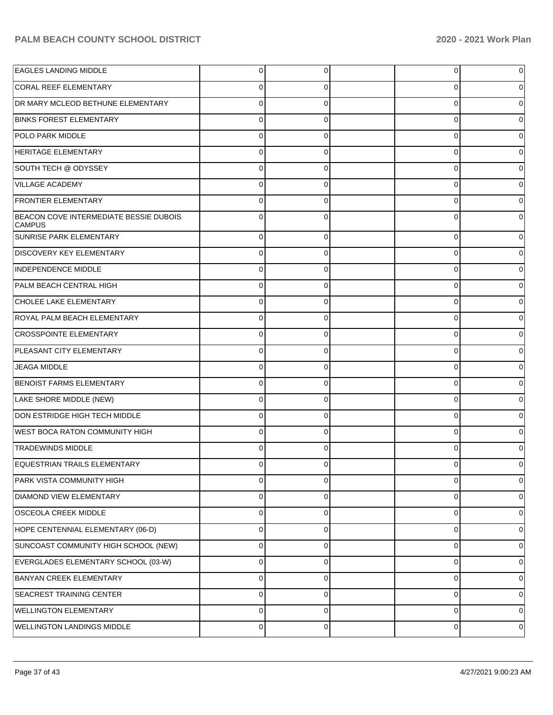| EAGLES LANDING MIDDLE                                   | $\Omega$    | 0        | 0        | 0 |
|---------------------------------------------------------|-------------|----------|----------|---|
| CORAL REEF ELEMENTARY                                   | 0           |          | 0        |   |
| DR MARY MCLEOD BETHUNE ELEMENTARY                       | $\Omega$    |          | 0        |   |
| <b>BINKS FOREST ELEMENTARY</b>                          | 0           |          | 0        |   |
| POLO PARK MIDDLE                                        | 0           |          | 0        |   |
| <b>HERITAGE ELEMENTARY</b>                              | 0           | 0        | 0        |   |
| SOUTH TECH @ ODYSSEY                                    | $\Omega$    |          | 0        |   |
| VILLAGE ACADEMY                                         | 0           |          | 0        |   |
| FRONTIER ELEMENTARY                                     | 0           |          | 0        |   |
| BEACON COVE INTERMEDIATE BESSIE DUBOIS<br><b>CAMPUS</b> | $\Omega$    |          | 0        |   |
| <b>SUNRISE PARK ELEMENTARY</b>                          | $\Omega$    | 0        | 0        |   |
| <b>DISCOVERY KEY ELEMENTARY</b>                         | $\Omega$    | $\Omega$ | $\Omega$ |   |
| <b>INDEPENDENCE MIDDLE</b>                              | $\Omega$    | 0        | 0        |   |
| PALM BEACH CENTRAL HIGH                                 | $\Omega$    | 0        | $\Omega$ |   |
| CHOLEE LAKE ELEMENTARY                                  | $\Omega$    | 0        | $\Omega$ | ი |
| ROYAL PALM BEACH ELEMENTARY                             | $\Omega$    | $\Omega$ | $\Omega$ |   |
| CROSSPOINTE ELEMENTARY                                  | $\Omega$    | 0        | 0        | ი |
| PLEASANT CITY ELEMENTARY                                | $\Omega$    | 0        | $\Omega$ |   |
| <b>JEAGA MIDDLE</b>                                     | $\Omega$    | 0        | $\Omega$ | ი |
| <b>BENOIST FARMS ELEMENTARY</b>                         | $\Omega$    | $\Omega$ | $\Omega$ |   |
| LAKE SHORE MIDDLE (NEW)                                 | $\Omega$    | 0        | $\Omega$ | ი |
| DON ESTRIDGE HIGH TECH MIDDLE                           | 0           | $\Omega$ | $\Omega$ |   |
| WEST BOCA RATON COMMUNITY HIGH                          | $\Omega$    | 0        | $\Omega$ | ი |
| <b>TRADEWINDS MIDDLE</b>                                | $\Omega$    |          | 0        |   |
| <b>EQUESTRIAN TRAILS ELEMENTARY</b>                     | 0           | $\Omega$ | 0        | 0 |
| PARK VISTA COMMUNITY HIGH                               | 0           | $\Omega$ | 0        | 0 |
| DIAMOND VIEW ELEMENTARY                                 | $\mathbf 0$ | $\Omega$ | 0        | 0 |
| <b>OSCEOLA CREEK MIDDLE</b>                             | $\mathbf 0$ | $\Omega$ | 0        | 0 |
| HOPE CENTENNIAL ELEMENTARY (06-D)                       | $\mathbf 0$ | $\Omega$ | 0        | 0 |
| SUNCOAST COMMUNITY HIGH SCHOOL (NEW)                    | $\mathbf 0$ | $\Omega$ | 0        | 0 |
| EVERGLADES ELEMENTARY SCHOOL (03-W)                     | $\mathbf 0$ | $\Omega$ | 0        | 0 |
| <b>BANYAN CREEK ELEMENTARY</b>                          | $\mathbf 0$ | $\Omega$ | 0        | 0 |
| SEACREST TRAINING CENTER                                | $\mathbf 0$ | $\Omega$ | 0        | 0 |
| <b>WELLINGTON ELEMENTARY</b>                            | $\mathbf 0$ | $\Omega$ | 0        | 0 |
| <b>WELLINGTON LANDINGS MIDDLE</b>                       | $\mathbf 0$ | 0        | 0        | 0 |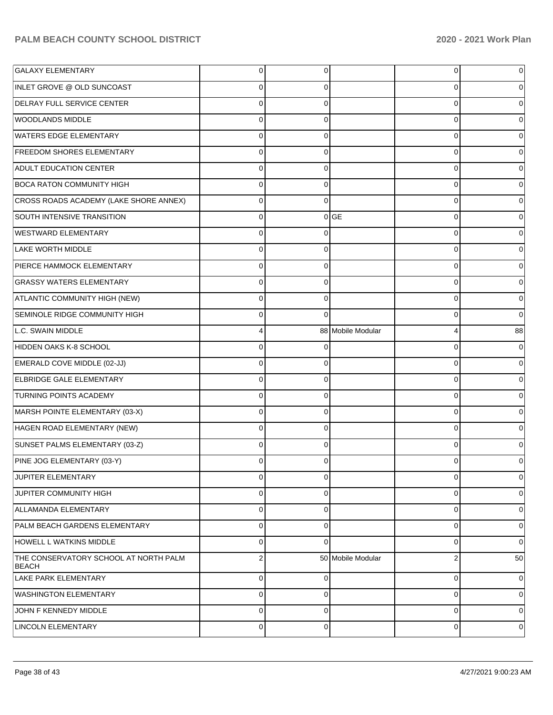| <b>GALAXY ELEMENTARY</b>                              | $\Omega$       | $\Omega$    |                   | 0              | 0              |
|-------------------------------------------------------|----------------|-------------|-------------------|----------------|----------------|
| INLET GROVE @ OLD SUNCOAST                            | $\Omega$       | 0           |                   | O              | 0              |
| <b>DELRAY FULL SERVICE CENTER</b>                     | $\Omega$       | $\Omega$    |                   | 0              |                |
| WOODLANDS MIDDLE                                      | $\Omega$       | $\Omega$    |                   | 0              | 0              |
| <b>WATERS EDGE ELEMENTARY</b>                         | $\Omega$       | $\Omega$    |                   | 0              |                |
| <b>FREEDOM SHORES ELEMENTARY</b>                      | $\Omega$       | $\Omega$    |                   | 0              | O              |
| <b>ADULT EDUCATION CENTER</b>                         | $\Omega$       | $\Omega$    |                   | 0              |                |
| <b>BOCA RATON COMMUNITY HIGH</b>                      | $\Omega$       | 0           |                   | 0              | O              |
| CROSS ROADS ACADEMY (LAKE SHORE ANNEX)                | $\Omega$       | $\Omega$    |                   | 0              | O              |
| SOUTH INTENSIVE TRANSITION                            | $\Omega$       |             | $0$ GE            | 0              | 0              |
| <b>WESTWARD ELEMENTARY</b>                            | $\Omega$       | C           |                   | 0              |                |
| LAKE WORTH MIDDLE                                     | $\Omega$       | $\Omega$    |                   | 0              | 0              |
| PIERCE HAMMOCK ELEMENTARY                             | $\Omega$       | $\Omega$    |                   | 0              | O              |
| <b>GRASSY WATERS ELEMENTARY</b>                       | $\Omega$       | $\Omega$    |                   | 0              | 0              |
| ATLANTIC COMMUNITY HIGH (NEW)                         | $\Omega$       | $\Omega$    |                   | 0              | 0              |
| SEMINOLE RIDGE COMMUNITY HIGH                         | $\Omega$       | $\Omega$    |                   | 0              | 0              |
| L.C. SWAIN MIDDLE                                     | 4              |             | 88 Mobile Modular |                | 88             |
| HIDDEN OAKS K-8 SCHOOL                                | $\Omega$       | ∩           |                   | 0              | 0              |
| EMERALD COVE MIDDLE (02-JJ)                           | $\Omega$       | 0           |                   | U              | O              |
| <b>ELBRIDGE GALE ELEMENTARY</b>                       | $\Omega$       | $\Omega$    |                   | 0              | 0              |
| TURNING POINTS ACADEMY                                | $\Omega$       | 0           |                   | 0              | 0              |
| MARSH POINTE ELEMENTARY (03-X)                        | $\Omega$       | $\Omega$    |                   | 0              | 0              |
| HAGEN ROAD ELEMENTARY (NEW)                           | $\Omega$       | $\Omega$    |                   | 0              |                |
| SUNSET PALMS ELEMENTARY (03-Z)                        | $\Omega$       | 0           |                   | 0              | O              |
| PINE JOG ELEMENTARY (03-Y)                            | 0              |             |                   |                | 0              |
| <b>JUPITER ELEMENTARY</b>                             | $\mathbf 0$    | $\mathbf 0$ |                   | 0              | $\overline{0}$ |
| JUPITER COMMUNITY HIGH                                | $\mathbf 0$    | 0           |                   | 0              | $\overline{0}$ |
| ALLAMANDA ELEMENTARY                                  | $\mathbf 0$    | 0           |                   | 0              | $\overline{0}$ |
| PALM BEACH GARDENS ELEMENTARY                         | $\mathbf 0$    | 0           |                   | 0              | $\overline{0}$ |
| <b>HOWELL L WATKINS MIDDLE</b>                        | $\Omega$       | $\Omega$    |                   | 0              | $\overline{0}$ |
| THE CONSERVATORY SCHOOL AT NORTH PALM<br><b>BEACH</b> | $\overline{2}$ |             | 50 Mobile Modular | $\overline{c}$ | 50             |
| LAKE PARK ELEMENTARY                                  | $\mathbf 0$    | $\Omega$    |                   | 0              | $\overline{0}$ |
| <b>WASHINGTON ELEMENTARY</b>                          | $\Omega$       | $\Omega$    |                   | $\Omega$       | $\overline{0}$ |
| JOHN F KENNEDY MIDDLE                                 | $\Omega$       | $\Omega$    |                   | 0              | $\overline{0}$ |
| LINCOLN ELEMENTARY                                    | $\mathbf 0$    | 0           |                   | 0              | 0              |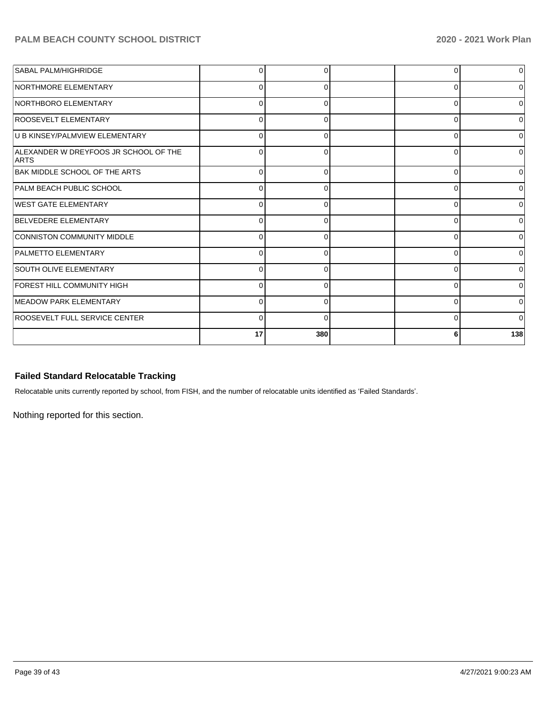| <b>SABAL PALM/HIGHRIDGE</b>                          |          | ∩        | 0        | $\Omega$     |
|------------------------------------------------------|----------|----------|----------|--------------|
| NORTHMORE ELEMENTARY                                 | 0        |          | $\Omega$ |              |
| NORTHBORO ELEMENTARY                                 | 0        | O        | $\Omega$ |              |
| ROOSEVELT ELEMENTARY                                 | $\Omega$ | ∩        | $\Omega$ | <sup>0</sup> |
| U B KINSEY/PALMVIEW ELEMENTARY                       | $\Omega$ |          | $\Omega$ |              |
| ALEXANDER W DREYFOOS JR SCHOOL OF THE<br><b>ARTS</b> | $\Omega$ | 0        | $\Omega$ |              |
| BAK MIDDLE SCHOOL OF THE ARTS                        | $\Omega$ | ∩        | $\Omega$ | $\Omega$     |
| PALM BEACH PUBLIC SCHOOL                             | $\Omega$ |          | $\Omega$ |              |
| <b>WEST GATE ELEMENTARY</b>                          | $\Omega$ |          | $\Omega$ |              |
| BELVEDERE ELEMENTARY                                 | $\Omega$ | 0        | $\Omega$ | 0            |
| CONNISTON COMMUNITY MIDDLE                           | 0        | ∩        | $\Omega$ |              |
| <b>PALMETTO ELEMENTARY</b>                           | 0        | ∩        | $\Omega$ |              |
| SOUTH OLIVE ELEMENTARY                               | $\Omega$ |          | $\Omega$ |              |
| FOREST HILL COMMUNITY HIGH                           | U        |          | $\Omega$ |              |
| <b>IMEADOW PARK ELEMENTARY</b>                       | 0        | 0        | $\Omega$ | $\Omega$     |
| ROOSEVELT FULL SERVICE CENTER                        | $\Omega$ | $\Omega$ | $\Omega$ | $\Omega$     |
|                                                      | 17       | 380      | 6        | 138          |

## **Failed Standard Relocatable Tracking**

Relocatable units currently reported by school, from FISH, and the number of relocatable units identified as 'Failed Standards'.

Nothing reported for this section.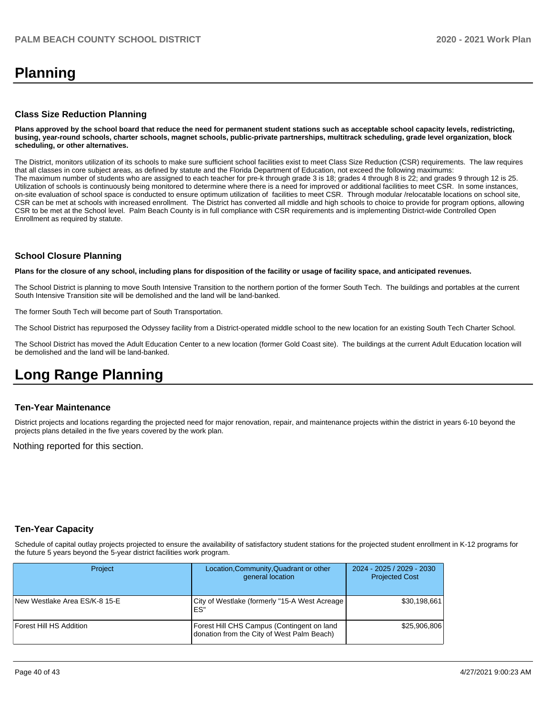# **Planning**

#### **Class Size Reduction Planning**

**Plans approved by the school board that reduce the need for permanent student stations such as acceptable school capacity levels, redistricting, busing, year-round schools, charter schools, magnet schools, public-private partnerships, multitrack scheduling, grade level organization, block scheduling, or other alternatives.**

The District, monitors utilization of its schools to make sure sufficient school facilities exist to meet Class Size Reduction (CSR) requirements. The law requires that all classes in core subject areas, as defined by statute and the Florida Department of Education, not exceed the following maximums: The maximum number of students who are assigned to each teacher for pre-k through grade 3 is 18; grades 4 through 8 is 22; and grades 9 through 12 is 25. Utilization of schools is continuously being monitored to determine where there is a need for improved or additional facilities to meet CSR. In some instances, on-site evaluation of school space is conducted to ensure optimum utilization of facilities to meet CSR. Through modular /relocatable locations on school site, CSR can be met at schools with increased enrollment. The District has converted all middle and high schools to choice to provide for program options, allowing CSR to be met at the School level. Palm Beach County is in full compliance with CSR requirements and is implementing District-wide Controlled Open Enrollment as required by statute.

#### **School Closure Planning**

**Plans for the closure of any school, including plans for disposition of the facility or usage of facility space, and anticipated revenues.** 

The School District is planning to move South Intensive Transition to the northern portion of the former South Tech. The buildings and portables at the current South Intensive Transition site will be demolished and the land will be land-banked.

The former South Tech will become part of South Transportation.

The School District has repurposed the Odyssey facility from a District-operated middle school to the new location for an existing South Tech Charter School.

The School District has moved the Adult Education Center to a new location (former Gold Coast site). The buildings at the current Adult Education location will be demolished and the land will be land-banked.

## **Long Range Planning**

#### **Ten-Year Maintenance**

District projects and locations regarding the projected need for major renovation, repair, and maintenance projects within the district in years 6-10 beyond the projects plans detailed in the five years covered by the work plan.

Nothing reported for this section.

#### **Ten-Year Capacity**

Schedule of capital outlay projects projected to ensure the availability of satisfactory student stations for the projected student enrollment in K-12 programs for the future 5 years beyond the 5-year district facilities work program.

| <b>Project</b>                | Location, Community, Quadrant or other<br>general location                               | 2024 - 2025 / 2029 - 2030<br><b>Projected Cost</b> |
|-------------------------------|------------------------------------------------------------------------------------------|----------------------------------------------------|
| New Westlake Area ES/K-8 15-E | City of Westlake (formerly "15-A West Acreage<br>ES"                                     | \$30,198,661                                       |
| l Forest Hill HS Addition     | Forest Hill CHS Campus (Contingent on land<br>donation from the City of West Palm Beach) | \$25,906,806                                       |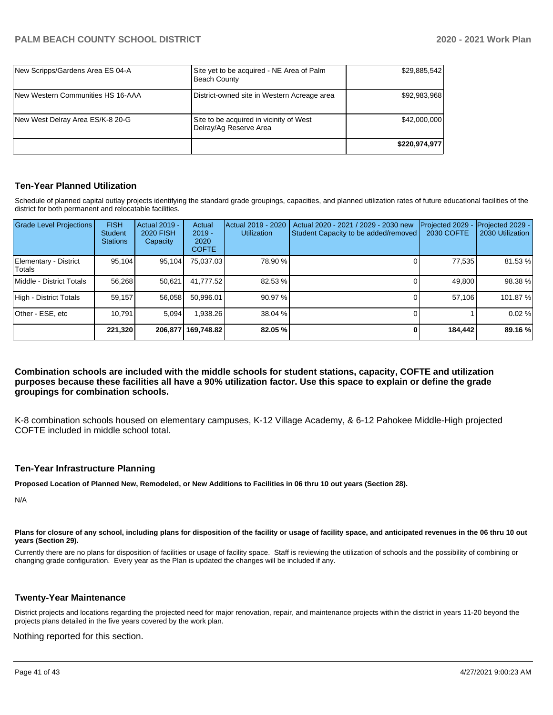| New Scripps/Gardens Area ES 04-A  | Site yet to be acquired - NE Area of Palm<br><b>Beach County</b>  | \$29,885,542  |
|-----------------------------------|-------------------------------------------------------------------|---------------|
| New Western Communities HS 16-AAA | District-owned site in Western Acreage area                       | \$92,983,968  |
| New West Delray Area ES/K-8 20-G  | Site to be acquired in vicinity of West<br>Delray/Ag Reserve Area | \$42,000,000  |
|                                   |                                                                   | \$220,974,977 |

#### **Ten-Year Planned Utilization**

Schedule of planned capital outlay projects identifying the standard grade groupings, capacities, and planned utilization rates of future educational facilities of the district for both permanent and relocatable facilities.

| <b>Grade Level Projections</b>  | <b>FISH</b><br><b>Student</b><br><b>Stations</b> | Actual 2019 -<br><b>2020 FISH</b><br>Capacity | Actual<br>$2019 -$<br>2020<br><b>COFTE</b> | Actual 2019 - 2020<br><b>Utilization</b> | Actual 2020 - 2021 / 2029 - 2030 new<br>Student Capacity to be added/removed | Projected 2029<br>2030 COFTE | Projected 2029 -<br>2030 Utilization |
|---------------------------------|--------------------------------------------------|-----------------------------------------------|--------------------------------------------|------------------------------------------|------------------------------------------------------------------------------|------------------------------|--------------------------------------|
| Elementary - District<br>Totals | 95,104                                           | 95,104                                        | 75,037.03                                  | 78.90 %                                  |                                                                              | 77,535                       | 81.53 %                              |
| Middle - District Totals        | 56,268                                           | 50.621                                        | 41,777.52                                  | 82.53 %                                  |                                                                              | 49.800                       | 98.38 %                              |
| High - District Totals          | 59.157                                           | 56,058                                        | 50.996.01                                  | 90.97 %                                  |                                                                              | 57.106                       | 101.87%                              |
| Other - ESE. etc                | 10.791                                           | 5.094                                         | 1.938.26                                   | 38.04 %                                  |                                                                              |                              | 0.02%                                |
|                                 | 221,320                                          | 206.877                                       | 169.748.82                                 | 82.05 %                                  |                                                                              | 184.442                      | 89.16%                               |

**Combination schools are included with the middle schools for student stations, capacity, COFTE and utilization purposes because these facilities all have a 90% utilization factor. Use this space to explain or define the grade groupings for combination schools.** 

K-8 combination schools housed on elementary campuses, K-12 Village Academy, & 6-12 Pahokee Middle-High projected COFTE included in middle school total.

#### **Ten-Year Infrastructure Planning**

**Proposed Location of Planned New, Remodeled, or New Additions to Facilities in 06 thru 10 out years (Section 28).**

N/A

Plans for closure of any school, including plans for disposition of the facility or usage of facility space, and anticipated revenues in the 06 thru 10 out **years (Section 29).**

Currently there are no plans for disposition of facilities or usage of facility space. Staff is reviewing the utilization of schools and the possibility of combining or changing grade configuration. Every year as the Plan is updated the changes will be included if any.

#### **Twenty-Year Maintenance**

District projects and locations regarding the projected need for major renovation, repair, and maintenance projects within the district in years 11-20 beyond the projects plans detailed in the five years covered by the work plan.

Nothing reported for this section.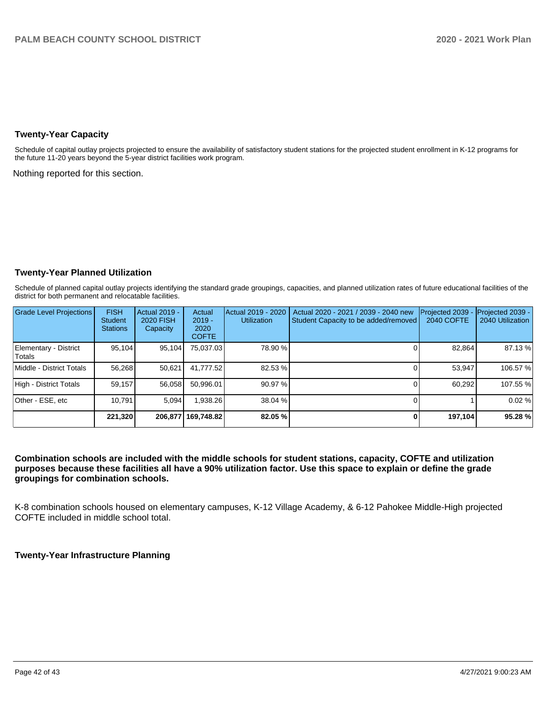#### **Twenty-Year Capacity**

Schedule of capital outlay projects projected to ensure the availability of satisfactory student stations for the projected student enrollment in K-12 programs for the future 11-20 years beyond the 5-year district facilities work program.

Nothing reported for this section.

#### **Twenty-Year Planned Utilization**

Schedule of planned capital outlay projects identifying the standard grade groupings, capacities, and planned utilization rates of future educational facilities of the district for both permanent and relocatable facilities.

| Grade Level Projections         | <b>FISH</b><br><b>Student</b><br><b>Stations</b> | Actual 2019 -<br><b>2020 FISH</b><br>Capacity | Actual<br>$2019 -$<br>2020<br><b>COFTE</b> | Actual 2019 - 2020<br><b>Utilization</b> | Actual 2020 - 2021 / 2039 - 2040 new<br>Student Capacity to be added/removed | Projected 2039<br>2040 COFTE | Projected 2039 -<br>2040 Utilization |
|---------------------------------|--------------------------------------------------|-----------------------------------------------|--------------------------------------------|------------------------------------------|------------------------------------------------------------------------------|------------------------------|--------------------------------------|
| Elementary - District<br>Totals | 95.104                                           | 95,104                                        | 75.037.03                                  | 78.90 %                                  |                                                                              | 82.864                       | 87.13 %                              |
| Middle - District Totals        | 56.268                                           | 50.621                                        | 41.777.52                                  | 82.53 %                                  |                                                                              | 53.947                       | 106.57 %                             |
| High - District Totals          | 59,157                                           | 56,058                                        | 50,996.01                                  | 90.97 %                                  |                                                                              | 60,292                       | 107.55 %                             |
| Other - ESE, etc                | 10.791                                           | 5.094                                         | .938.26                                    | 38.04 %                                  |                                                                              |                              | 0.02%                                |
|                                 | 221.320                                          |                                               | 206,877   169,748.82                       | 82.05 %                                  |                                                                              | 197,104                      | 95.28%                               |

#### **Combination schools are included with the middle schools for student stations, capacity, COFTE and utilization purposes because these facilities all have a 90% utilization factor. Use this space to explain or define the grade groupings for combination schools.**

K-8 combination schools housed on elementary campuses, K-12 Village Academy, & 6-12 Pahokee Middle-High projected COFTE included in middle school total.

#### **Twenty-Year Infrastructure Planning**